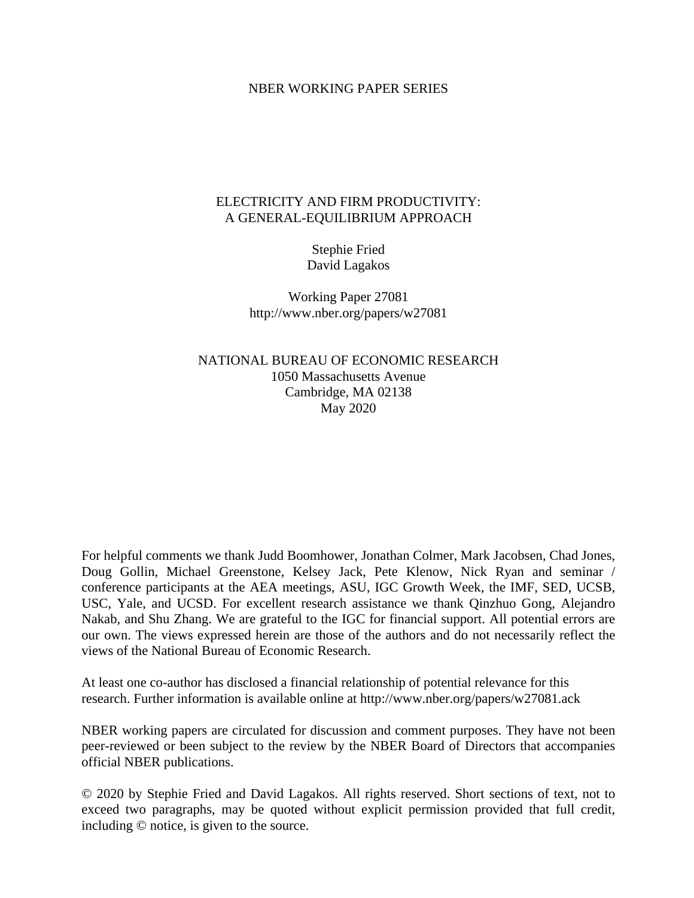#### NBER WORKING PAPER SERIES

## ELECTRICITY AND FIRM PRODUCTIVITY: A GENERAL-EQUILIBRIUM APPROACH

Stephie Fried David Lagakos

Working Paper 27081 http://www.nber.org/papers/w27081

NATIONAL BUREAU OF ECONOMIC RESEARCH 1050 Massachusetts Avenue Cambridge, MA 02138 May 2020

For helpful comments we thank Judd Boomhower, Jonathan Colmer, Mark Jacobsen, Chad Jones, Doug Gollin, Michael Greenstone, Kelsey Jack, Pete Klenow, Nick Ryan and seminar / conference participants at the AEA meetings, ASU, IGC Growth Week, the IMF, SED, UCSB, USC, Yale, and UCSD. For excellent research assistance we thank Qinzhuo Gong, Alejandro Nakab, and Shu Zhang. We are grateful to the IGC for financial support. All potential errors are our own. The views expressed herein are those of the authors and do not necessarily reflect the views of the National Bureau of Economic Research.

At least one co-author has disclosed a financial relationship of potential relevance for this research. Further information is available online at http://www.nber.org/papers/w27081.ack

NBER working papers are circulated for discussion and comment purposes. They have not been peer-reviewed or been subject to the review by the NBER Board of Directors that accompanies official NBER publications.

© 2020 by Stephie Fried and David Lagakos. All rights reserved. Short sections of text, not to exceed two paragraphs, may be quoted without explicit permission provided that full credit, including © notice, is given to the source.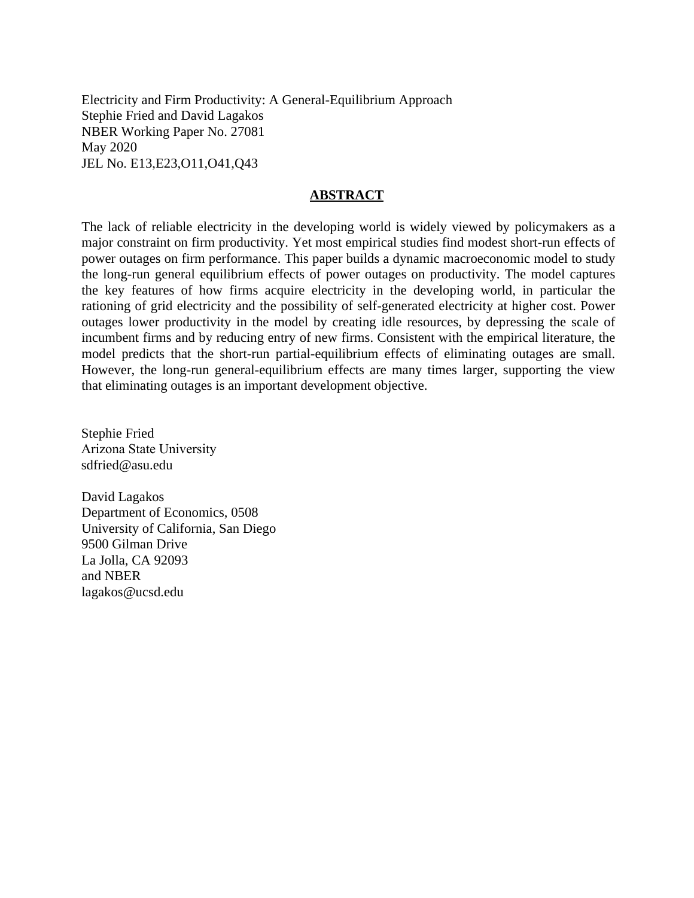Electricity and Firm Productivity: A General-Equilibrium Approach Stephie Fried and David Lagakos NBER Working Paper No. 27081 May 2020 JEL No. E13,E23,O11,O41,Q43

#### **ABSTRACT**

The lack of reliable electricity in the developing world is widely viewed by policymakers as a major constraint on firm productivity. Yet most empirical studies find modest short-run effects of power outages on firm performance. This paper builds a dynamic macroeconomic model to study the long-run general equilibrium effects of power outages on productivity. The model captures the key features of how firms acquire electricity in the developing world, in particular the rationing of grid electricity and the possibility of self-generated electricity at higher cost. Power outages lower productivity in the model by creating idle resources, by depressing the scale of incumbent firms and by reducing entry of new firms. Consistent with the empirical literature, the model predicts that the short-run partial-equilibrium effects of eliminating outages are small. However, the long-run general-equilibrium effects are many times larger, supporting the view that eliminating outages is an important development objective.

Stephie Fried Arizona State University sdfried@asu.edu

David Lagakos Department of Economics, 0508 University of California, San Diego 9500 Gilman Drive La Jolla, CA 92093 and NBER lagakos@ucsd.edu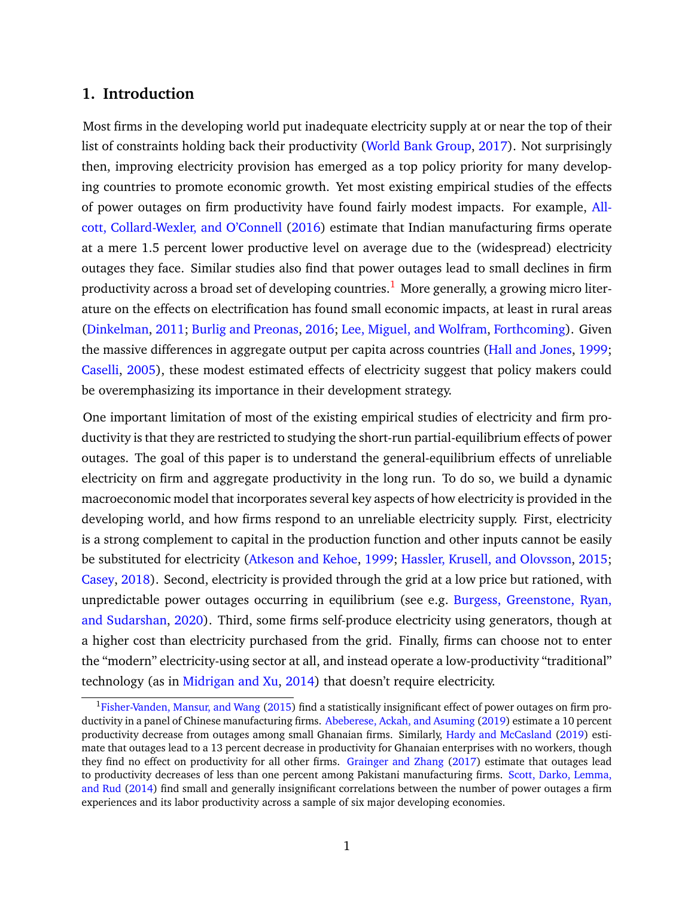## **1. Introduction**

Most firms in the developing world put inadequate electricity supply at or near the top of their list of constraints holding back their productivity [\(World Bank Group,](#page-46-0) [2017\)](#page-46-0). Not surprisingly then, improving electricity provision has emerged as a top policy priority for many developing countries to promote economic growth. Yet most existing empirical studies of the effects of power outages on firm productivity have found fairly modest impacts. For example, [All](#page-43-0)[cott, Collard-Wexler, and O'Connell](#page-43-0) [\(2016\)](#page-43-0) estimate that Indian manufacturing firms operate at a mere 1.5 percent lower productive level on average due to the (widespread) electricity outages they face. Similar studies also find that power outages lead to small declines in firm productivity across a broad set of developing countries.<sup>[1](#page-2-0)</sup> More generally, a growing micro literature on the effects on electrification has found small economic impacts, at least in rural areas [\(Dinkelman,](#page-44-0) [2011;](#page-44-0) [Burlig and Preonas,](#page-44-1) [2016;](#page-44-1) [Lee, Miguel, and Wolfram,](#page-46-1) [Forthcoming\)](#page-46-1). Given the massive differences in aggregate output per capita across countries [\(Hall and Jones,](#page-45-0) [1999;](#page-45-0) [Caselli,](#page-44-2) [2005\)](#page-44-2), these modest estimated effects of electricity suggest that policy makers could be overemphasizing its importance in their development strategy.

One important limitation of most of the existing empirical studies of electricity and firm productivity is that they are restricted to studying the short-run partial-equilibrium effects of power outages. The goal of this paper is to understand the general-equilibrium effects of unreliable electricity on firm and aggregate productivity in the long run. To do so, we build a dynamic macroeconomic model that incorporates several key aspects of how electricity is provided in the developing world, and how firms respond to an unreliable electricity supply. First, electricity is a strong complement to capital in the production function and other inputs cannot be easily be substituted for electricity [\(Atkeson and Kehoe,](#page-43-1) [1999;](#page-43-1) [Hassler, Krusell, and Olovsson,](#page-45-1) [2015;](#page-45-1) [Casey,](#page-44-3) [2018\)](#page-44-3). Second, electricity is provided through the grid at a low price but rationed, with unpredictable power outages occurring in equilibrium (see e.g. [Burgess, Greenstone, Ryan,](#page-44-4) [and Sudarshan,](#page-44-4) [2020\)](#page-44-4). Third, some firms self-produce electricity using generators, though at a higher cost than electricity purchased from the grid. Finally, firms can choose not to enter the "modern" electricity-using sector at all, and instead operate a low-productivity "traditional" technology (as in [Midrigan and Xu,](#page-46-2) [2014\)](#page-46-2) that doesn't require electricity.

<span id="page-2-0"></span> $1$ [Fisher-Vanden, Mansur, and Wang](#page-45-2) [\(2015\)](#page-45-2) find a statistically insignificant effect of power outages on firm productivity in a panel of Chinese manufacturing firms. [Abeberese, Ackah, and Asuming](#page-43-2) [\(2019\)](#page-43-2) estimate a 10 percent productivity decrease from outages among small Ghanaian firms. Similarly, [Hardy and McCasland](#page-45-3) [\(2019\)](#page-45-3) estimate that outages lead to a 13 percent decrease in productivity for Ghanaian enterprises with no workers, though they find no effect on productivity for all other firms. [Grainger and Zhang](#page-45-4) [\(2017\)](#page-45-4) estimate that outages lead to productivity decreases of less than one percent among Pakistani manufacturing firms. [Scott, Darko, Lemma,](#page-46-3) [and Rud](#page-46-3) [\(2014\)](#page-46-3) find small and generally insignificant correlations between the number of power outages a firm experiences and its labor productivity across a sample of six major developing economies.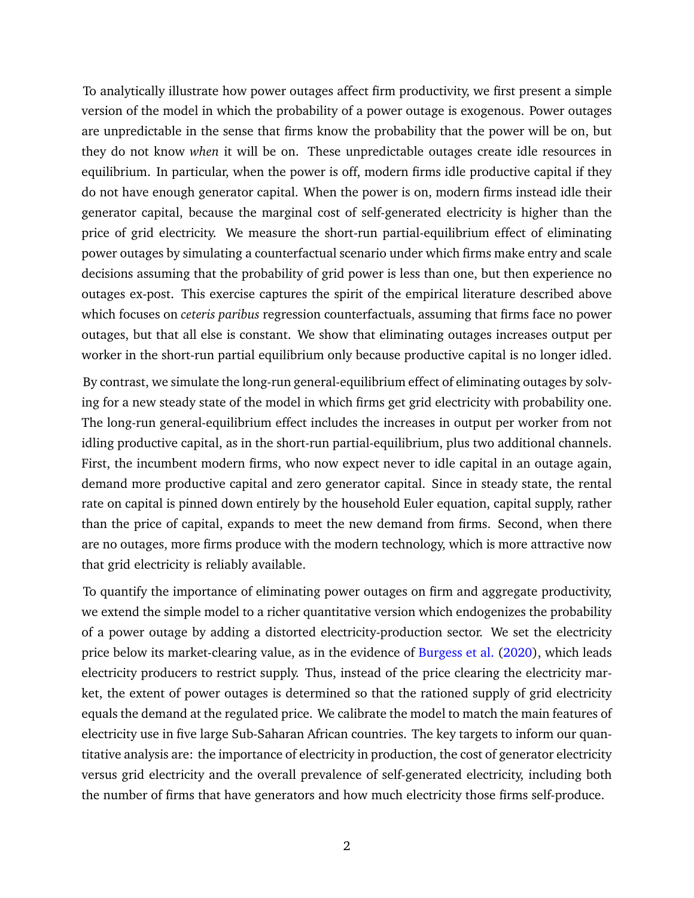To analytically illustrate how power outages affect firm productivity, we first present a simple version of the model in which the probability of a power outage is exogenous. Power outages are unpredictable in the sense that firms know the probability that the power will be on, but they do not know *when* it will be on. These unpredictable outages create idle resources in equilibrium. In particular, when the power is off, modern firms idle productive capital if they do not have enough generator capital. When the power is on, modern firms instead idle their generator capital, because the marginal cost of self-generated electricity is higher than the price of grid electricity. We measure the short-run partial-equilibrium effect of eliminating power outages by simulating a counterfactual scenario under which firms make entry and scale decisions assuming that the probability of grid power is less than one, but then experience no outages ex-post. This exercise captures the spirit of the empirical literature described above which focuses on *ceteris paribus* regression counterfactuals, assuming that firms face no power outages, but that all else is constant. We show that eliminating outages increases output per worker in the short-run partial equilibrium only because productive capital is no longer idled.

By contrast, we simulate the long-run general-equilibrium effect of eliminating outages by solving for a new steady state of the model in which firms get grid electricity with probability one. The long-run general-equilibrium effect includes the increases in output per worker from not idling productive capital, as in the short-run partial-equilibrium, plus two additional channels. First, the incumbent modern firms, who now expect never to idle capital in an outage again, demand more productive capital and zero generator capital. Since in steady state, the rental rate on capital is pinned down entirely by the household Euler equation, capital supply, rather than the price of capital, expands to meet the new demand from firms. Second, when there are no outages, more firms produce with the modern technology, which is more attractive now that grid electricity is reliably available.

To quantify the importance of eliminating power outages on firm and aggregate productivity, we extend the simple model to a richer quantitative version which endogenizes the probability of a power outage by adding a distorted electricity-production sector. We set the electricity price below its market-clearing value, as in the evidence of [Burgess et al.](#page-44-4) [\(2020\)](#page-44-4), which leads electricity producers to restrict supply. Thus, instead of the price clearing the electricity market, the extent of power outages is determined so that the rationed supply of grid electricity equals the demand at the regulated price. We calibrate the model to match the main features of electricity use in five large Sub-Saharan African countries. The key targets to inform our quantitative analysis are: the importance of electricity in production, the cost of generator electricity versus grid electricity and the overall prevalence of self-generated electricity, including both the number of firms that have generators and how much electricity those firms self-produce.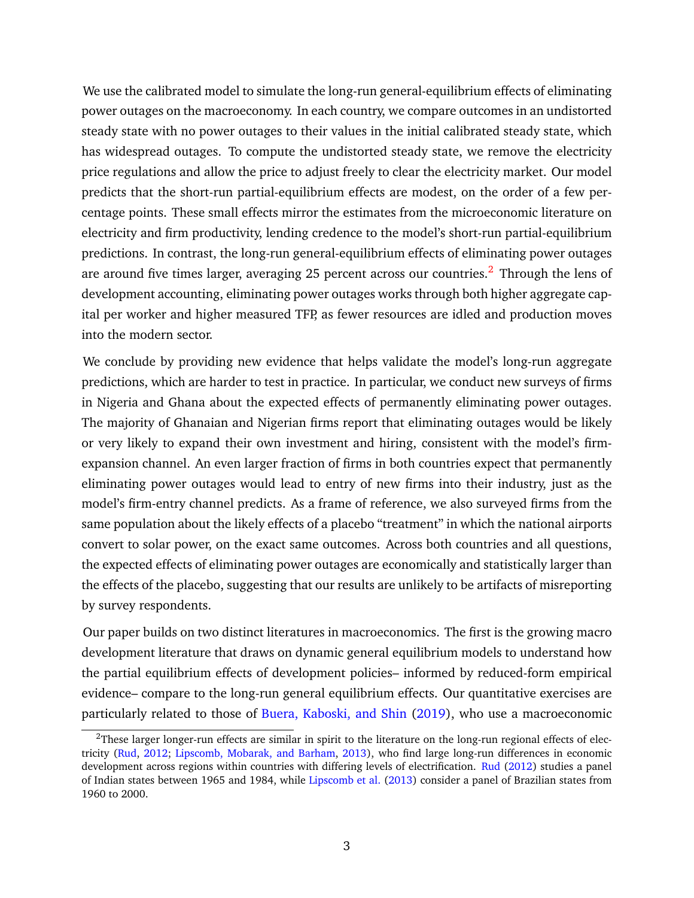We use the calibrated model to simulate the long-run general-equilibrium effects of eliminating power outages on the macroeconomy. In each country, we compare outcomes in an undistorted steady state with no power outages to their values in the initial calibrated steady state, which has widespread outages. To compute the undistorted steady state, we remove the electricity price regulations and allow the price to adjust freely to clear the electricity market. Our model predicts that the short-run partial-equilibrium effects are modest, on the order of a few percentage points. These small effects mirror the estimates from the microeconomic literature on electricity and firm productivity, lending credence to the model's short-run partial-equilibrium predictions. In contrast, the long-run general-equilibrium effects of eliminating power outages are around five times larger, averaging [2](#page-4-0)5 percent across our countries.<sup>2</sup> Through the lens of development accounting, eliminating power outages works through both higher aggregate capital per worker and higher measured TFP, as fewer resources are idled and production moves into the modern sector.

We conclude by providing new evidence that helps validate the model's long-run aggregate predictions, which are harder to test in practice. In particular, we conduct new surveys of firms in Nigeria and Ghana about the expected effects of permanently eliminating power outages. The majority of Ghanaian and Nigerian firms report that eliminating outages would be likely or very likely to expand their own investment and hiring, consistent with the model's firmexpansion channel. An even larger fraction of firms in both countries expect that permanently eliminating power outages would lead to entry of new firms into their industry, just as the model's firm-entry channel predicts. As a frame of reference, we also surveyed firms from the same population about the likely effects of a placebo "treatment" in which the national airports convert to solar power, on the exact same outcomes. Across both countries and all questions, the expected effects of eliminating power outages are economically and statistically larger than the effects of the placebo, suggesting that our results are unlikely to be artifacts of misreporting by survey respondents.

Our paper builds on two distinct literatures in macroeconomics. The first is the growing macro development literature that draws on dynamic general equilibrium models to understand how the partial equilibrium effects of development policies– informed by reduced-form empirical evidence– compare to the long-run general equilibrium effects. Our quantitative exercises are particularly related to those of [Buera, Kaboski, and Shin](#page-44-5) [\(2019\)](#page-44-5), who use a macroeconomic

<span id="page-4-0"></span> $2$ These larger longer-run effects are similar in spirit to the literature on the long-run regional effects of electricity [\(Rud,](#page-46-4) [2012;](#page-46-4) [Lipscomb, Mobarak, and Barham,](#page-46-5) [2013\)](#page-46-5), who find large long-run differences in economic development across regions within countries with differing levels of electrification. [Rud](#page-46-4) [\(2012\)](#page-46-4) studies a panel of Indian states between 1965 and 1984, while [Lipscomb et al.](#page-46-5) [\(2013\)](#page-46-5) consider a panel of Brazilian states from 1960 to 2000.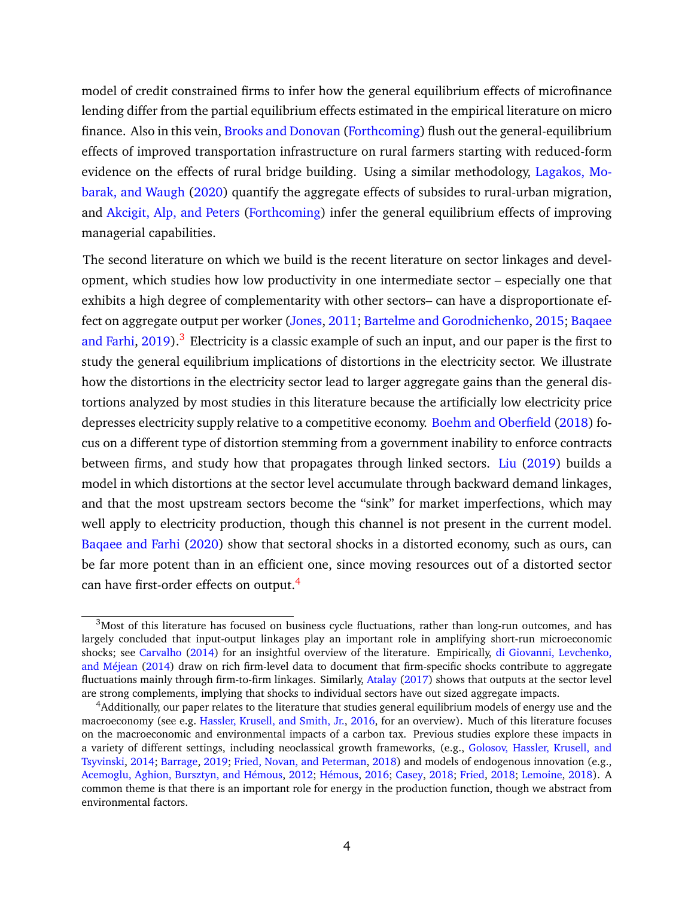model of credit constrained firms to infer how the general equilibrium effects of microfinance lending differ from the partial equilibrium effects estimated in the empirical literature on micro finance. Also in this vein, [Brooks and Donovan](#page-44-6) [\(Forthcoming\)](#page-44-6) flush out the general-equilibrium effects of improved transportation infrastructure on rural farmers starting with reduced-form evidence on the effects of rural bridge building. Using a similar methodology, [Lagakos, Mo](#page-46-6)[barak, and Waugh](#page-46-6) [\(2020\)](#page-46-6) quantify the aggregate effects of subsides to rural-urban migration, and [Akcigit, Alp, and Peters](#page-43-3) [\(Forthcoming\)](#page-43-3) infer the general equilibrium effects of improving managerial capabilities.

The second literature on which we build is the recent literature on sector linkages and development, which studies how low productivity in one intermediate sector – especially one that exhibits a high degree of complementarity with other sectors– can have a disproportionate effect on aggregate output per worker [\(Jones,](#page-45-5) [2011;](#page-45-5) [Bartelme and Gorodnichenko,](#page-44-7) [2015;](#page-44-7) [Baqaee](#page-43-4) [and Farhi,](#page-43-4) [2019\)](#page-43-4).<sup>[3](#page-5-0)</sup> Electricity is a classic example of such an input, and our paper is the first to study the general equilibrium implications of distortions in the electricity sector. We illustrate how the distortions in the electricity sector lead to larger aggregate gains than the general distortions analyzed by most studies in this literature because the artificially low electricity price depresses electricity supply relative to a competitive economy. [Boehm and Oberfield](#page-44-8) [\(2018\)](#page-44-8) focus on a different type of distortion stemming from a government inability to enforce contracts between firms, and study how that propagates through linked sectors. [Liu](#page-46-7) [\(2019\)](#page-46-7) builds a model in which distortions at the sector level accumulate through backward demand linkages, and that the most upstream sectors become the "sink" for market imperfections, which may well apply to electricity production, though this channel is not present in the current model. [Baqaee and Farhi](#page-43-5) [\(2020\)](#page-43-5) show that sectoral shocks in a distorted economy, such as ours, can be far more potent than in an efficient one, since moving resources out of a distorted sector can have first-order effects on output.<sup>[4](#page-5-1)</sup>

<span id="page-5-2"></span><span id="page-5-0"></span><sup>&</sup>lt;sup>3</sup>Most of this literature has focused on business cycle fluctuations, rather than long-run outcomes, and has largely concluded that input-output linkages play an important role in amplifying short-run microeconomic shocks; see [Carvalho](#page-44-9) [\(2014\)](#page-44-9) for an insightful overview of the literature. Empirically, [di Giovanni, Levchenko,](#page-44-10) [and Méjean](#page-44-10) [\(2014\)](#page-44-10) draw on rich firm-level data to document that firm-specific shocks contribute to aggregate fluctuations mainly through firm-to-firm linkages. Similarly, [Atalay](#page-43-6) [\(2017\)](#page-43-6) shows that outputs at the sector level are strong complements, implying that shocks to individual sectors have out sized aggregate impacts.

<span id="page-5-1"></span><sup>4</sup>Additionally, our paper relates to the literature that studies general equilibrium models of energy use and the macroeconomy (see e.g. [Hassler, Krusell, and Smith, Jr.,](#page-45-6) [2016,](#page-45-6) for an overview). Much of this literature focuses on the macroeconomic and environmental impacts of a carbon tax. Previous studies explore these impacts in a variety of different settings, including neoclassical growth frameworks, (e.g., [Golosov, Hassler, Krusell, and](#page-45-7) [Tsyvinski,](#page-45-7) [2014;](#page-45-7) [Barrage,](#page-44-11) [2019;](#page-44-11) [Fried, Novan, and Peterman,](#page-45-8) [2018\)](#page-45-8) and models of endogenous innovation (e.g., [Acemoglu, Aghion, Bursztyn, and Hémous,](#page-43-7) [2012;](#page-43-7) [Hémous,](#page-45-9) [2016;](#page-45-9) [Casey,](#page-44-3) [2018;](#page-44-3) [Fried,](#page-45-10) [2018;](#page-45-10) [Lemoine,](#page-46-8) [2018\)](#page-46-8). A common theme is that there is an important role for energy in the production function, though we abstract from environmental factors.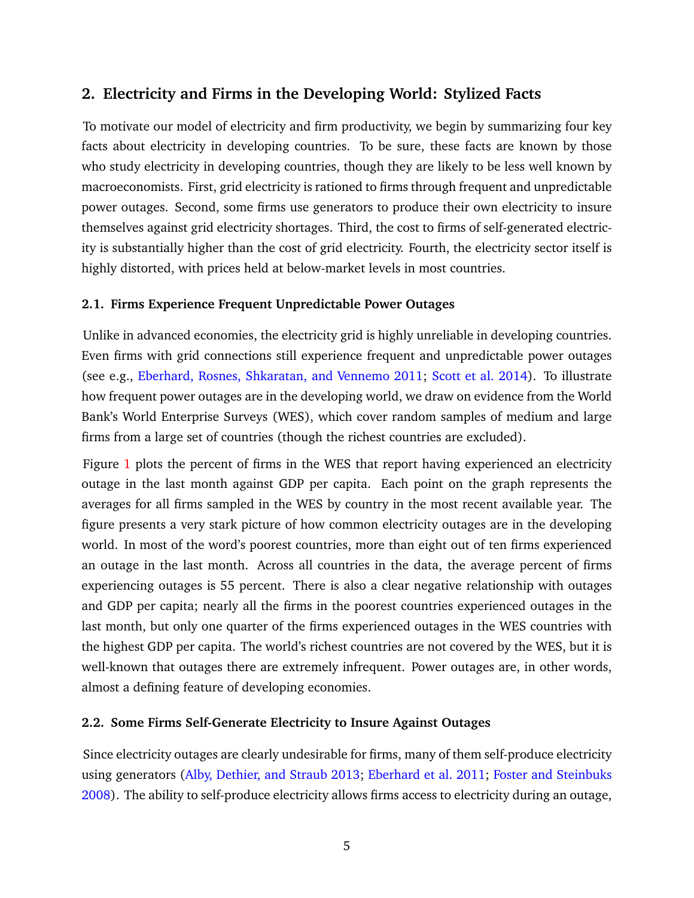## **2. Electricity and Firms in the Developing World: Stylized Facts**

To motivate our model of electricity and firm productivity, we begin by summarizing four key facts about electricity in developing countries. To be sure, these facts are known by those who study electricity in developing countries, though they are likely to be less well known by macroeconomists. First, grid electricity is rationed to firms through frequent and unpredictable power outages. Second, some firms use generators to produce their own electricity to insure themselves against grid electricity shortages. Third, the cost to firms of self-generated electricity is substantially higher than the cost of grid electricity. Fourth, the electricity sector itself is highly distorted, with prices held at below-market levels in most countries.

## **2.1. Firms Experience Frequent Unpredictable Power Outages**

Unlike in advanced economies, the electricity grid is highly unreliable in developing countries. Even firms with grid connections still experience frequent and unpredictable power outages (see e.g., [Eberhard, Rosnes, Shkaratan, and Vennemo 2011;](#page-44-12) [Scott et al. 2014\)](#page-46-3). To illustrate how frequent power outages are in the developing world, we draw on evidence from the World Bank's World Enterprise Surveys (WES), which cover random samples of medium and large firms from a large set of countries (though the richest countries are excluded).

Figure [1](#page-7-0) plots the percent of firms in the WES that report having experienced an electricity outage in the last month against GDP per capita. Each point on the graph represents the averages for all firms sampled in the WES by country in the most recent available year. The figure presents a very stark picture of how common electricity outages are in the developing world. In most of the word's poorest countries, more than eight out of ten firms experienced an outage in the last month. Across all countries in the data, the average percent of firms experiencing outages is 55 percent. There is also a clear negative relationship with outages and GDP per capita; nearly all the firms in the poorest countries experienced outages in the last month, but only one quarter of the firms experienced outages in the WES countries with the highest GDP per capita. The world's richest countries are not covered by the WES, but it is well-known that outages there are extremely infrequent. Power outages are, in other words, almost a defining feature of developing economies.

## **2.2. Some Firms Self-Generate Electricity to Insure Against Outages**

Since electricity outages are clearly undesirable for firms, many of them self-produce electricity using generators [\(Alby, Dethier, and Straub 2013;](#page-43-8) [Eberhard et al. 2011;](#page-44-12) [Foster and Steinbuks](#page-45-11) [2008\)](#page-45-11). The ability to self-produce electricity allows firms access to electricity during an outage,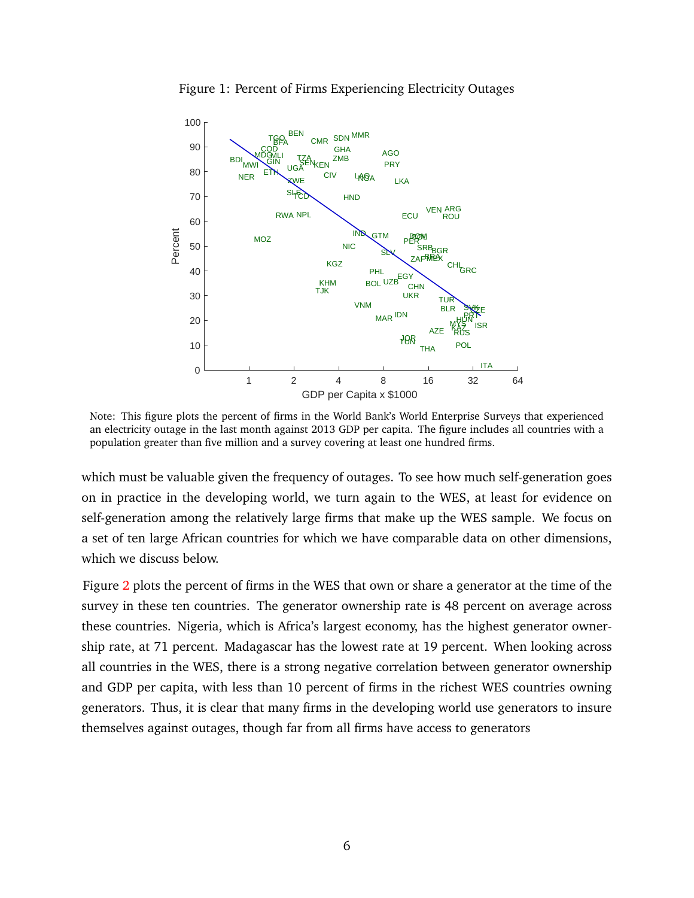<span id="page-7-0"></span>

Figure 1: Percent of Firms Experiencing Electricity Outages

Note: This figure plots the percent of firms in the World Bank's World Enterprise Surveys that experienced an electricity outage in the last month against 2013 GDP per capita. The figure includes all countries with a population greater than five million and a survey covering at least one hundred firms.

which must be valuable given the frequency of outages. To see how much self-generation goes on in practice in the developing world, we turn again to the WES, at least for evidence on self-generation among the relatively large firms that make up the WES sample. We focus on a set of ten large African countries for which we have comparable data on other dimensions, which we discuss below.

Figure [2](#page-8-0) plots the percent of firms in the WES that own or share a generator at the time of the survey in these ten countries. The generator ownership rate is 48 percent on average across these countries. Nigeria, which is Africa's largest economy, has the highest generator ownership rate, at 71 percent. Madagascar has the lowest rate at 19 percent. When looking across all countries in the WES, there is a strong negative correlation between generator ownership and GDP per capita, with less than 10 percent of firms in the richest WES countries owning generators. Thus, it is clear that many firms in the developing world use generators to insure themselves against outages, though far from all firms have access to generators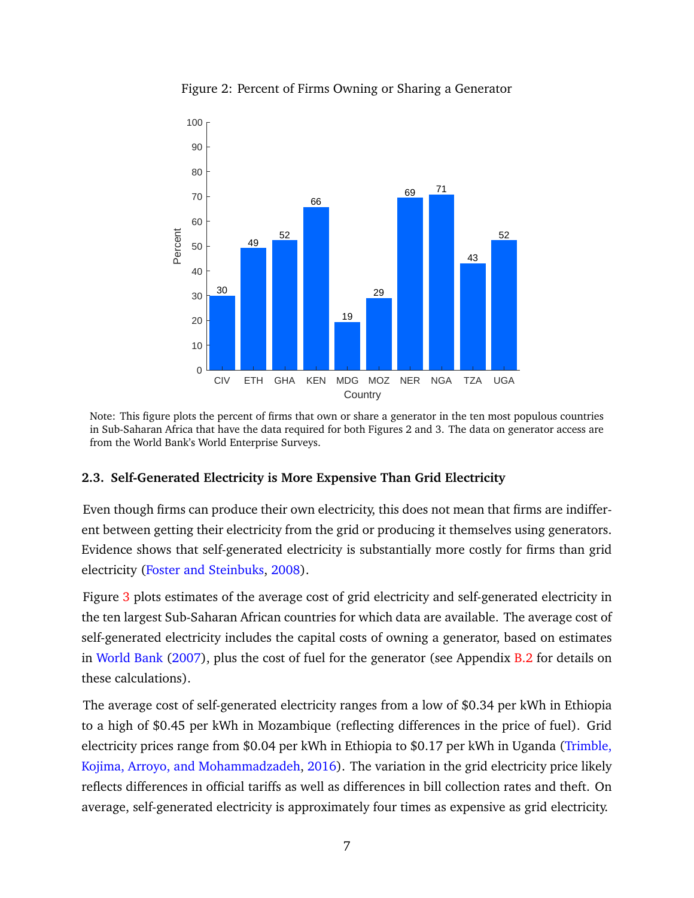<span id="page-8-0"></span>

Figure 2: Percent of Firms Owning or Sharing a Generator

Note: This figure plots the percent of firms that own or share a generator in the ten most populous countries in Sub-Saharan Africa that have the data required for both Figures 2 and 3. The data on generator access are from the World Bank's World Enterprise Surveys.

## **2.3. Self-Generated Electricity is More Expensive Than Grid Electricity**

Even though firms can produce their own electricity, this does not mean that firms are indifferent between getting their electricity from the grid or producing it themselves using generators. Evidence shows that self-generated electricity is substantially more costly for firms than grid electricity [\(Foster and Steinbuks,](#page-45-11) [2008\)](#page-45-11).

Figure [3](#page-9-0) plots estimates of the average cost of grid electricity and self-generated electricity in the ten largest Sub-Saharan African countries for which data are available. The average cost of self-generated electricity includes the capital costs of owning a generator, based on estimates in [World Bank](#page-46-9) [\(2007\)](#page-46-9), plus the cost of fuel for the generator (see Appendix [B.2](#page-50-0) for details on these calculations).

The average cost of self-generated electricity ranges from a low of \$0.34 per kWh in Ethiopia to a high of \$0.45 per kWh in Mozambique (reflecting differences in the price of fuel). Grid electricity prices range from \$0.04 per kWh in Ethiopia to \$0.17 per kWh in Uganda [\(Trimble,](#page-46-10) [Kojima, Arroyo, and Mohammadzadeh,](#page-46-10) [2016\)](#page-46-10). The variation in the grid electricity price likely reflects differences in official tariffs as well as differences in bill collection rates and theft. On average, self-generated electricity is approximately four times as expensive as grid electricity.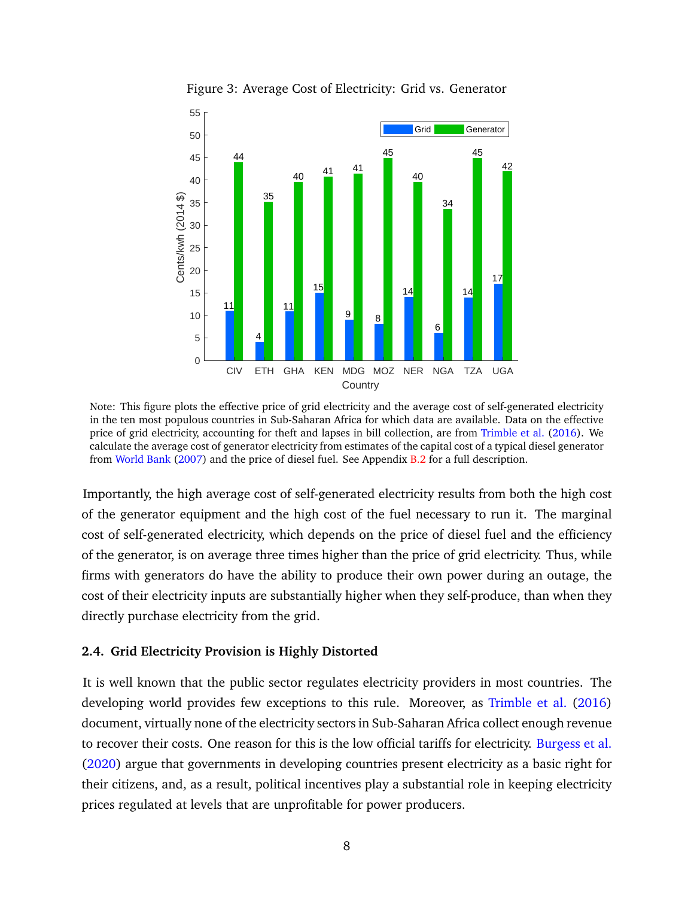<span id="page-9-0"></span>

Figure 3: Average Cost of Electricity: Grid vs. Generator

Note: This figure plots the effective price of grid electricity and the average cost of self-generated electricity in the ten most populous countries in Sub-Saharan Africa for which data are available. Data on the effective price of grid electricity, accounting for theft and lapses in bill collection, are from [Trimble et al.](#page-46-10) [\(2016\)](#page-46-10). We calculate the average cost of generator electricity from estimates of the capital cost of a typical diesel generator from [World Bank](#page-46-9) [\(2007\)](#page-46-9) and the price of diesel fuel. See Appendix [B.2](#page-50-0) for a full description.

Importantly, the high average cost of self-generated electricity results from both the high cost of the generator equipment and the high cost of the fuel necessary to run it. The marginal cost of self-generated electricity, which depends on the price of diesel fuel and the efficiency of the generator, is on average three times higher than the price of grid electricity. Thus, while firms with generators do have the ability to produce their own power during an outage, the cost of their electricity inputs are substantially higher when they self-produce, than when they directly purchase electricity from the grid.

## **2.4. Grid Electricity Provision is Highly Distorted**

It is well known that the public sector regulates electricity providers in most countries. The developing world provides few exceptions to this rule. Moreover, as [Trimble et al.](#page-46-10) [\(2016\)](#page-46-10) document, virtually none of the electricity sectors in Sub-Saharan Africa collect enough revenue to recover their costs. One reason for this is the low official tariffs for electricity. [Burgess et al.](#page-44-4) [\(2020\)](#page-44-4) argue that governments in developing countries present electricity as a basic right for their citizens, and, as a result, political incentives play a substantial role in keeping electricity prices regulated at levels that are unprofitable for power producers.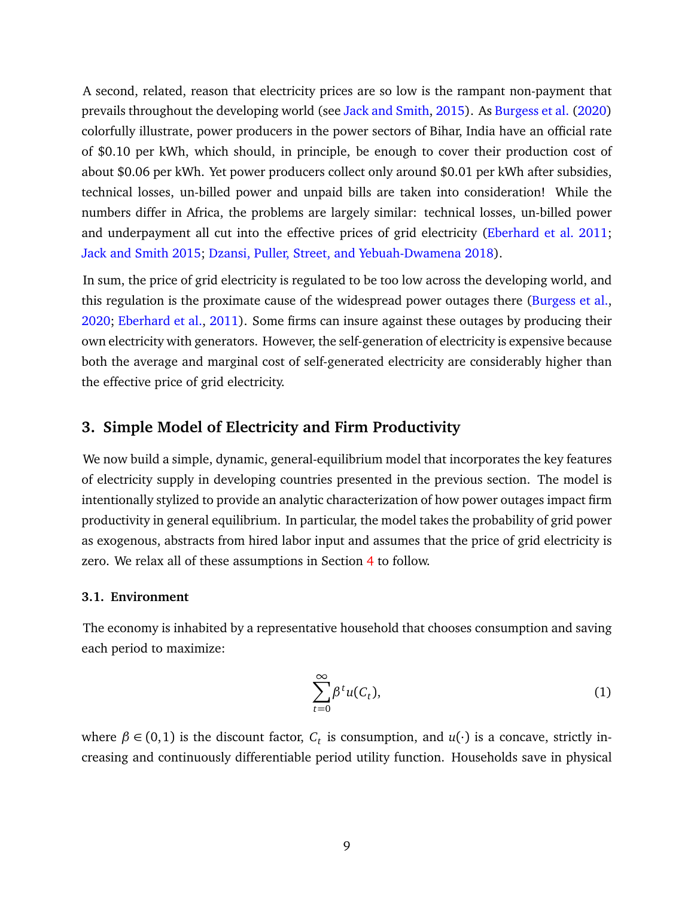A second, related, reason that electricity prices are so low is the rampant non-payment that prevails throughout the developing world (see [Jack and Smith,](#page-45-12) [2015\)](#page-45-12). As [Burgess et al.](#page-44-4) [\(2020\)](#page-44-4) colorfully illustrate, power producers in the power sectors of Bihar, India have an official rate of \$0.10 per kWh, which should, in principle, be enough to cover their production cost of about \$0.06 per kWh. Yet power producers collect only around \$0.01 per kWh after subsidies, technical losses, un-billed power and unpaid bills are taken into consideration! While the numbers differ in Africa, the problems are largely similar: technical losses, un-billed power and underpayment all cut into the effective prices of grid electricity [\(Eberhard et al. 2011;](#page-44-12) [Jack and Smith 2015;](#page-45-12) [Dzansi, Puller, Street, and Yebuah-Dwamena 2018\)](#page-44-13).

In sum, the price of grid electricity is regulated to be too low across the developing world, and this regulation is the proximate cause of the widespread power outages there [\(Burgess et al.,](#page-44-4) [2020;](#page-44-4) [Eberhard et al.,](#page-44-12) [2011\)](#page-44-12). Some firms can insure against these outages by producing their own electricity with generators. However, the self-generation of electricity is expensive because both the average and marginal cost of self-generated electricity are considerably higher than the effective price of grid electricity.

## <span id="page-10-1"></span>**3. Simple Model of Electricity and Firm Productivity**

We now build a simple, dynamic, general-equilibrium model that incorporates the key features of electricity supply in developing countries presented in the previous section. The model is intentionally stylized to provide an analytic characterization of how power outages impact firm productivity in general equilibrium. In particular, the model takes the probability of grid power as exogenous, abstracts from hired labor input and assumes that the price of grid electricity is zero. We relax all of these assumptions in Section [4](#page-23-0) to follow.

#### **3.1. Environment**

The economy is inhabited by a representative household that chooses consumption and saving each period to maximize:

<span id="page-10-0"></span>
$$
\sum_{t=0}^{\infty} \beta^t u(C_t), \tag{1}
$$

where  $\beta \in (0,1)$  is the discount factor,  $C_t$  is consumption, and  $u(\cdot)$  is a concave, strictly increasing and continuously differentiable period utility function. Households save in physical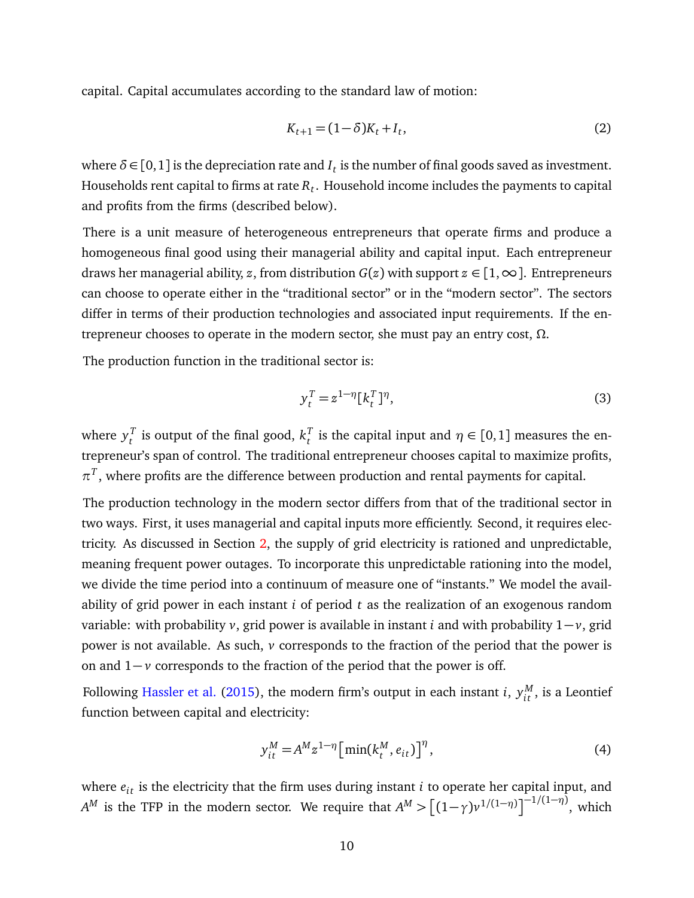capital. Capital accumulates according to the standard law of motion:

$$
K_{t+1} = (1 - \delta)K_t + I_t,
$$
\n(2)

where  $\delta \in [0,1]$  is the depreciation rate and  $I_t$  is the number of final goods saved as investment. Households rent capital to firms at rate  $R_t.$  Household income includes the payments to capital and profits from the firms (described below).

There is a unit measure of heterogeneous entrepreneurs that operate firms and produce a homogeneous final good using their managerial ability and capital input. Each entrepreneur draws her managerial ability, *z*, from distribution  $G(z)$  with support  $z \in [1, \infty]$ . Entrepreneurs can choose to operate either in the "traditional sector" or in the "modern sector". The sectors differ in terms of their production technologies and associated input requirements. If the entrepreneur chooses to operate in the modern sector, she must pay an entry cost, *Ω*.

The production function in the traditional sector is:

<span id="page-11-1"></span>
$$
y_t^T = z^{1-\eta} [k_t^T]^\eta,\tag{3}
$$

where  $y_t^T$  $_t^T$  is output of the final good,  $k_t^T$ *t* is the capital input and  $\eta \in [0,1]$  measures the entrepreneur's span of control. The traditional entrepreneur chooses capital to maximize profits,  $\pi^T$ , where profits are the difference between production and rental payments for capital.

The production technology in the modern sector differs from that of the traditional sector in two ways. First, it uses managerial and capital inputs more efficiently. Second, it requires electricity. As discussed in Section [2,](#page-5-2) the supply of grid electricity is rationed and unpredictable, meaning frequent power outages. To incorporate this unpredictable rationing into the model, we divide the time period into a continuum of measure one of "instants." We model the availability of grid power in each instant *i* of period *t* as the realization of an exogenous random variable: with probability *v*, grid power is available in instant *i* and with probability 1− *v*, grid power is not available. As such, *v* corresponds to the fraction of the period that the power is on and 1− *v* corresponds to the fraction of the period that the power is off.

Following [Hassler et al.](#page-45-1) [\(2015\)](#page-45-1), the modern firm's output in each instant  $i$ ,  $y_{it}^M$ , is a Leontief function between capital and electricity:

<span id="page-11-0"></span>
$$
y_{it}^M = A^M z^{1-\eta} \left[ \min(k_t^M, e_{it}) \right]^\eta,
$$
\n<sup>(4)</sup>

where  $e_{it}$  is the electricity that the firm uses during instant *i* to operate her capital input, and *A<sup>M</sup>* is the TFP in the modern sector. We require that  $A^M > [(1 - \gamma)v^{1/(1 - \eta)}]^{-1/(1 - \eta)}$ , which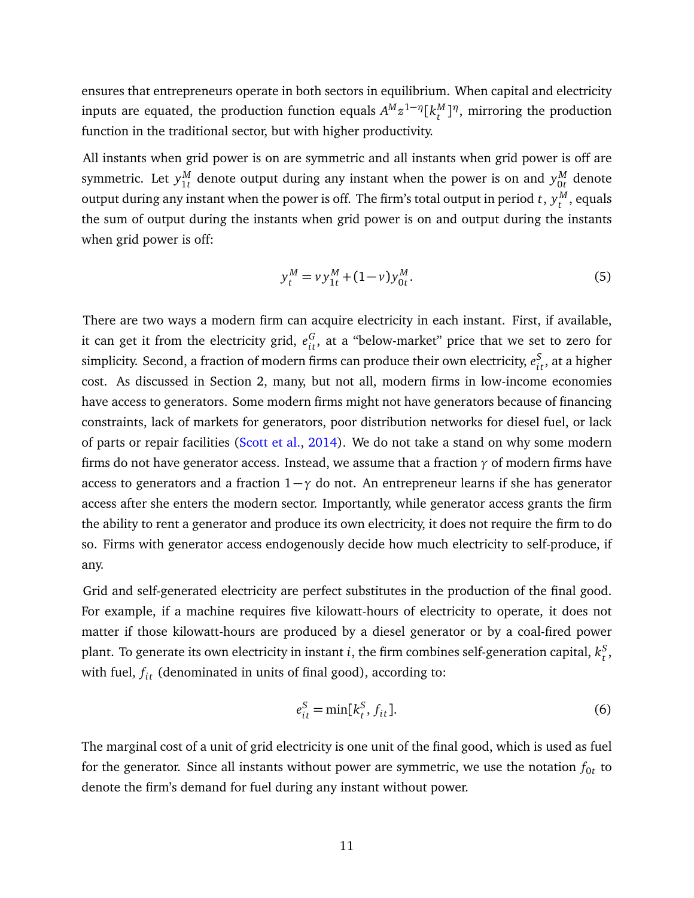ensures that entrepreneurs operate in both sectors in equilibrium. When capital and electricity inputs are equated, the production function equals  $A^M z^{1-\eta} [k^M_t$ *<sup>M</sup>*]<sup>*η*</sup>, mirroring the production function in the traditional sector, but with higher productivity.

All instants when grid power is on are symmetric and all instants when grid power is off are symmetric. Let  $y^M_{1t}$  $\frac{M}{1t}$  denote output during any instant when the power is on and  $y_{0t}^M$  $\frac{M}{0t}$  denote output during any instant when the power is off. The firm's total output in period  $t$  ,  $y_t^M$  $t^{M}$ , equals the sum of output during the instants when grid power is on and output during the instants when grid power is off:

$$
y_t^M = v y_{1t}^M + (1 - v) y_{0t}^M. \tag{5}
$$

There are two ways a modern firm can acquire electricity in each instant. First, if available, it can get it from the electricity grid,  $e_{it}^G$ , at a "below-market" price that we set to zero for simplicity. Second, a fraction of modern firms can produce their own electricity,  $e^S_{it}$ , at a higher cost. As discussed in Section 2, many, but not all, modern firms in low-income economies have access to generators. Some modern firms might not have generators because of financing constraints, lack of markets for generators, poor distribution networks for diesel fuel, or lack of parts or repair facilities [\(Scott et al.,](#page-46-3) [2014\)](#page-46-3). We do not take a stand on why some modern firms do not have generator access. Instead, we assume that a fraction *γ* of modern firms have access to generators and a fraction 1−*γ* do not. An entrepreneur learns if she has generator access after she enters the modern sector. Importantly, while generator access grants the firm the ability to rent a generator and produce its own electricity, it does not require the firm to do so. Firms with generator access endogenously decide how much electricity to self-produce, if any.

Grid and self-generated electricity are perfect substitutes in the production of the final good. For example, if a machine requires five kilowatt-hours of electricity to operate, it does not matter if those kilowatt-hours are produced by a diesel generator or by a coal-fired power plant. To generate its own electricity in instant  $i$ , the firm combines self-generation capital,  $k_{t}^S$ *t* , with fuel,  $f_{it}$  (denominated in units of final good), according to:

<span id="page-12-0"></span>
$$
e_{it}^S = \min[k_t^S, f_{it}].
$$
\n(6)

The marginal cost of a unit of grid electricity is one unit of the final good, which is used as fuel for the generator. Since all instants without power are symmetric, we use the notation  $f_{0t}$  to denote the firm's demand for fuel during any instant without power.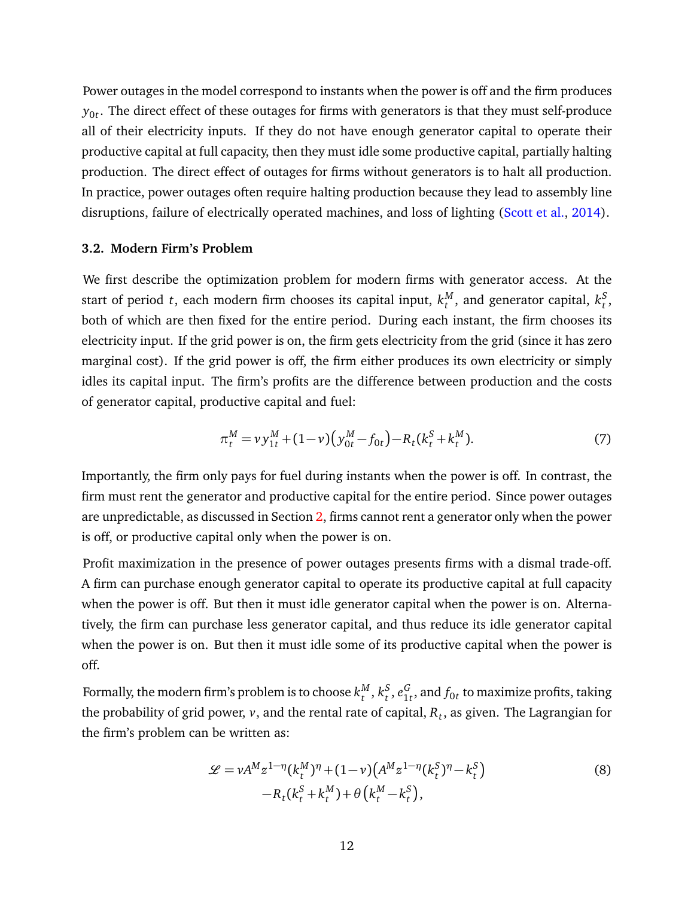Power outages in the model correspond to instants when the power is off and the firm produces  $y_{0t}.$  The direct effect of these outages for firms with generators is that they must self-produce all of their electricity inputs. If they do not have enough generator capital to operate their productive capital at full capacity, then they must idle some productive capital, partially halting production. The direct effect of outages for firms without generators is to halt all production. In practice, power outages often require halting production because they lead to assembly line disruptions, failure of electrically operated machines, and loss of lighting [\(Scott et al.,](#page-46-3) [2014\)](#page-46-3).

#### **3.2. Modern Firm's Problem**

We first describe the optimization problem for modern firms with generator access. At the start of period *t*, each modern firm chooses its capital input,  $k_t^M$  $_t^M$ , and generator capital,  $k_t^S$ *t* , both of which are then fixed for the entire period. During each instant, the firm chooses its electricity input. If the grid power is on, the firm gets electricity from the grid (since it has zero marginal cost). If the grid power is off, the firm either produces its own electricity or simply idles its capital input. The firm's profits are the difference between production and the costs of generator capital, productive capital and fuel:

<span id="page-13-0"></span>
$$
\pi_t^M = v y_{1t}^M + (1 - v) \left( y_{0t}^M - f_{0t} \right) - R_t (k_t^S + k_t^M). \tag{7}
$$

Importantly, the firm only pays for fuel during instants when the power is off. In contrast, the firm must rent the generator and productive capital for the entire period. Since power outages are unpredictable, as discussed in Section [2,](#page-5-2) firms cannot rent a generator only when the power is off, or productive capital only when the power is on.

Profit maximization in the presence of power outages presents firms with a dismal trade-off. A firm can purchase enough generator capital to operate its productive capital at full capacity when the power is off. But then it must idle generator capital when the power is on. Alternatively, the firm can purchase less generator capital, and thus reduce its idle generator capital when the power is on. But then it must idle some of its productive capital when the power is off.

Formally, the modern firm's problem is to choose  $k_\tau^M$  $_t^M$ ,  $k_t^S$  $^S_t$ ,  $e^G_{1s}$  $\frac{G}{1}$ , and  $f_{0t}$  to maximize profits, taking the probability of grid power, *v*, and the rental rate of capital, *R<sup>t</sup>* , as given. The Lagrangian for the firm's problem can be written as:

<span id="page-13-1"></span>
$$
\mathcal{L} = vA^{M}z^{1-\eta}(k_{t}^{M})^{\eta} + (1-v)\left(A^{M}z^{1-\eta}(k_{t}^{S})^{\eta} - k_{t}^{S}\right) -R_{t}(k_{t}^{S} + k_{t}^{M}) + \theta\left(k_{t}^{M} - k_{t}^{S}\right),
$$
\n(8)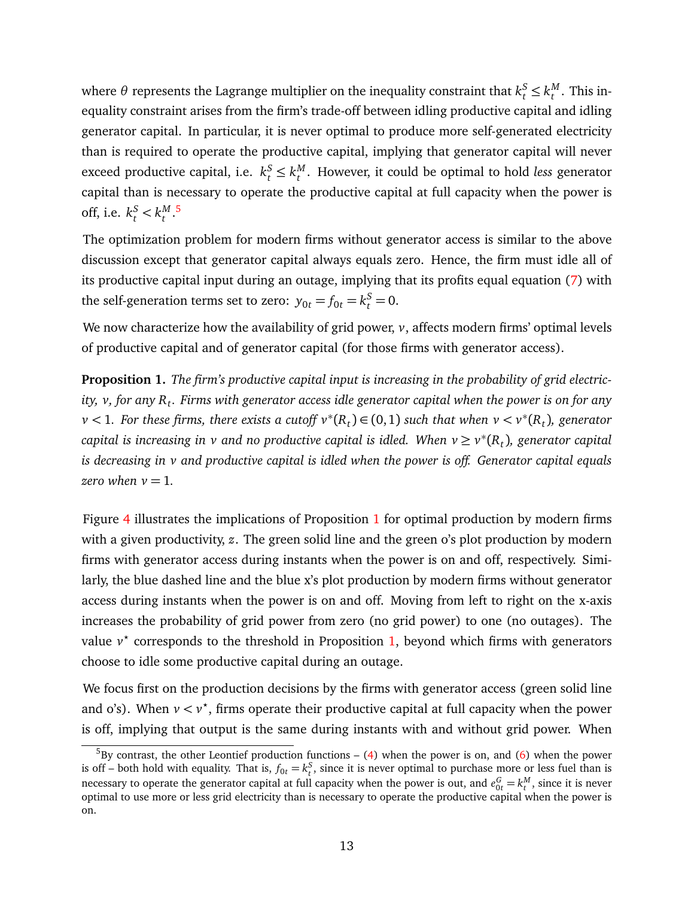where  $\theta$  represents the Lagrange multiplier on the inequality constraint that  $k^S_t \leq k^M_t$  $t^{M}$ . This inequality constraint arises from the firm's trade-off between idling productive capital and idling generator capital. In particular, it is never optimal to produce more self-generated electricity than is required to operate the productive capital, implying that generator capital will never exceed productive capital, i.e.  $k_t^S \leq k_t^M$ *t* . However, it could be optimal to hold *less* generator capital than is necessary to operate the productive capital at full capacity when the power is off, i.e.  $k_t^S < k_t^M$ *t* . [5](#page-14-0)

The optimization problem for modern firms without generator access is similar to the above discussion except that generator capital always equals zero. Hence, the firm must idle all of its productive capital input during an outage, implying that its profits equal equation [\(7\)](#page-13-0) with the self-generation terms set to zero:  $y_{0t} = f_{0t} = k_t^S = 0$ .

We now characterize how the availability of grid power, *v*, affects modern firms' optimal levels of productive capital and of generator capital (for those firms with generator access).

<span id="page-14-1"></span>**Proposition 1.** *The firm's productive capital input is increasing in the probability of grid electricity, v, for any R<sup>t</sup> . Firms with generator access idle generator capital when the power is on for any v* < 1. For these firms, there exists a cutoff  $v^*(R_t)$  ∈ (0,1) such that when  $v < v^*(R_t)$ , generator  $\epsilon$ capital is increasing in  $\nu$  and no productive capital is idled. When  $\nu \geq \nu^*(R_t)$ , generator capital *is decreasing in v and productive capital is idled when the power is off. Generator capital equals zero when*  $v = 1$ .

Figure [4](#page-15-0) illustrates the implications of Proposition [1](#page-14-1) for optimal production by modern firms with a given productivity, *z*. The green solid line and the green o's plot production by modern firms with generator access during instants when the power is on and off, respectively. Similarly, the blue dashed line and the blue x's plot production by modern firms without generator access during instants when the power is on and off. Moving from left to right on the x-axis increases the probability of grid power from zero (no grid power) to one (no outages). The value v<sup>\*</sup> corresponds to the threshold in Proposition [1,](#page-14-1) beyond which firms with generators choose to idle some productive capital during an outage.

We focus first on the production decisions by the firms with generator access (green solid line and o's). When  $v < v^*$ , firms operate their productive capital at full capacity when the power is off, implying that output is the same during instants with and without grid power. When

<span id="page-14-0"></span> $5$ By contrast, the other Leontief production functions – [\(4\)](#page-11-0) when the power is on, and [\(6\)](#page-12-0) when the power is off – both hold with equality. That is,  $f_{0t} = k_t^S$ , since it is never optimal to purchase more or less fuel than is necessary to operate the generator capital at full capacity when the power is out, and  $e_{0t}^G = k_t^M$ , since it is never optimal to use more or less grid electricity than is necessary to operate the productive capital when the power is on.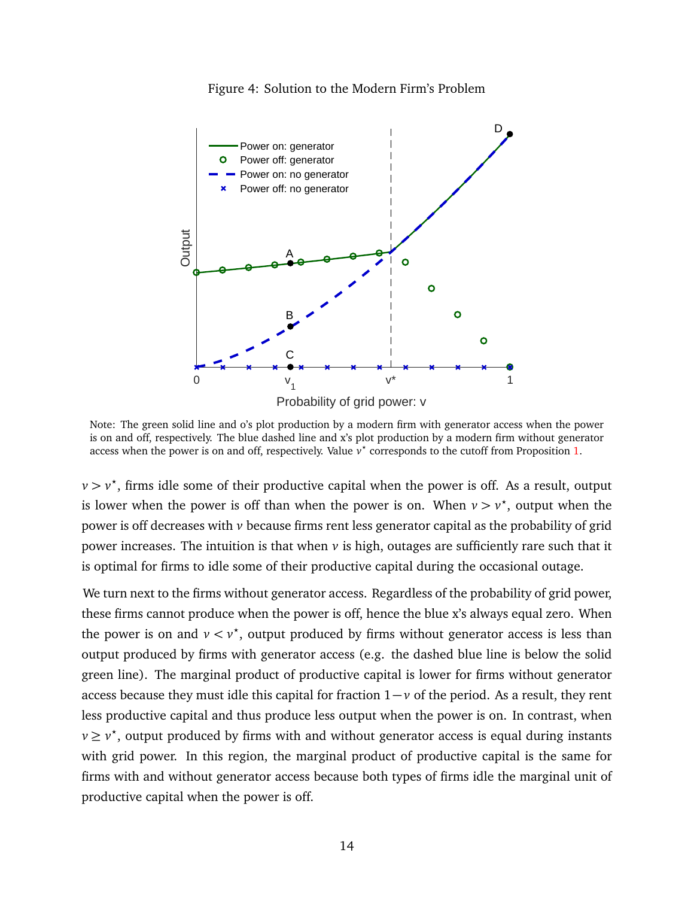

<span id="page-15-0"></span>

Note: The green solid line and o's plot production by a modern firm with generator access when the power is on and off, respectively. The blue dashed line and x's plot production by a modern firm without generator access when the power is on and off, respectively. Value  $v^*$  corresponds to the cutoff from Proposition [1.](#page-14-1)

 $\nu > \nu^*$ , firms idle some of their productive capital when the power is off. As a result, output is lower when the power is off than when the power is on. When  $v > v^*$ , output when the power is off decreases with *v* because firms rent less generator capital as the probability of grid power increases. The intuition is that when  $\nu$  is high, outages are sufficiently rare such that it is optimal for firms to idle some of their productive capital during the occasional outage.

We turn next to the firms without generator access. Regardless of the probability of grid power, these firms cannot produce when the power is off, hence the blue x's always equal zero. When the power is on and  $v < v^*$ , output produced by firms without generator access is less than output produced by firms with generator access (e.g. the dashed blue line is below the solid green line). The marginal product of productive capital is lower for firms without generator access because they must idle this capital for fraction 1− *v* of the period. As a result, they rent less productive capital and thus produce less output when the power is on. In contrast, when *v* ≥ *v*<sup>\*</sup>, output produced by firms with and without generator access is equal during instants with grid power. In this region, the marginal product of productive capital is the same for firms with and without generator access because both types of firms idle the marginal unit of productive capital when the power is off.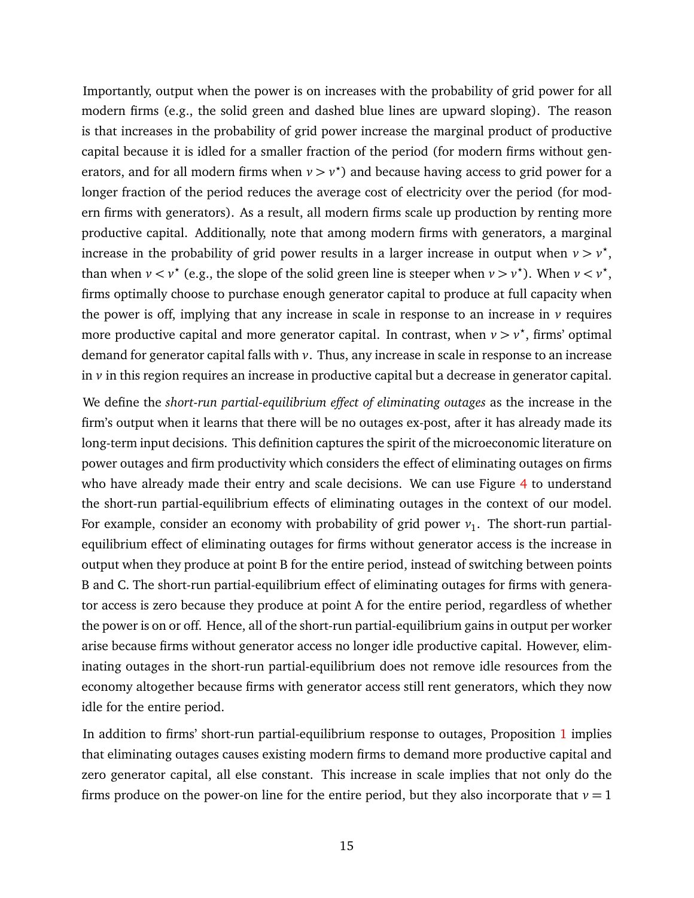Importantly, output when the power is on increases with the probability of grid power for all modern firms (e.g., the solid green and dashed blue lines are upward sloping). The reason is that increases in the probability of grid power increase the marginal product of productive capital because it is idled for a smaller fraction of the period (for modern firms without generators, and for all modern firms when  $v > v^*$ ) and because having access to grid power for a longer fraction of the period reduces the average cost of electricity over the period (for modern firms with generators). As a result, all modern firms scale up production by renting more productive capital. Additionally, note that among modern firms with generators, a marginal increase in the probability of grid power results in a larger increase in output when  $v > v^*$ , than when  $v < v^*$  (e.g., the slope of the solid green line is steeper when  $v > v^*$ ). When  $v < v^*$ , firms optimally choose to purchase enough generator capital to produce at full capacity when the power is off, implying that any increase in scale in response to an increase in *v* requires more productive capital and more generator capital. In contrast, when  $v > v^*$ , firms' optimal demand for generator capital falls with *v*. Thus, any increase in scale in response to an increase in *v* in this region requires an increase in productive capital but a decrease in generator capital.

We define the *short-run partial-equilibrium effect of eliminating outages* as the increase in the firm's output when it learns that there will be no outages ex-post, after it has already made its long-term input decisions. This definition captures the spirit of the microeconomic literature on power outages and firm productivity which considers the effect of eliminating outages on firms who have already made their entry and scale decisions. We can use Figure [4](#page-15-0) to understand the short-run partial-equilibrium effects of eliminating outages in the context of our model. For example, consider an economy with probability of grid power  $v_1$ . The short-run partialequilibrium effect of eliminating outages for firms without generator access is the increase in output when they produce at point B for the entire period, instead of switching between points B and C. The short-run partial-equilibrium effect of eliminating outages for firms with generator access is zero because they produce at point A for the entire period, regardless of whether the power is on or off. Hence, all of the short-run partial-equilibrium gains in output per worker arise because firms without generator access no longer idle productive capital. However, eliminating outages in the short-run partial-equilibrium does not remove idle resources from the economy altogether because firms with generator access still rent generators, which they now idle for the entire period.

In addition to firms' short-run partial-equilibrium response to outages, Proposition [1](#page-14-1) implies that eliminating outages causes existing modern firms to demand more productive capital and zero generator capital, all else constant. This increase in scale implies that not only do the firms produce on the power-on line for the entire period, but they also incorporate that  $v = 1$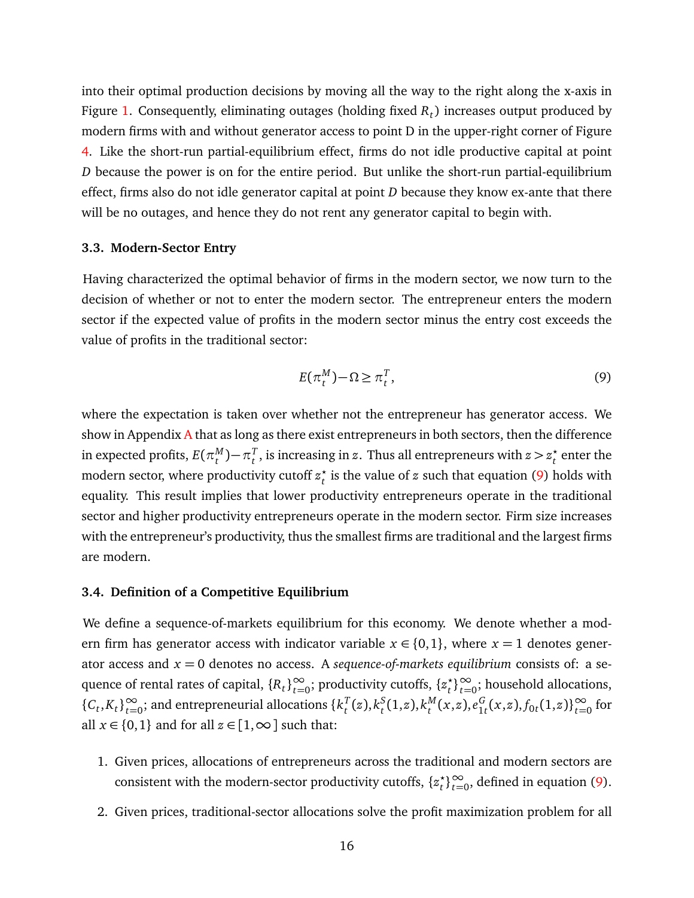into their optimal production decisions by moving all the way to the right along the x-axis in Figure [1.](#page-14-1) Consequently, eliminating outages (holding fixed *R<sup>t</sup>* ) increases output produced by modern firms with and without generator access to point D in the upper-right corner of Figure [4.](#page-15-0) Like the short-run partial-equilibrium effect, firms do not idle productive capital at point *D* because the power is on for the entire period. But unlike the short-run partial-equilibrium effect, firms also do not idle generator capital at point *D* because they know ex-ante that there will be no outages, and hence they do not rent any generator capital to begin with.

#### **3.3. Modern-Sector Entry**

Having characterized the optimal behavior of firms in the modern sector, we now turn to the decision of whether or not to enter the modern sector. The entrepreneur enters the modern sector if the expected value of profits in the modern sector minus the entry cost exceeds the value of profits in the traditional sector:

<span id="page-17-0"></span>
$$
E(\pi_t^M) - \Omega \ge \pi_t^T,\tag{9}
$$

where the expectation is taken over whether not the entrepreneur has generator access. We show in [A](#page-47-0)ppendix  $\bf{A}$  that as long as there exist entrepreneurs in both sectors, then the difference in expected profits,  $E(\pi^M_t)$  $_{t}^{M}$ )  $-\pi_{t}^{T}$  $\sum_{t}^{T}$ , is increasing in *z*. Thus all entrepreneurs with  $z > z_t^*$  $_t^\star$  enter the modern sector, where productivity cutoff  $z_t^*$ *t* is the value of *z* such that equation [\(9\)](#page-17-0) holds with equality. This result implies that lower productivity entrepreneurs operate in the traditional sector and higher productivity entrepreneurs operate in the modern sector. Firm size increases with the entrepreneur's productivity, thus the smallest firms are traditional and the largest firms are modern.

#### **3.4. Definition of a Competitive Equilibrium**

We define a sequence-of-markets equilibrium for this economy. We denote whether a modern firm has generator access with indicator variable  $x \in \{0,1\}$ , where  $x = 1$  denotes generator access and  $x = 0$  denotes no access. A *sequence-of-markets equilibrium* consists of: a sequence of rental rates of capital,  $\{R_t\}_{t=0}^{\infty}$ ; productivity cutoffs,  $\{z_t^\star\}$  $\left\langle t \right\rangle_{t=0}^{\infty}$ ; household allocations, { $C_t$ , $K_t$ }<sup>∞</sup><sub>*t*=0</sub>; and entrepreneurial allocations { $k_t^T$  $_t^T(z)$ ,  $k_t^S$  $_{t}^{S}(1,z)$ ,  $k_{t}^{M}$  $_{t}^{M}(x,z), e_{1}^{G}$  ${}_{1t}^G$ (*x*,*z*),  $f_{0t}$ (1,*z*)}<sup>∞</sup><sub>*t*=0</sub> for all  $x \in \{0,1\}$  and for all  $z \in [1,\infty]$  such that:

- 1. Given prices, allocations of entrepreneurs across the traditional and modern sectors are consistent with the modern-sector productivity cutoffs, {*z ?*  $\left(\begin{array}{c} \star \\ t \end{array}\right)$  <sup>∞</sup> defined in equation [\(9\)](#page-17-0).
- 2. Given prices, traditional-sector allocations solve the profit maximization problem for all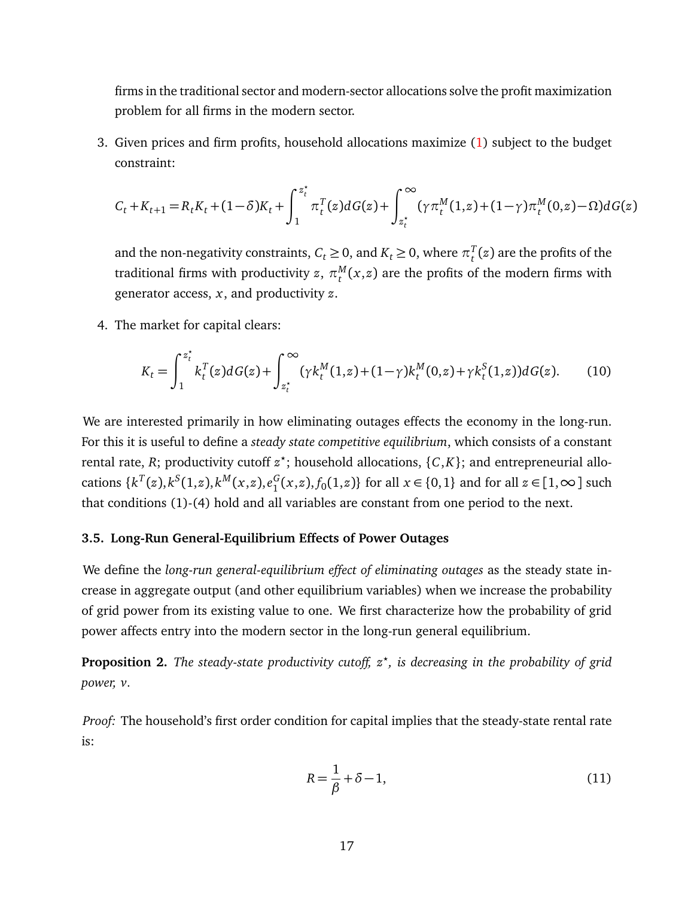firms in the traditional sector and modern-sector allocations solve the profit maximization problem for all firms in the modern sector.

3. Given prices and firm profits, household allocations maximize [\(1\)](#page-10-0) subject to the budget constraint:

$$
C_t + K_{t+1} = R_t K_t + (1 - \delta) K_t + \int_1^{z_t^{\star}} \pi_t^T(z) dG(z) + \int_{z_t^{\star}}^{\infty} (\gamma \pi_t^M(1, z) + (1 - \gamma) \pi_t^M(0, z) - \Omega) dG(z)
$$

and the non-negativity constraints,  $C_t \ge 0$ , and  $K_t \ge 0$ , where  $\pi_t^T$ *t* (*z*) are the profits of the traditional firms with productivity  $z, \, \pi^{M}_{t}$  $t_t^M(x,z)$  are the profits of the modern firms with generator access, *x*, and productivity *z*.

4. The market for capital clears:

$$
K_t = \int_1^{z_t^*} k_t^T(z) dG(z) + \int_{z_t^*}^{\infty} (\gamma k_t^M(1, z) + (1 - \gamma) k_t^M(0, z) + \gamma k_t^S(1, z)) dG(z).
$$
 (10)

We are interested primarily in how eliminating outages effects the economy in the long-run. For this it is useful to define a *steady state competitive equilibrium*, which consists of a constant rental rate, *R*; productivity cutoff  $z^*$ ; household allocations, {*C*,*K*}; and entrepreneurial allocations  $\{k^T(z), k^S(1,z), k^M(x,z), e_1^G\}$  $_{1}^{G}(x, z), f_{0}(1, z)$ } for all *x* ∈ {0, 1} and for all *z* ∈ [1, ∞] such that conditions (1)-(4) hold and all variables are constant from one period to the next.

#### **3.5. Long-Run General-Equilibrium Effects of Power Outages**

We define the *long-run general-equilibrium effect of eliminating outages* as the steady state increase in aggregate output (and other equilibrium variables) when we increase the probability of grid power from its existing value to one. We first characterize how the probability of grid power affects entry into the modern sector in the long-run general equilibrium.

<span id="page-18-0"></span>**Proposition 2.** *The steady-state productivity cutoff, z? , is decreasing in the probability of grid power, v.*

*Proof:* The household's first order condition for capital implies that the steady-state rental rate is:

$$
R = \frac{1}{\beta} + \delta - 1,\tag{11}
$$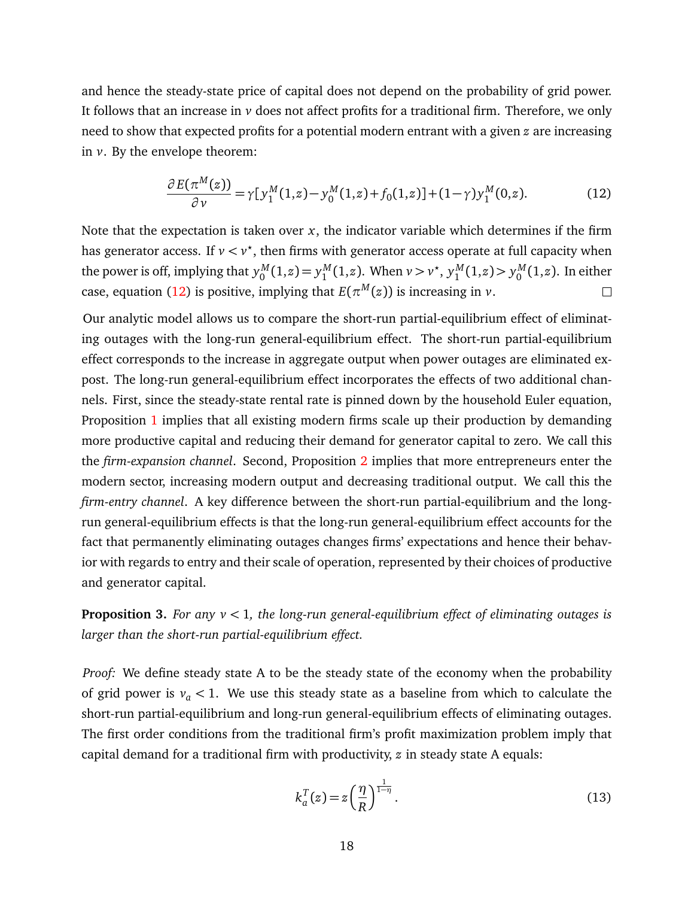and hence the steady-state price of capital does not depend on the probability of grid power. It follows that an increase in *v* does not affect profits for a traditional firm. Therefore, we only need to show that expected profits for a potential modern entrant with a given *z* are increasing in *v*. By the envelope theorem:

<span id="page-19-0"></span>
$$
\frac{\partial E(\pi^M(z))}{\partial v} = \gamma [y_1^M(1,z) - y_0^M(1,z) + f_0(1,z)] + (1-\gamma) y_1^M(0,z). \tag{12}
$$

Note that the expectation is taken over  $x$ , the indicator variable which determines if the firm has generator access. If  $v < v^*$ , then firms with generator access operate at full capacity when the power is off, implying that  $y_0^M$  $y_0^M(1,z) = y_1^M$  $_{1}^{M}(1,z)$ . When  $v > v^*$ ,  $y_1^M$  $y_1^M(1,z) > y_0^M$  $\int_0^M(1,z)$ . In either case, equation [\(12\)](#page-19-0) is positive, implying that  $E(\pi^M(z))$  is increasing in  $\nu$ .  $\Box$ 

Our analytic model allows us to compare the short-run partial-equilibrium effect of eliminating outages with the long-run general-equilibrium effect. The short-run partial-equilibrium effect corresponds to the increase in aggregate output when power outages are eliminated expost. The long-run general-equilibrium effect incorporates the effects of two additional channels. First, since the steady-state rental rate is pinned down by the household Euler equation, Proposition [1](#page-14-1) implies that all existing modern firms scale up their production by demanding more productive capital and reducing their demand for generator capital to zero. We call this the *firm-expansion channel*. Second, Proposition [2](#page-18-0) implies that more entrepreneurs enter the modern sector, increasing modern output and decreasing traditional output. We call this the *firm-entry channel*. A key difference between the short-run partial-equilibrium and the longrun general-equilibrium effects is that the long-run general-equilibrium effect accounts for the fact that permanently eliminating outages changes firms' expectations and hence their behavior with regards to entry and their scale of operation, represented by their choices of productive and generator capital.

<span id="page-19-2"></span>**Proposition 3.** *For any v <* 1*, the long-run general-equilibrium effect of eliminating outages is larger than the short-run partial-equilibrium effect.*

*Proof:* We define steady state A to be the steady state of the economy when the probability of grid power is  $v_a < 1$ . We use this steady state as a baseline from which to calculate the short-run partial-equilibrium and long-run general-equilibrium effects of eliminating outages. The first order conditions from the traditional firm's profit maximization problem imply that capital demand for a traditional firm with productivity, *z* in steady state A equals:

<span id="page-19-1"></span>
$$
k_a^T(z) = z \left(\frac{\eta}{R}\right)^{\frac{1}{1-\eta}}.
$$
\n(13)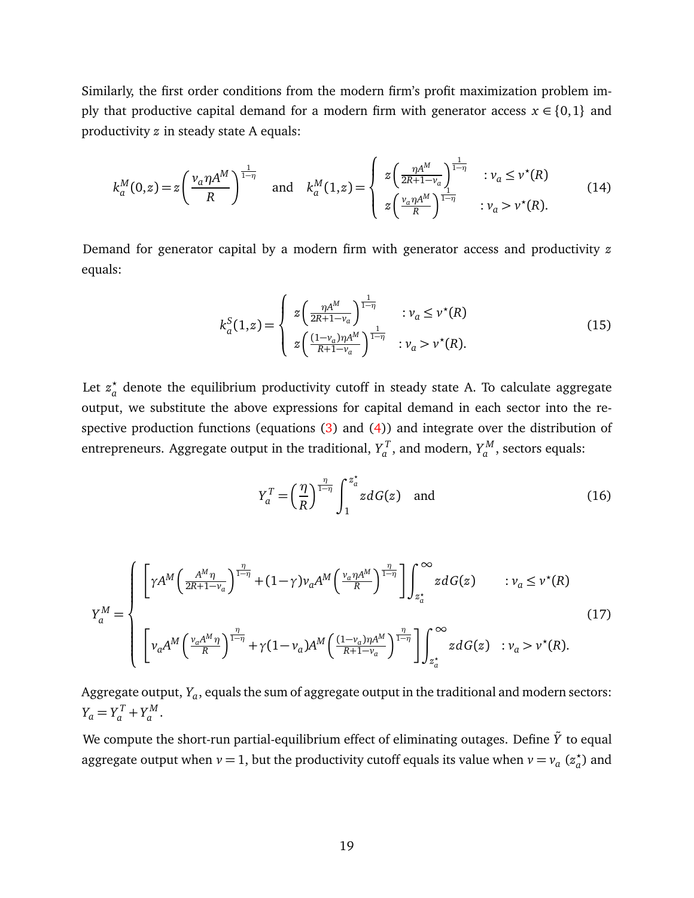Similarly, the first order conditions from the modern firm's profit maximization problem imply that productive capital demand for a modern firm with generator access  $x \in \{0,1\}$  and productivity *z* in steady state A equals:

$$
k_a^M(0,z) = z \left(\frac{v_a \eta A^M}{R}\right)^{\frac{1}{1-\eta}} \quad \text{and} \quad k_a^M(1,z) = \begin{cases} z \left(\frac{\eta A^M}{2R+1-v_a}\right)^{\frac{1}{1-\eta}} & : v_a \le v^*(R) \\ z \left(\frac{v_a \eta A^M}{R}\right)^{\frac{1}{1-\eta}} & : v_a > v^*(R). \end{cases}
$$
(14)

Demand for generator capital by a modern firm with generator access and productivity *z* equals:

<span id="page-20-0"></span>
$$
k_a^S(1,z) = \begin{cases} z \left( \frac{\eta A^M}{2R + 1 - v_a} \right)^{\frac{1}{1 - \eta}} & : v_a \le v^*(R) \\ z \left( \frac{(1 - v_a)\eta A^M}{R + 1 - v_a} \right)^{\frac{1}{1 - \eta}} & : v_a > v^*(R). \end{cases}
$$
(15)

Let  $z^{\star}_{a}$ *a* denote the equilibrium productivity cutoff in steady state A. To calculate aggregate output, we substitute the above expressions for capital demand in each sector into the respective production functions (equations [\(3\)](#page-11-1) and [\(4\)](#page-11-0)) and integrate over the distribution of entrepreneurs. Aggregate output in the traditional,  $Y_q^T$  $\chi^T_a$ , and modern,  $Y^M_a$ *a* , sectors equals:

$$
Y_a^T = \left(\frac{\eta}{R}\right)^{\frac{\eta}{1-\eta}} \int_1^{z_a^*} z dG(z) \quad \text{and} \tag{16}
$$

$$
Y_a^M = \begin{cases} \left[ \gamma A^M \left( \frac{A^M \eta}{2R + 1 - v_a} \right)^{\frac{\eta}{1 - \eta}} + (1 - \gamma) v_a A^M \left( \frac{v_a \eta A^M}{R} \right)^{\frac{\eta}{1 - \eta}} \right] \int_{z_a^*}^{\infty} z dG(z) & : v_a \le v^*(R) \\ \left[ v_a A^M \left( \frac{v_a A^M \eta}{R} \right)^{\frac{\eta}{1 - \eta}} + \gamma (1 - v_a) A^M \left( \frac{(1 - v_a) \eta A^M}{R + 1 - v_a} \right)^{\frac{\eta}{1 - \eta}} \right] \int_{z_a^*}^{\infty} z dG(z) & : v_a > v^*(R). \end{cases} \tag{17}
$$

Aggregate output,  $Y_a$ , equals the sum of aggregate output in the traditional and modern sectors:  $Y_a = Y_a^T + Y_a^M$ *a* .

We compute the short-run partial-equilibrium effect of eliminating outages. Define  $\tilde{Y}$  to equal aggregate output when  $v = 1$ , but the productivity cutoff equals its value when  $v = v_a$  ( $z_a^*$ *a* ) and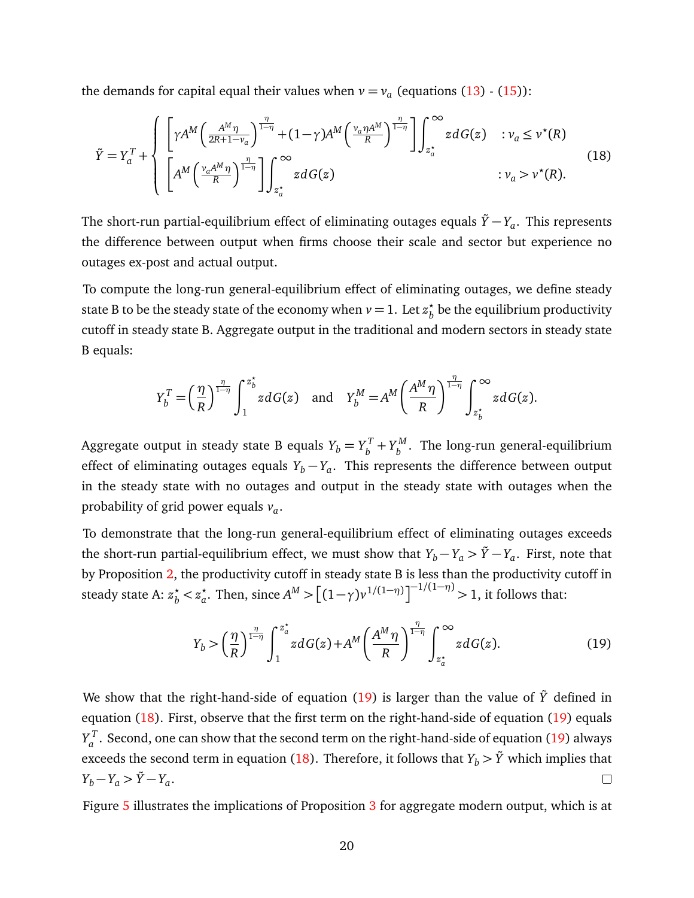the demands for capital equal their values when  $v = v_a$  (equations  $(13)$  -  $(15)$ ):

<span id="page-21-1"></span>
$$
\tilde{Y} = Y_a^T + \begin{cases}\n\left[\gamma A^M \left(\frac{A^M \eta}{2R + 1 - \nu_a}\right)^{\frac{\eta}{1 - \eta}} + (1 - \gamma) A^M \left(\frac{\nu_a \eta A^M}{R}\right)^{\frac{\eta}{1 - \eta}}\right] \int_{z_a^*}^{\infty} z dG(z) & : \nu_a \le \nu^*(R) \\
\left[A^M \left(\frac{\nu_a A^M \eta}{R}\right)^{\frac{\eta}{1 - \eta}}\right] \int_{z_a^*}^{\infty} z dG(z) & : \nu_a > \nu^*(R).\n\end{cases} (18)
$$

The short-run partial-equilibrium effect of eliminating outages equals  $\tilde{Y}\!-\!Y_a.$  This represents the difference between output when firms choose their scale and sector but experience no outages ex-post and actual output.

To compute the long-run general-equilibrium effect of eliminating outages, we define steady state B to be the steady state of the economy when  $v = 1$ . Let  $z_b^*$  $_{b}^{\star}$  be the equilibrium productivity cutoff in steady state B. Aggregate output in the traditional and modern sectors in steady state B equals:

$$
Y_b^T = \left(\frac{\eta}{R}\right)^{\frac{\eta}{1-\eta}} \int_1^{z_b^*} z dG(z) \quad \text{and} \quad Y_b^M = A^M \left(\frac{A^M \eta}{R}\right)^{\frac{\eta}{1-\eta}} \int_{z_b^*}^{\infty} z dG(z).
$$

Aggregate output in steady state B equals  $Y_b = Y_b^T$  $y_b^T + Y_b^M$  $\delta_b^{M}$ . The long-run general-equilibrium effect of eliminating outages equals  $Y_b - Y_a$ . This represents the difference between output in the steady state with no outages and output in the steady state with outages when the probability of grid power equals *v<sup>a</sup>* .

To demonstrate that the long-run general-equilibrium effect of eliminating outages exceeds the short-run partial-equilibrium effect, we must show that  $Y_b-Y_a > \tilde{Y}-Y_a$ . First, note that by Proposition [2,](#page-18-0) the productivity cutoff in steady state B is less than the productivity cutoff in steady state A:  $z_b^* < z_a^*$  $\int_{a}^{x}$ . Then, since  $A^{M} > [(1-\gamma)v^{1/(1-\eta)}]^{-1/(1-\eta)} > 1$ , it follows that:

<span id="page-21-0"></span>
$$
Y_b > \left(\frac{\eta}{R}\right)^{\frac{\eta}{1-\eta}} \int_1^{z_a^*} z dG(z) + A^M \left(\frac{A^M \eta}{R}\right)^{\frac{\eta}{1-\eta}} \int_{z_a^*}^{\infty} z dG(z).
$$
 (19)

We show that the right-hand-side of equation  $(19)$  is larger than the value of  $\tilde{Y}$  defined in equation [\(18\)](#page-21-1). First, observe that the first term on the right-hand-side of equation [\(19\)](#page-21-0) equals  $Y_a^T$  $a^{\prime}$ . Second, one can show that the second term on the right-hand-side of equation [\(19\)](#page-21-0) always exceeds the second term in equation [\(18\)](#page-21-1). Therefore, it follows that  $Y_b > \tilde{Y}$  which implies that  $Y_b - Y_a > \tilde{Y} - Y_a.$  $\Box$ 

Figure [5](#page-22-0) illustrates the implications of Proposition [3](#page-19-2) for aggregate modern output, which is at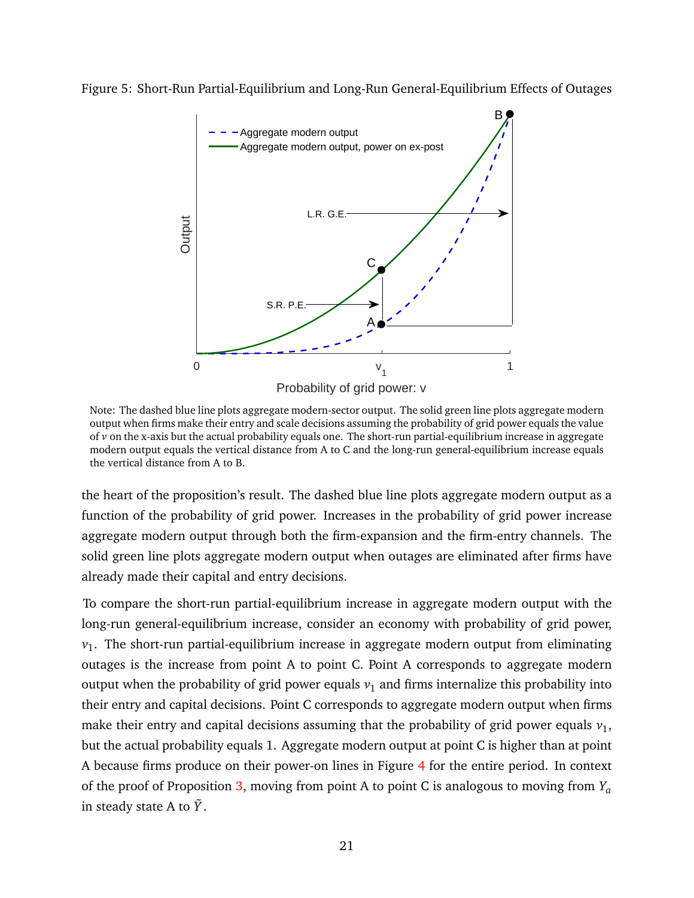<span id="page-22-0"></span>



Note: The dashed blue line plots aggregate modern-sector output. The solid green line plots aggregate modern output when firms make their entry and scale decisions assuming the probability of grid power equals the value of *v* on the x-axis but the actual probability equals one. The short-run partial-equilibrium increase in aggregate modern output equals the vertical distance from A to C and the long-run general-equilibrium increase equals the vertical distance from A to B.

the heart of the proposition's result. The dashed blue line plots aggregate modern output as a function of the probability of grid power. Increases in the probability of grid power increase aggregate modern output through both the firm-expansion and the firm-entry channels. The solid green line plots aggregate modern output when outages are eliminated after firms have already made their capital and entry decisions.

To compare the short-run partial-equilibrium increase in aggregate modern output with the long-run general-equilibrium increase, consider an economy with probability of grid power, *v*1 . The short-run partial-equilibrium increase in aggregate modern output from eliminating outages is the increase from point A to point C. Point A corresponds to aggregate modern output when the probability of grid power equals  $v_1$  and firms internalize this probability into their entry and capital decisions. Point C corresponds to aggregate modern output when firms make their entry and capital decisions assuming that the probability of grid power equals  $v_1$ , but the actual probability equals 1. Aggregate modern output at point C is higher than at point A because firms produce on their power-on lines in Figure [4](#page-15-0) for the entire period. In context of the proof of Proposition [3,](#page-19-2) moving from point A to point C is analogous to moving from *Y<sup>a</sup>* in steady state A to  $\tilde{Y}$ .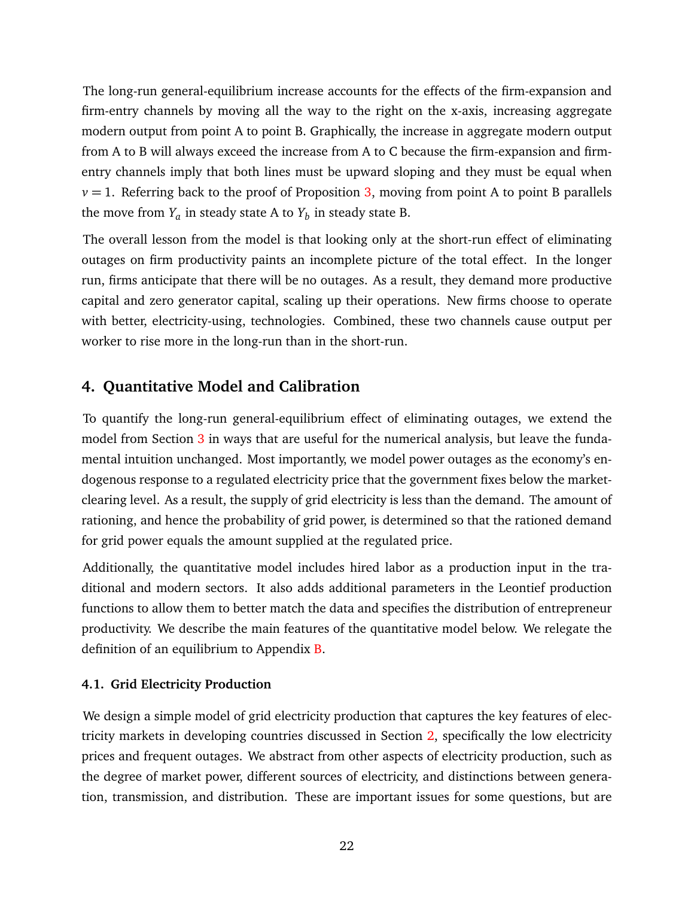The long-run general-equilibrium increase accounts for the effects of the firm-expansion and firm-entry channels by moving all the way to the right on the x-axis, increasing aggregate modern output from point A to point B. Graphically, the increase in aggregate modern output from A to B will always exceed the increase from A to C because the firm-expansion and firmentry channels imply that both lines must be upward sloping and they must be equal when  $v = 1$ . Referring back to the proof of Proposition [3,](#page-19-2) moving from point A to point B parallels the move from  $Y_a$  in steady state A to  $Y_b$  in steady state B.

The overall lesson from the model is that looking only at the short-run effect of eliminating outages on firm productivity paints an incomplete picture of the total effect. In the longer run, firms anticipate that there will be no outages. As a result, they demand more productive capital and zero generator capital, scaling up their operations. New firms choose to operate with better, electricity-using, technologies. Combined, these two channels cause output per worker to rise more in the long-run than in the short-run.

## <span id="page-23-0"></span>**4. Quantitative Model and Calibration**

To quantify the long-run general-equilibrium effect of eliminating outages, we extend the model from Section [3](#page-10-1) in ways that are useful for the numerical analysis, but leave the fundamental intuition unchanged. Most importantly, we model power outages as the economy's endogenous response to a regulated electricity price that the government fixes below the marketclearing level. As a result, the supply of grid electricity is less than the demand. The amount of rationing, and hence the probability of grid power, is determined so that the rationed demand for grid power equals the amount supplied at the regulated price.

Additionally, the quantitative model includes hired labor as a production input in the traditional and modern sectors. It also adds additional parameters in the Leontief production functions to allow them to better match the data and specifies the distribution of entrepreneur productivity. We describe the main features of the quantitative model below. We relegate the definition of an equilibrium to Appendix [B.](#page-47-0)

## **4.1. Grid Electricity Production**

We design a simple model of grid electricity production that captures the key features of electricity markets in developing countries discussed in Section [2,](#page-5-2) specifically the low electricity prices and frequent outages. We abstract from other aspects of electricity production, such as the degree of market power, different sources of electricity, and distinctions between generation, transmission, and distribution. These are important issues for some questions, but are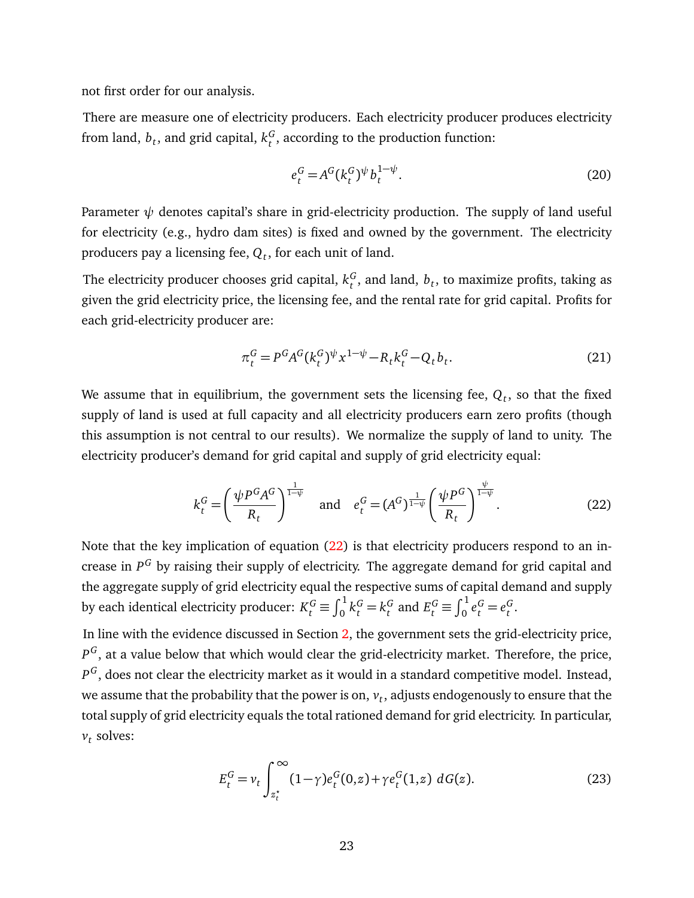not first order for our analysis.

There are measure one of electricity producers. Each electricity producer produces electricity from land,  $b_t$ , and grid capital,  $k_t^G$  $t<sub>t</sub><sup>G</sup>$ , according to the production function:

$$
e_t^G = A^G (k_t^G)^\psi b_t^{1-\psi}.
$$
\n(20)

Parameter  $\psi$  denotes capital's share in grid-electricity production. The supply of land useful for electricity (e.g., hydro dam sites) is fixed and owned by the government. The electricity producers pay a licensing fee, *Q<sup>t</sup>* , for each unit of land.

The electricity producer chooses grid capital,  $k_t^G$  $_t^G$ , and land,  $b_t$ , to maximize profits, taking as given the grid electricity price, the licensing fee, and the rental rate for grid capital. Profits for each grid-electricity producer are:

<span id="page-24-0"></span>
$$
\pi_t^G = P^G A^G (k_t^G)^\psi x^{1-\psi} - R_t k_t^G - Q_t b_t.
$$
\n(21)

We assume that in equilibrium, the government sets the licensing fee,  $\boldsymbol{Q}_t$ , so that the fixed supply of land is used at full capacity and all electricity producers earn zero profits (though this assumption is not central to our results). We normalize the supply of land to unity. The electricity producer's demand for grid capital and supply of grid electricity equal:

$$
k_t^G = \left(\frac{\psi P^G A^G}{R_t}\right)^{\frac{1}{1-\psi}} \quad \text{and} \quad e_t^G = (A^G)^{\frac{1}{1-\psi}} \left(\frac{\psi P^G}{R_t}\right)^{\frac{\psi}{1-\psi}}.
$$
 (22)

Note that the key implication of equation [\(22\)](#page-24-0) is that electricity producers respond to an increase in  $P^G$  by raising their supply of electricity. The aggregate demand for grid capital and the aggregate supply of grid electricity equal the respective sums of capital demand and supply by each identical electricity producer:  $K_t^G \equiv \int_0^1 k_t^G = k_t^G$  $E_t^G \equiv \int_0^1 e_t^G = e_t^G$ *t* .

In line with the evidence discussed in Section [2,](#page-5-2) the government sets the grid-electricity price,  $P^G,$  at a value below that which would clear the grid-electricity market. Therefore, the price,  $P^G,$  does not clear the electricity market as it would in a standard competitive model. Instead, we assume that the probability that the power is on,  $v_t$ , adjusts endogenously to ensure that the total supply of grid electricity equals the total rationed demand for grid electricity. In particular, *vt* solves:

<span id="page-24-1"></span>
$$
E_t^G = v_t \int_{z_t^*}^{\infty} (1 - \gamma) e_t^G(0, z) + \gamma e_t^G(1, z) \, dG(z). \tag{23}
$$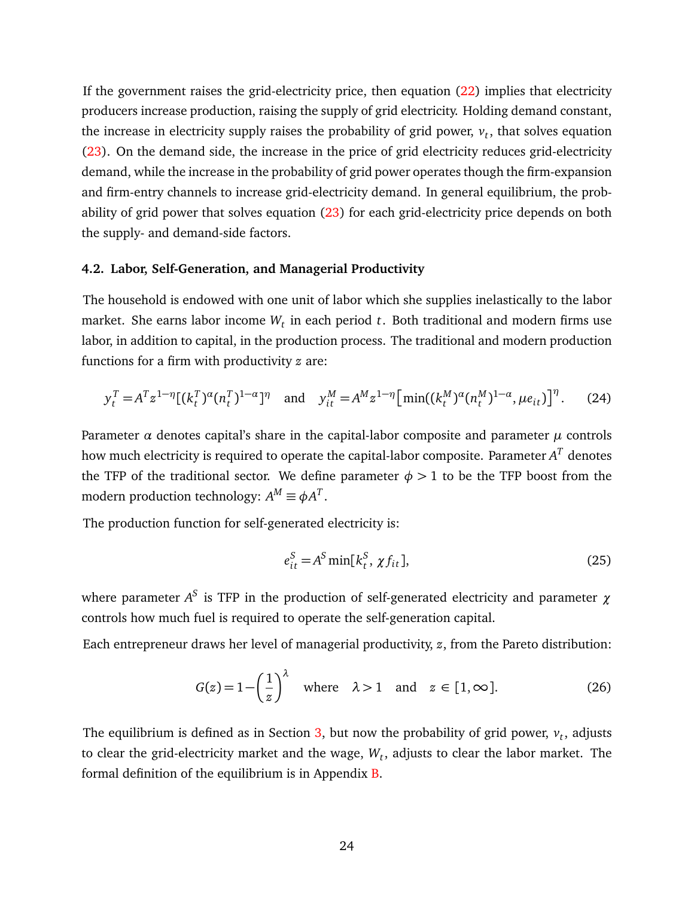If the government raises the grid-electricity price, then equation [\(22\)](#page-24-0) implies that electricity producers increase production, raising the supply of grid electricity. Holding demand constant, the increase in electricity supply raises the probability of grid power,  $v_t$ , that solves equation [\(23\)](#page-24-1). On the demand side, the increase in the price of grid electricity reduces grid-electricity demand, while the increase in the probability of grid power operates though the firm-expansion and firm-entry channels to increase grid-electricity demand. In general equilibrium, the probability of grid power that solves equation [\(23\)](#page-24-1) for each grid-electricity price depends on both the supply- and demand-side factors.

#### **4.2. Labor, Self-Generation, and Managerial Productivity**

The household is endowed with one unit of labor which she supplies inelastically to the labor market. She earns labor income *W<sup>t</sup>* in each period *t*. Both traditional and modern firms use labor, in addition to capital, in the production process. The traditional and modern production functions for a firm with productivity *z* are:

$$
y_t^T = A^T z^{1-\eta} [(k_t^T)^{\alpha} (n_t^T)^{1-\alpha}]^{\eta} \quad \text{and} \quad y_{it}^M = A^M z^{1-\eta} [\min((k_t^M)^{\alpha} (n_t^M)^{1-\alpha}, \mu e_{it})]^{\eta}. \tag{24}
$$

Parameter  $\alpha$  denotes capital's share in the capital-labor composite and parameter  $\mu$  controls how much electricity is required to operate the capital-labor composite. Parameter  $A^T$  denotes the TFP of the traditional sector. We define parameter  $\phi > 1$  to be the TFP boost from the modern production technology:  $A^M \equiv \phi A^T$ .

The production function for self-generated electricity is:

$$
e_{it}^{S} = A^{S} \min[k_{t}^{S}, \chi f_{it}], \qquad (25)
$$

where parameter  $A^S$  is TFP in the production of self-generated electricity and parameter  $χ$ controls how much fuel is required to operate the self-generation capital.

Each entrepreneur draws her level of managerial productivity, *z*, from the Pareto distribution:

$$
G(z) = 1 - \left(\frac{1}{z}\right)^{\lambda} \quad \text{where} \quad \lambda > 1 \quad \text{and} \quad z \in [1, \infty]. \tag{26}
$$

The equilibrium is defined as in Section [3,](#page-10-1) but now the probability of grid power,  $v_t$ , adjusts to clear the grid-electricity market and the wage, *W<sup>t</sup>* , adjusts to clear the labor market. The formal definition of the equilibrium is in Appendix [B.](#page-47-0)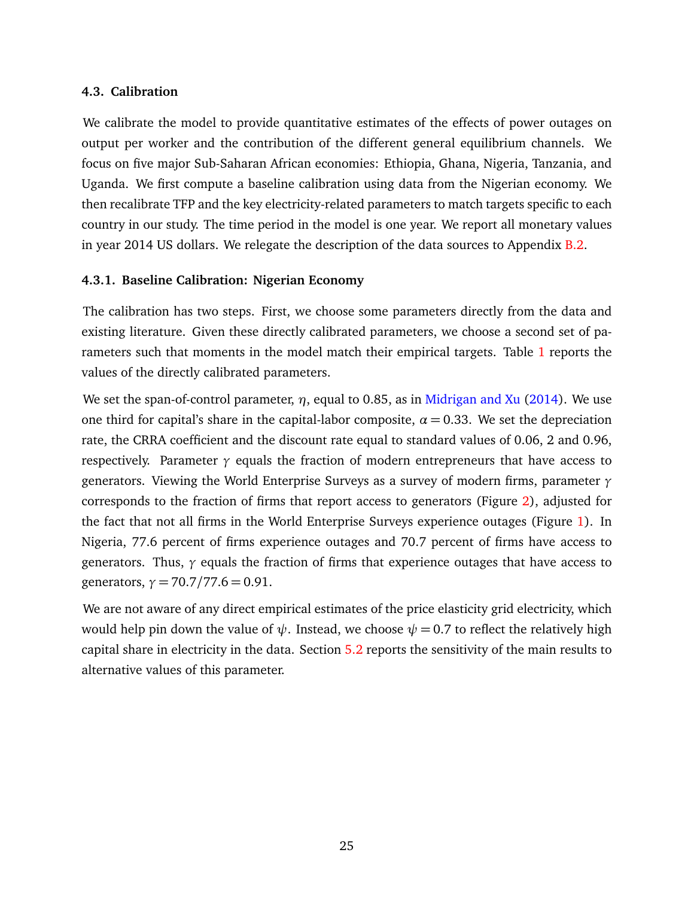#### **4.3. Calibration**

We calibrate the model to provide quantitative estimates of the effects of power outages on output per worker and the contribution of the different general equilibrium channels. We focus on five major Sub-Saharan African economies: Ethiopia, Ghana, Nigeria, Tanzania, and Uganda. We first compute a baseline calibration using data from the Nigerian economy. We then recalibrate TFP and the key electricity-related parameters to match targets specific to each country in our study. The time period in the model is one year. We report all monetary values in year 2014 US dollars. We relegate the description of the data sources to Appendix [B.2.](#page-50-0)

#### **4.3.1. Baseline Calibration: Nigerian Economy**

The calibration has two steps. First, we choose some parameters directly from the data and existing literature. Given these directly calibrated parameters, we choose a second set of parameters such that moments in the model match their empirical targets. Table [1](#page-27-0) reports the values of the directly calibrated parameters.

We set the span-of-control parameter, *η*, equal to 0.85, as in [Midrigan and Xu](#page-46-2) [\(2014\)](#page-46-2). We use one third for capital's share in the capital-labor composite,  $\alpha = 0.33$ . We set the depreciation rate, the CRRA coefficient and the discount rate equal to standard values of 0.06, 2 and 0.96, respectively. Parameter  $\gamma$  equals the fraction of modern entrepreneurs that have access to generators. Viewing the World Enterprise Surveys as a survey of modern firms, parameter *γ* corresponds to the fraction of firms that report access to generators (Figure [2\)](#page-8-0), adjusted for the fact that not all firms in the World Enterprise Surveys experience outages (Figure [1\)](#page-7-0). In Nigeria, 77.6 percent of firms experience outages and 70.7 percent of firms have access to generators. Thus, *γ* equals the fraction of firms that experience outages that have access to generators,  $\gamma = 70.7/77.6 = 0.91$ .

We are not aware of any direct empirical estimates of the price elasticity grid electricity, which would help pin down the value of  $\psi$ . Instead, we choose  $\psi = 0.7$  to reflect the relatively high capital share in electricity in the data. Section [5.2](#page-34-0) reports the sensitivity of the main results to alternative values of this parameter.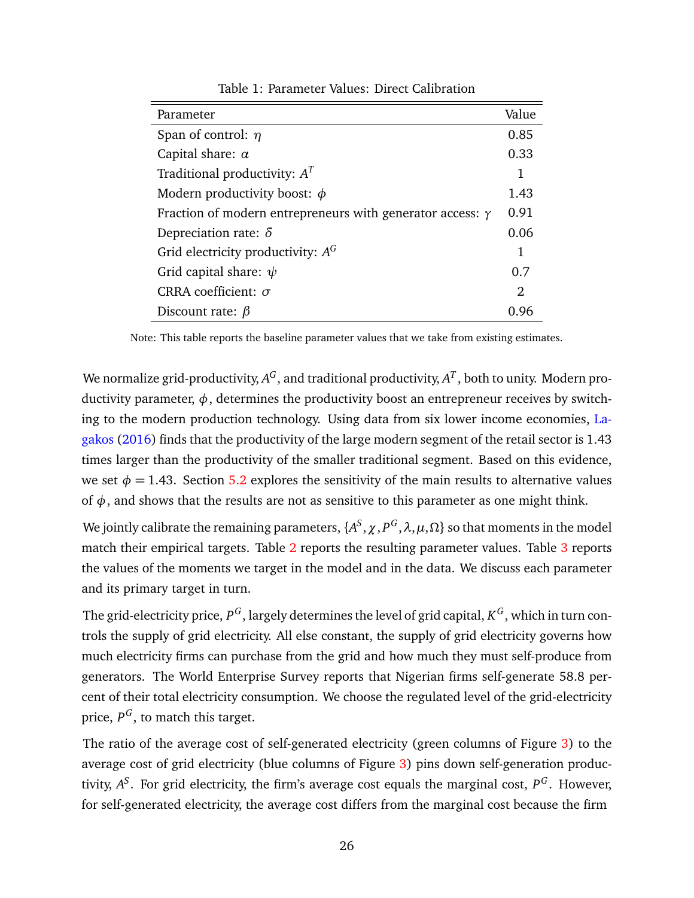<span id="page-27-0"></span>

| Parameter                                                        | Value          |
|------------------------------------------------------------------|----------------|
| Span of control: $\eta$                                          | 0.85           |
| Capital share: $\alpha$                                          | 0.33           |
| Traditional productivity: $AT$                                   | 1              |
| Modern productivity boost: $\phi$                                | 1.43           |
| Fraction of modern entrepreneurs with generator access: $\gamma$ | 0.91           |
| Depreciation rate: $\delta$                                      | 0.06           |
| Grid electricity productivity: $A^G$                             | 1              |
| Grid capital share: $\psi$                                       | 0.7            |
| CRRA coefficient: $\sigma$                                       | $\mathfrak{D}$ |
| Discount rate: $\beta$                                           | 0.96           |

Table 1: Parameter Values: Direct Calibration

Note: This table reports the baseline parameter values that we take from existing estimates.

We normalize grid-productivity,  $A^G$ , and traditional productivity,  $A^T$  , both to unity. Modern productivity parameter,  $\phi$ , determines the productivity boost an entrepreneur receives by switching to the modern production technology. Using data from six lower income economies, [La](#page-45-13)[gakos](#page-45-13) [\(2016\)](#page-45-13) finds that the productivity of the large modern segment of the retail sector is 1.43 times larger than the productivity of the smaller traditional segment. Based on this evidence, we set  $\phi = 1.43$ . Section [5.2](#page-34-0) explores the sensitivity of the main results to alternative values of  $\phi$ , and shows that the results are not as sensitive to this parameter as one might think.

We jointly calibrate the remaining parameters,  $\{A^S, \chi, P^G, \lambda, \mu, \Omega\}$  so that moments in the model match their empirical targets. Table [2](#page-28-0) reports the resulting parameter values. Table [3](#page-29-0) reports the values of the moments we target in the model and in the data. We discuss each parameter and its primary target in turn.

The grid-electricity price,  $P^G$ , largely determines the level of grid capital,  $K^G$ , which in turn controls the supply of grid electricity. All else constant, the supply of grid electricity governs how much electricity firms can purchase from the grid and how much they must self-produce from generators. The World Enterprise Survey reports that Nigerian firms self-generate 58.8 percent of their total electricity consumption. We choose the regulated level of the grid-electricity price,  $P^G$ , to match this target.

The ratio of the average cost of self-generated electricity (green columns of Figure [3\)](#page-9-0) to the average cost of grid electricity (blue columns of Figure [3\)](#page-9-0) pins down self-generation productivity,  $A^S$ . For grid electricity, the firm's average cost equals the marginal cost,  $P^G$ . However, for self-generated electricity, the average cost differs from the marginal cost because the firm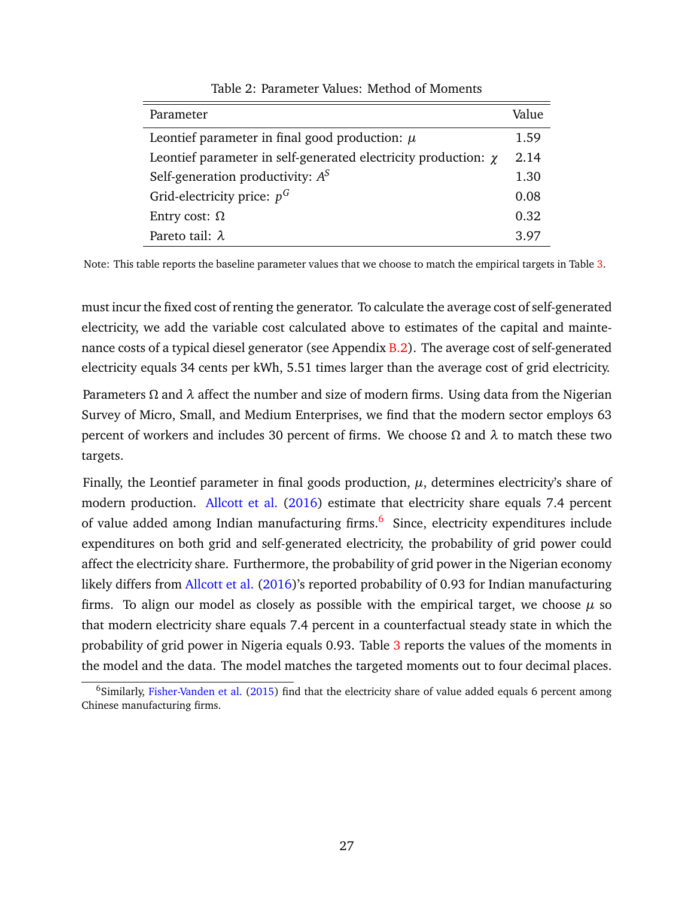<span id="page-28-0"></span>

| Parameter                                                           | Value |
|---------------------------------------------------------------------|-------|
| Leontief parameter in final good production: $\mu$                  | 1.59  |
| Leontief parameter in self-generated electricity production: $\chi$ | 2.14  |
| Self-generation productivity: $A^S$                                 | 1.30  |
| Grid-electricity price: $p^G$                                       | 0.08  |
| Entry cost: $Ω$                                                     | 0.32  |
| Pareto tail: $\lambda$                                              | 3.97  |

Table 2: Parameter Values: Method of Moments

Note: This table reports the baseline parameter values that we choose to match the empirical targets in Table [3.](#page-29-0)

must incur the fixed cost of renting the generator. To calculate the average cost of self-generated electricity, we add the variable cost calculated above to estimates of the capital and mainte-nance costs of a typical diesel generator (see Appendix [B.2\)](#page-50-0). The average cost of self-generated electricity equals 34 cents per kWh, 5.51 times larger than the average cost of grid electricity.

Parameters *Ω* and *λ* affect the number and size of modern firms. Using data from the Nigerian Survey of Micro, Small, and Medium Enterprises, we find that the modern sector employs 63 percent of workers and includes 30 percent of firms. We choose *Ω* and *λ* to match these two targets.

Finally, the Leontief parameter in final goods production,  $\mu$ , determines electricity's share of modern production. [Allcott et al.](#page-43-0) [\(2016\)](#page-43-0) estimate that electricity share equals 7.4 percent of value added among Indian manufacturing firms.<sup>[6](#page-28-1)</sup> Since, electricity expenditures include expenditures on both grid and self-generated electricity, the probability of grid power could affect the electricity share. Furthermore, the probability of grid power in the Nigerian economy likely differs from [Allcott et al.](#page-43-0) [\(2016\)](#page-43-0)'s reported probability of 0.93 for Indian manufacturing firms. To align our model as closely as possible with the empirical target, we choose  $\mu$  so that modern electricity share equals 7.4 percent in a counterfactual steady state in which the probability of grid power in Nigeria equals 0.9[3](#page-29-0). Table 3 reports the values of the moments in the model and the data. The model matches the targeted moments out to four decimal places.

<span id="page-28-1"></span><sup>&</sup>lt;sup>6</sup>Similarly, [Fisher-Vanden et al.](#page-45-2) [\(2015\)](#page-45-2) find that the electricity share of value added equals 6 percent among Chinese manufacturing firms.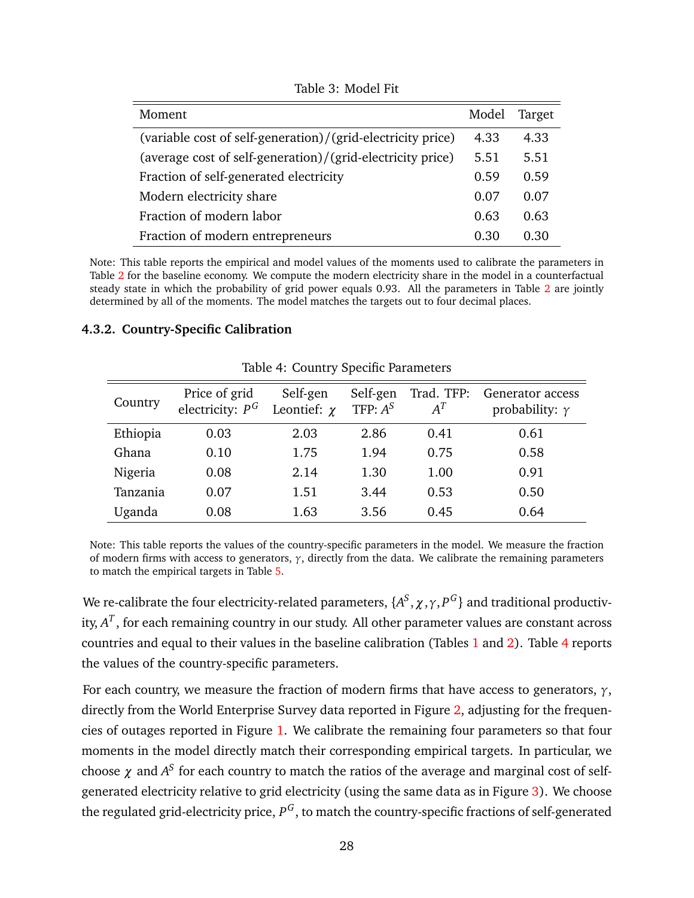<span id="page-29-0"></span>

| Moment                                                      | Model | Target |
|-------------------------------------------------------------|-------|--------|
| (variable cost of self-generation)/(grid-electricity price) | 4.33  | 4.33   |
| (average cost of self-generation)/(grid-electricity price)  | 5.51  | 5.51   |
| Fraction of self-generated electricity                      | 0.59  | 0.59   |
| Modern electricity share                                    | 0.07  | 0.07   |
| Fraction of modern labor                                    | 0.63  | 0.63   |
| Fraction of modern entrepreneurs                            | 0.30  | 0 30   |

Table 3: Model Fit

Note: This table reports the empirical and model values of the moments used to calibrate the parameters in Table [2](#page-28-0) for the baseline economy. We compute the modern electricity share in the model in a counterfactual steady state in which the probability of grid power equals 0.93. All the parameters in Table [2](#page-28-0) are jointly determined by all of the moments. The model matches the targets out to four decimal places.

#### <span id="page-29-1"></span>**4.3.2. Country-Specific Calibration**

| Country  | Price of grid<br>electricity: $P^G$ | Self-gen<br>Leontief: $\chi$ | Self-gen<br>TFP: $A^S$ | Trad. TFP:<br>$A^T$ | Generator access<br>probability: $\gamma$ |  |
|----------|-------------------------------------|------------------------------|------------------------|---------------------|-------------------------------------------|--|
| Ethiopia | 0.03                                | 2.03                         | 2.86                   | 0.41                | 0.61                                      |  |
| Ghana    | 0.10                                | 1.75                         | 1.94                   | 0.75                | 0.58                                      |  |
| Nigeria  | 0.08                                | 2.14                         | 1.30                   | 1.00                | 0.91                                      |  |
| Tanzania | 0.07                                | 1.51                         | 3.44                   | 0.53                | 0.50                                      |  |
| Uganda   | 0.08                                | 1.63                         | 3.56                   | 0.45                | 0.64                                      |  |

Table 4: Country Specific Parameters

Note: This table reports the values of the country-specific parameters in the model. We measure the fraction of modern firms with access to generators, *γ*, directly from the data. We calibrate the remaining parameters to match the empirical targets in Table [5.](#page-30-0)

We re-calibrate the four electricity-related parameters,  $\{A^S, \chi, \gamma, P^G\}$  and traditional productivity, *A T* , for each remaining country in our study. All other parameter values are constant across countries and equal to their values in the baseline calibration (Tables [1](#page-27-0) and [2\)](#page-28-0). Table [4](#page-29-1) reports the values of the country-specific parameters.

For each country, we measure the fraction of modern firms that have access to generators, *γ*, directly from the World Enterprise Survey data reported in Figure [2,](#page-8-0) adjusting for the frequencies of outages reported in Figure [1.](#page-7-0) We calibrate the remaining four parameters so that four moments in the model directly match their corresponding empirical targets. In particular, we choose  $\chi$  and  $A^S$  for each country to match the ratios of the average and marginal cost of selfgenerated electricity relative to grid electricity (using the same data as in Figure [3\)](#page-9-0). We choose the regulated grid-electricity price,  $P^G$ , to match the country-specific fractions of self-generated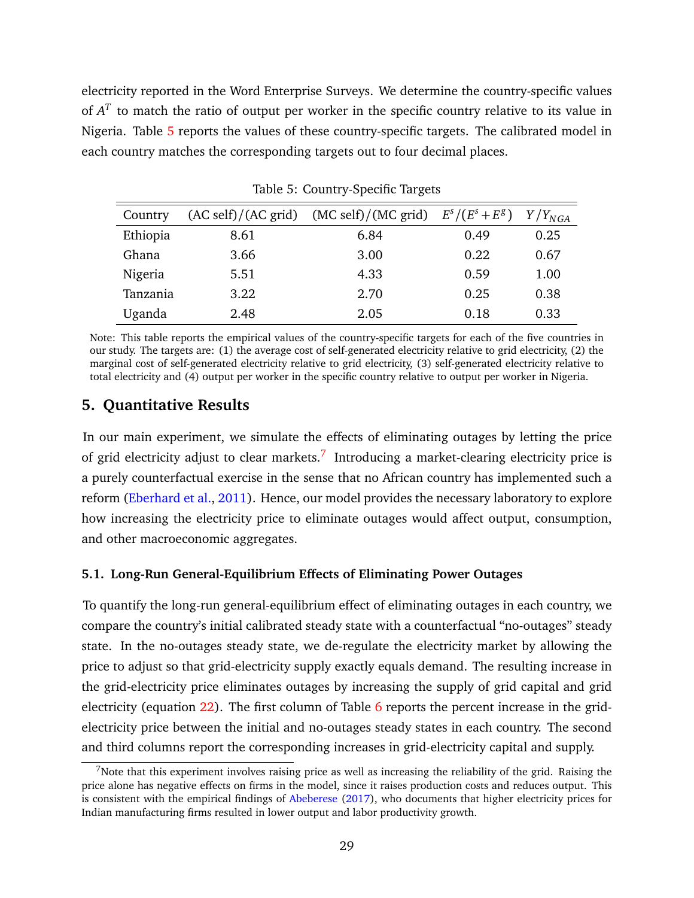electricity reported in the Word Enterprise Surveys. We determine the country-specific values of  $A<sup>T</sup>$  to match the ratio of output per worker in the specific country relative to its value in Nigeria. Table [5](#page-30-0) reports the values of these country-specific targets. The calibrated model in each country matches the corresponding targets out to four decimal places.

<span id="page-30-0"></span>

| Country  |      | $(AC \text{ self})/(AC \text{ grid})$ $(MC \text{ self})/(MC \text{ grid})$ $E^s/(E^s + E^g)$ |      | $Y/Y_{NGA}$ |
|----------|------|-----------------------------------------------------------------------------------------------|------|-------------|
| Ethiopia | 8.61 | 6.84                                                                                          | 0.49 | 0.25        |
| Ghana    | 3.66 | 3.00                                                                                          | 0.22 | 0.67        |
| Nigeria  | 5.51 | 4.33                                                                                          | 0.59 | 1.00        |
| Tanzania | 3.22 | 2.70                                                                                          | 0.25 | 0.38        |
| Uganda   | 2.48 | 2.05                                                                                          | 0.18 | 0.33        |

Table 5: Country-Specific Targets

Note: This table reports the empirical values of the country-specific targets for each of the five countries in our study. The targets are: (1) the average cost of self-generated electricity relative to grid electricity, (2) the marginal cost of self-generated electricity relative to grid electricity, (3) self-generated electricity relative to total electricity and (4) output per worker in the specific country relative to output per worker in Nigeria.

## **5. Quantitative Results**

In our main experiment, we simulate the effects of eliminating outages by letting the price of grid electricity adjust to clear markets.<sup>[7](#page-30-1)</sup> Introducing a market-clearing electricity price is a purely counterfactual exercise in the sense that no African country has implemented such a reform [\(Eberhard et al.,](#page-44-12) [2011\)](#page-44-12). Hence, our model provides the necessary laboratory to explore how increasing the electricity price to eliminate outages would affect output, consumption, and other macroeconomic aggregates.

#### **5.1. Long-Run General-Equilibrium Effects of Eliminating Power Outages**

To quantify the long-run general-equilibrium effect of eliminating outages in each country, we compare the country's initial calibrated steady state with a counterfactual "no-outages" steady state. In the no-outages steady state, we de-regulate the electricity market by allowing the price to adjust so that grid-electricity supply exactly equals demand. The resulting increase in the grid-electricity price eliminates outages by increasing the supply of grid capital and grid electricity (equation [22\)](#page-24-0). The first column of Table [6](#page-31-0) reports the percent increase in the gridelectricity price between the initial and no-outages steady states in each country. The second and third columns report the corresponding increases in grid-electricity capital and supply.

<span id="page-30-1"></span><sup>&</sup>lt;sup>7</sup>Note that this experiment involves raising price as well as increasing the reliability of the grid. Raising the price alone has negative effects on firms in the model, since it raises production costs and reduces output. This is consistent with the empirical findings of [Abeberese](#page-43-9) [\(2017\)](#page-43-9), who documents that higher electricity prices for Indian manufacturing firms resulted in lower output and labor productivity growth.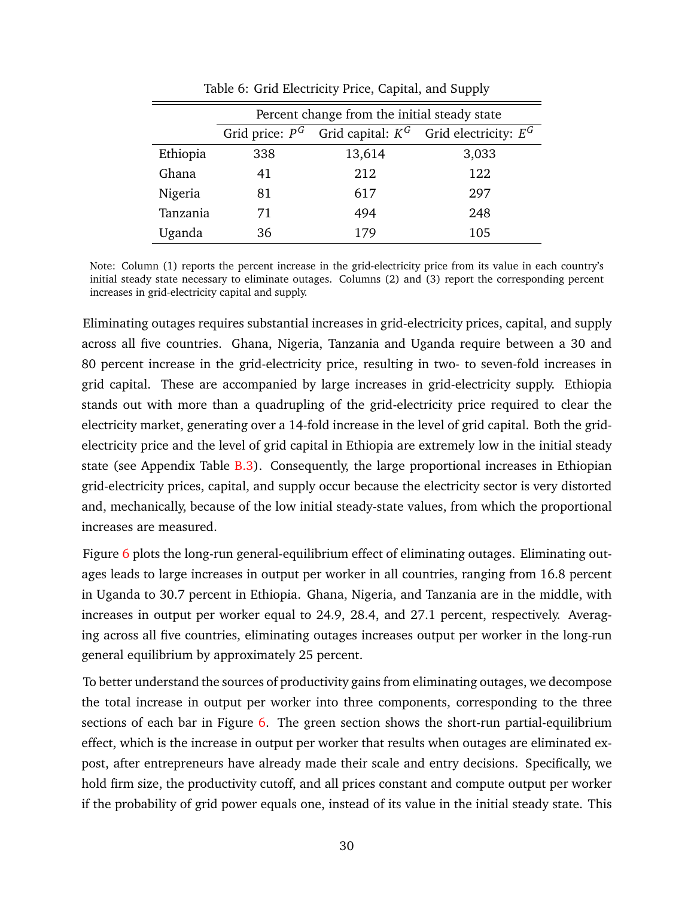<span id="page-31-0"></span>

|          | Percent change from the initial steady state                  |        |       |  |  |  |
|----------|---------------------------------------------------------------|--------|-------|--|--|--|
|          | Grid price: $P^G$ Grid capital: $K^G$ Grid electricity: $E^G$ |        |       |  |  |  |
| Ethiopia | 338                                                           | 13,614 | 3,033 |  |  |  |
| Ghana    | 41                                                            | 212    | 122   |  |  |  |
| Nigeria  | 81                                                            | 617    | 297   |  |  |  |
| Tanzania | 71                                                            | 494    | 248   |  |  |  |
| Uganda   | 36                                                            | 179    | 105   |  |  |  |

Table 6: Grid Electricity Price, Capital, and Supply

Note: Column (1) reports the percent increase in the grid-electricity price from its value in each country's initial steady state necessary to eliminate outages. Columns (2) and (3) report the corresponding percent increases in grid-electricity capital and supply.

Eliminating outages requires substantial increases in grid-electricity prices, capital, and supply across all five countries. Ghana, Nigeria, Tanzania and Uganda require between a 30 and 80 percent increase in the grid-electricity price, resulting in two- to seven-fold increases in grid capital. These are accompanied by large increases in grid-electricity supply. Ethiopia stands out with more than a quadrupling of the grid-electricity price required to clear the electricity market, generating over a 14-fold increase in the level of grid capital. Both the gridelectricity price and the level of grid capital in Ethiopia are extremely low in the initial steady state (see Appendix Table [B.3\)](#page-53-0). Consequently, the large proportional increases in Ethiopian grid-electricity prices, capital, and supply occur because the electricity sector is very distorted and, mechanically, because of the low initial steady-state values, from which the proportional increases are measured.

Figure [6](#page-32-0) plots the long-run general-equilibrium effect of eliminating outages. Eliminating outages leads to large increases in output per worker in all countries, ranging from 16.8 percent in Uganda to 30.7 percent in Ethiopia. Ghana, Nigeria, and Tanzania are in the middle, with increases in output per worker equal to 24.9, 28.4, and 27.1 percent, respectively. Averaging across all five countries, eliminating outages increases output per worker in the long-run general equilibrium by approximately 25 percent.

To better understand the sources of productivity gains from eliminating outages, we decompose the total increase in output per worker into three components, corresponding to the three sections of each bar in Figure [6.](#page-32-0) The green section shows the short-run partial-equilibrium effect, which is the increase in output per worker that results when outages are eliminated expost, after entrepreneurs have already made their scale and entry decisions. Specifically, we hold firm size, the productivity cutoff, and all prices constant and compute output per worker if the probability of grid power equals one, instead of its value in the initial steady state. This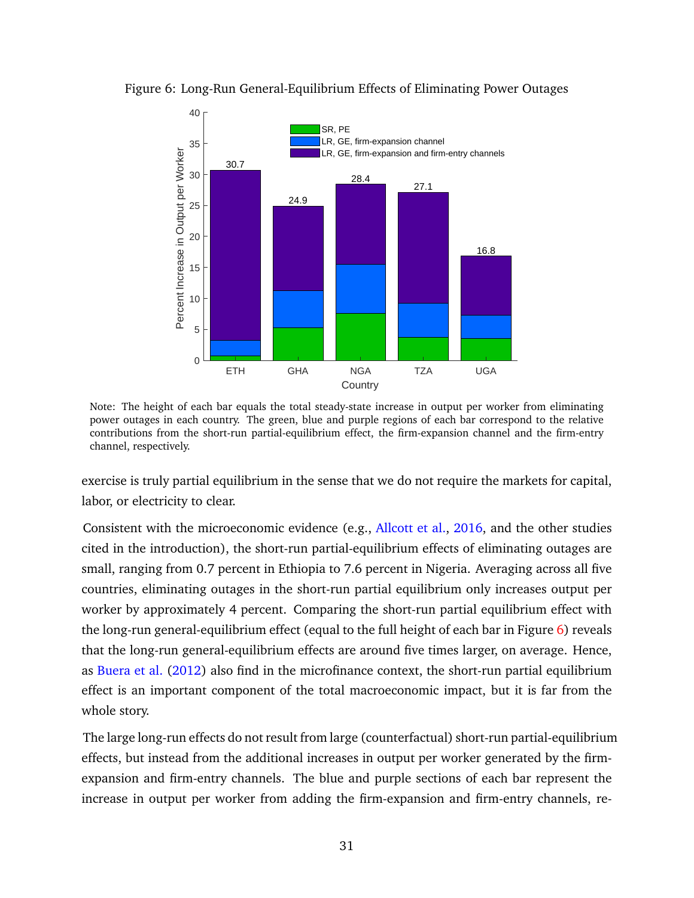

<span id="page-32-0"></span>Figure 6: Long-Run General-Equilibrium Effects of Eliminating Power Outages

Note: The height of each bar equals the total steady-state increase in output per worker from eliminating power outages in each country. The green, blue and purple regions of each bar correspond to the relative contributions from the short-run partial-equilibrium effect, the firm-expansion channel and the firm-entry channel, respectively.

exercise is truly partial equilibrium in the sense that we do not require the markets for capital, labor, or electricity to clear.

Consistent with the microeconomic evidence (e.g., [Allcott et al.,](#page-43-0) [2016,](#page-43-0) and the other studies cited in the introduction), the short-run partial-equilibrium effects of eliminating outages are small, ranging from 0.7 percent in Ethiopia to 7.6 percent in Nigeria. Averaging across all five countries, eliminating outages in the short-run partial equilibrium only increases output per worker by approximately 4 percent. Comparing the short-run partial equilibrium effect with the long-run general-equilibrium effect (equal to the full height of each bar in Figure [6\)](#page-32-0) reveals that the long-run general-equilibrium effects are around five times larger, on average. Hence, as [Buera et al.](#page-44-14) [\(2012\)](#page-44-14) also find in the microfinance context, the short-run partial equilibrium effect is an important component of the total macroeconomic impact, but it is far from the whole story.

The large long-run effects do not result from large (counterfactual) short-run partial-equilibrium effects, but instead from the additional increases in output per worker generated by the firmexpansion and firm-entry channels. The blue and purple sections of each bar represent the increase in output per worker from adding the firm-expansion and firm-entry channels, re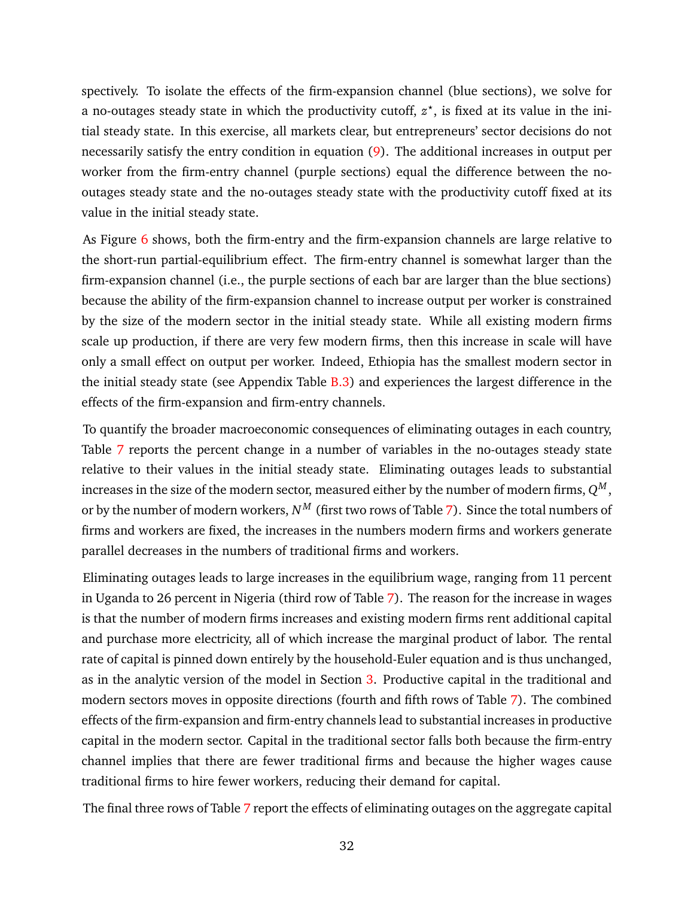spectively. To isolate the effects of the firm-expansion channel (blue sections), we solve for a no-outages steady state in which the productivity cutoff,  $z^*$ , is fixed at its value in the initial steady state. In this exercise, all markets clear, but entrepreneurs' sector decisions do not necessarily satisfy the entry condition in equation [\(9\)](#page-17-0). The additional increases in output per worker from the firm-entry channel (purple sections) equal the difference between the nooutages steady state and the no-outages steady state with the productivity cutoff fixed at its value in the initial steady state.

As Figure [6](#page-32-0) shows, both the firm-entry and the firm-expansion channels are large relative to the short-run partial-equilibrium effect. The firm-entry channel is somewhat larger than the firm-expansion channel (i.e., the purple sections of each bar are larger than the blue sections) because the ability of the firm-expansion channel to increase output per worker is constrained by the size of the modern sector in the initial steady state. While all existing modern firms scale up production, if there are very few modern firms, then this increase in scale will have only a small effect on output per worker. Indeed, Ethiopia has the smallest modern sector in the initial steady state (see Appendix Table [B.3\)](#page-53-0) and experiences the largest difference in the effects of the firm-expansion and firm-entry channels.

To quantify the broader macroeconomic consequences of eliminating outages in each country, Table [7](#page-34-1) reports the percent change in a number of variables in the no-outages steady state relative to their values in the initial steady state. Eliminating outages leads to substantial increases in the size of the modern sector, measured either by the number of modern firms,  $Q^M$  , or by the number of modern workers,  $N^M$  (first two rows of Table [7\)](#page-34-1). Since the total numbers of firms and workers are fixed, the increases in the numbers modern firms and workers generate parallel decreases in the numbers of traditional firms and workers.

Eliminating outages leads to large increases in the equilibrium wage, ranging from 11 percent in Uganda to 26 percent in Nigeria (third row of Table [7\)](#page-34-1). The reason for the increase in wages is that the number of modern firms increases and existing modern firms rent additional capital and purchase more electricity, all of which increase the marginal product of labor. The rental rate of capital is pinned down entirely by the household-Euler equation and is thus unchanged, as in the analytic version of the model in Section [3.](#page-10-1) Productive capital in the traditional and modern sectors moves in opposite directions (fourth and fifth rows of Table [7\)](#page-34-1). The combined effects of the firm-expansion and firm-entry channels lead to substantial increases in productive capital in the modern sector. Capital in the traditional sector falls both because the firm-entry channel implies that there are fewer traditional firms and because the higher wages cause traditional firms to hire fewer workers, reducing their demand for capital.

The final three rows of Table [7](#page-34-1) report the effects of eliminating outages on the aggregate capital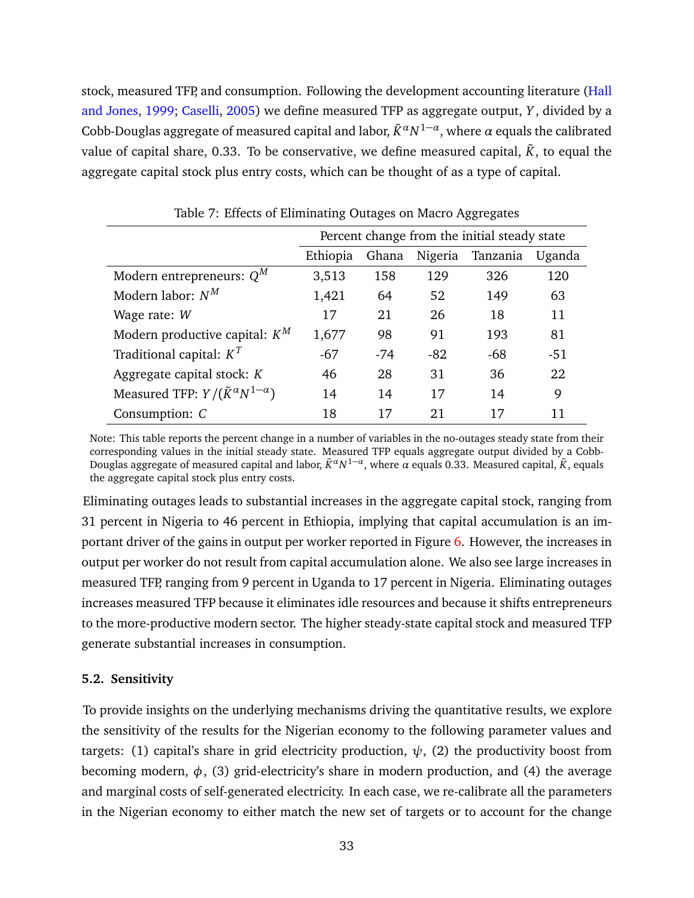stock, measured TFP, and consumption. Following the development accounting literature [\(Hall](#page-45-0) [and Jones,](#page-45-0) [1999;](#page-45-0) [Caselli,](#page-44-2) [2005\)](#page-44-2) we define measured TFP as aggregate output, *Y* , divided by a Cobb-Douglas aggregate of measured capital and labor,  $\tilde{K}^\alpha N^{1-\alpha}$ , where  $\alpha$  equals the calibrated value of capital share, 0.33. To be conservative, we define measured capital,  $\ddot{K}$ , to equal the aggregate capital stock plus entry costs, which can be thought of as a type of capital.

<span id="page-34-1"></span>

|                                                    | Percent change from the initial steady state |       |       |          |        |  |
|----------------------------------------------------|----------------------------------------------|-------|-------|----------|--------|--|
|                                                    | Ghana<br>Nigeria<br>Ethiopia                 |       |       | Tanzania | Uganda |  |
| Modern entrepreneurs: $Q^M$                        | 3,513                                        | 158   | 129   | 326      | 120    |  |
| Modern labor: $N^M$                                | 1,421                                        | 64    | 52    | 149      | 63     |  |
| Wage rate: W                                       | 17                                           | 21    | 26    | 18       | 11     |  |
| Modern productive capital: $K^M$                   | 1,677                                        | 98    | 91    | 193      | 81     |  |
| Traditional capital: $K^T$                         | $-67$                                        | $-74$ | $-82$ | $-68$    | $-51$  |  |
| Aggregate capital stock: $K$                       | 46                                           | 28    | 31    | 36       | 22     |  |
| Measured TFP: $Y/(\tilde{K}^{\alpha}N^{1-\alpha})$ | 14                                           | 14    | 17    | 14       | 9      |  |
| Consumption: C                                     | 18<br>21<br>17<br>17<br>11                   |       |       |          |        |  |

Table 7: Effects of Eliminating Outages on Macro Aggregates

Note: This table reports the percent change in a number of variables in the no-outages steady state from their corresponding values in the initial steady state. Measured TFP equals aggregate output divided by a Cobb-Douglas aggregate of measured capital and labor, *K*˜*αN* 1−*α* , where *α* equals 0.33. Measured capital, *K*˜, equals the aggregate capital stock plus entry costs.

Eliminating outages leads to substantial increases in the aggregate capital stock, ranging from 31 percent in Nigeria to 46 percent in Ethiopia, implying that capital accumulation is an important driver of the gains in output per worker reported in Figure [6.](#page-32-0) However, the increases in output per worker do not result from capital accumulation alone. We also see large increases in measured TFP, ranging from 9 percent in Uganda to 17 percent in Nigeria. Eliminating outages increases measured TFP because it eliminates idle resources and because it shifts entrepreneurs to the more-productive modern sector. The higher steady-state capital stock and measured TFP generate substantial increases in consumption.

## <span id="page-34-0"></span>**5.2. Sensitivity**

To provide insights on the underlying mechanisms driving the quantitative results, we explore the sensitivity of the results for the Nigerian economy to the following parameter values and targets: (1) capital's share in grid electricity production,  $\psi$ , (2) the productivity boost from becoming modern,  $\phi$ , (3) grid-electricity's share in modern production, and (4) the average and marginal costs of self-generated electricity. In each case, we re-calibrate all the parameters in the Nigerian economy to either match the new set of targets or to account for the change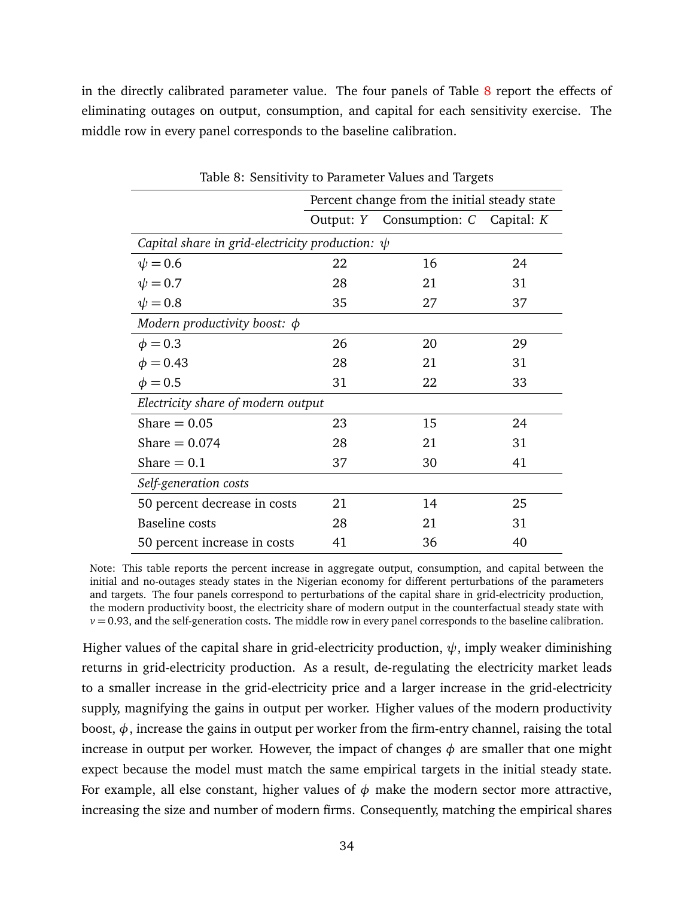in the directly calibrated parameter value. The four panels of Table [8](#page-35-0) report the effects of eliminating outages on output, consumption, and capital for each sensitivity exercise. The middle row in every panel corresponds to the baseline calibration.

<span id="page-35-0"></span>

|                                                      | Percent change from the initial steady state |    |    |  |  |  |
|------------------------------------------------------|----------------------------------------------|----|----|--|--|--|
|                                                      | Output: Y Consumption: C Capital: K          |    |    |  |  |  |
| Capital share in grid-electricity production: $\psi$ |                                              |    |    |  |  |  |
| $\psi = 0.6$                                         | 22                                           | 16 | 24 |  |  |  |
| $\psi = 0.7$                                         | 28                                           | 21 | 31 |  |  |  |
| $\psi = 0.8$                                         | 35                                           | 27 | 37 |  |  |  |
| Modern productivity boost: $\phi$                    |                                              |    |    |  |  |  |
| $\phi = 0.3$                                         | 26                                           | 20 | 29 |  |  |  |
| $\phi = 0.43$                                        | 28                                           | 21 | 31 |  |  |  |
| $\phi = 0.5$                                         | 31                                           | 22 | 33 |  |  |  |
| Electricity share of modern output                   |                                              |    |    |  |  |  |
| Share $= 0.05$                                       | 23                                           | 15 | 24 |  |  |  |
| Share $= 0.074$                                      | 28                                           | 21 | 31 |  |  |  |
| Share $= 0.1$                                        | 37                                           | 30 | 41 |  |  |  |
| Self-generation costs                                |                                              |    |    |  |  |  |
| 50 percent decrease in costs                         | 21                                           | 14 | 25 |  |  |  |
| <b>Baseline</b> costs                                | 28                                           | 21 | 31 |  |  |  |
| 50 percent increase in costs                         | 41                                           | 36 | 40 |  |  |  |

Table 8: Sensitivity to Parameter Values and Targets

Note: This table reports the percent increase in aggregate output, consumption, and capital between the initial and no-outages steady states in the Nigerian economy for different perturbations of the parameters and targets. The four panels correspond to perturbations of the capital share in grid-electricity production, the modern productivity boost, the electricity share of modern output in the counterfactual steady state with  $v = 0.93$ , and the self-generation costs. The middle row in every panel corresponds to the baseline calibration.

Higher values of the capital share in grid-electricity production,  $\psi$ , imply weaker diminishing returns in grid-electricity production. As a result, de-regulating the electricity market leads to a smaller increase in the grid-electricity price and a larger increase in the grid-electricity supply, magnifying the gains in output per worker. Higher values of the modern productivity boost,  $\phi$ , increase the gains in output per worker from the firm-entry channel, raising the total increase in output per worker. However, the impact of changes  $\phi$  are smaller that one might expect because the model must match the same empirical targets in the initial steady state. For example, all else constant, higher values of  $\phi$  make the modern sector more attractive, increasing the size and number of modern firms. Consequently, matching the empirical shares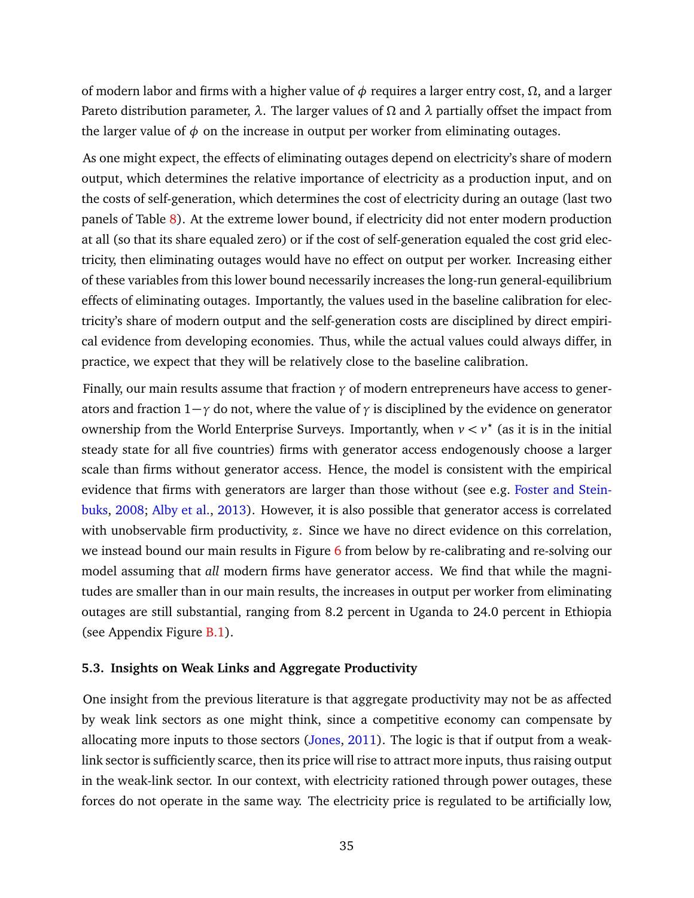of modern labor and firms with a higher value of *φ* requires a larger entry cost, *Ω*, and a larger Pareto distribution parameter, *λ*. The larger values of *Ω* and *λ* partially offset the impact from the larger value of  $\phi$  on the increase in output per worker from eliminating outages.

As one might expect, the effects of eliminating outages depend on electricity's share of modern output, which determines the relative importance of electricity as a production input, and on the costs of self-generation, which determines the cost of electricity during an outage (last two panels of Table [8\)](#page-35-0). At the extreme lower bound, if electricity did not enter modern production at all (so that its share equaled zero) or if the cost of self-generation equaled the cost grid electricity, then eliminating outages would have no effect on output per worker. Increasing either of these variables from this lower bound necessarily increases the long-run general-equilibrium effects of eliminating outages. Importantly, the values used in the baseline calibration for electricity's share of modern output and the self-generation costs are disciplined by direct empirical evidence from developing economies. Thus, while the actual values could always differ, in practice, we expect that they will be relatively close to the baseline calibration.

Finally, our main results assume that fraction *γ* of modern entrepreneurs have access to generators and fraction 1−*γ* do not, where the value of *γ* is disciplined by the evidence on generator ownership from the World Enterprise Surveys. Importantly, when  $v < v^*$  (as it is in the initial steady state for all five countries) firms with generator access endogenously choose a larger scale than firms without generator access. Hence, the model is consistent with the empirical evidence that firms with generators are larger than those without (see e.g. [Foster and Stein](#page-45-11)[buks,](#page-45-11) [2008;](#page-45-11) [Alby et al.,](#page-43-8) [2013\)](#page-43-8). However, it is also possible that generator access is correlated with unobservable firm productivity, *z*. Since we have no direct evidence on this correlation, we instead bound our main results in Figure [6](#page-32-0) from below by re-calibrating and re-solving our model assuming that *all* modern firms have generator access. We find that while the magnitudes are smaller than in our main results, the increases in output per worker from eliminating outages are still substantial, ranging from 8.2 percent in Uganda to 24.0 percent in Ethiopia (see Appendix Figure [B.1\)](#page-53-1).

#### **5.3. Insights on Weak Links and Aggregate Productivity**

One insight from the previous literature is that aggregate productivity may not be as affected by weak link sectors as one might think, since a competitive economy can compensate by allocating more inputs to those sectors [\(Jones,](#page-45-5) [2011\)](#page-45-5). The logic is that if output from a weaklink sector is sufficiently scarce, then its price will rise to attract more inputs, thus raising output in the weak-link sector. In our context, with electricity rationed through power outages, these forces do not operate in the same way. The electricity price is regulated to be artificially low,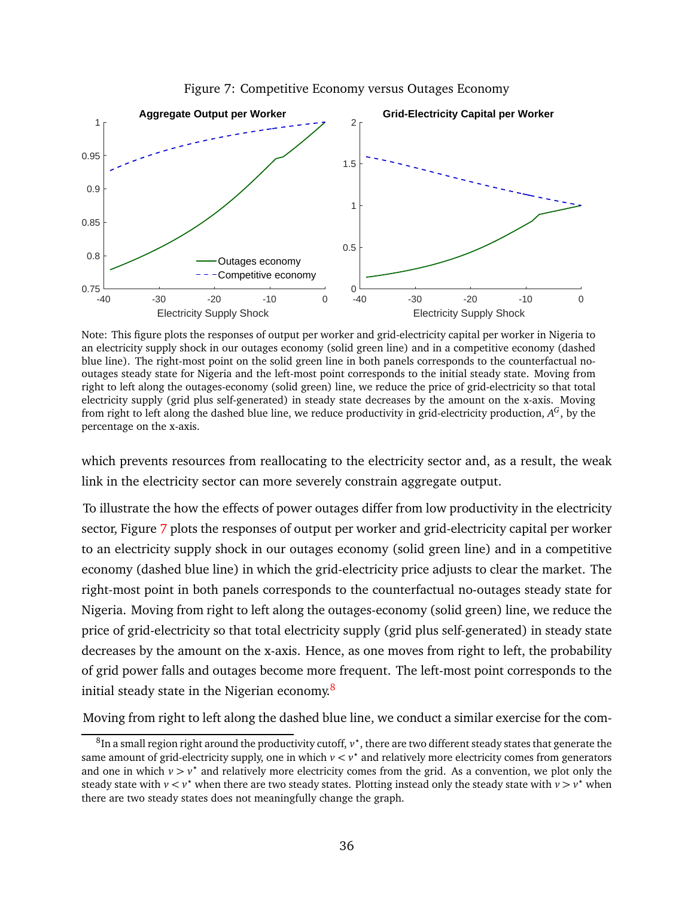<span id="page-37-0"></span>

Figure 7: Competitive Economy versus Outages Economy

Note: This figure plots the responses of output per worker and grid-electricity capital per worker in Nigeria to an electricity supply shock in our outages economy (solid green line) and in a competitive economy (dashed blue line). The right-most point on the solid green line in both panels corresponds to the counterfactual nooutages steady state for Nigeria and the left-most point corresponds to the initial steady state. Moving from right to left along the outages-economy (solid green) line, we reduce the price of grid-electricity so that total electricity supply (grid plus self-generated) in steady state decreases by the amount on the x-axis. Moving from right to left along the dashed blue line, we reduce productivity in grid-electricity production,  $A^G$ , by the percentage on the x-axis.

which prevents resources from reallocating to the electricity sector and, as a result, the weak link in the electricity sector can more severely constrain aggregate output.

To illustrate the how the effects of power outages differ from low productivity in the electricity sector, Figure [7](#page-37-0) plots the responses of output per worker and grid-electricity capital per worker to an electricity supply shock in our outages economy (solid green line) and in a competitive economy (dashed blue line) in which the grid-electricity price adjusts to clear the market. The right-most point in both panels corresponds to the counterfactual no-outages steady state for Nigeria. Moving from right to left along the outages-economy (solid green) line, we reduce the price of grid-electricity so that total electricity supply (grid plus self-generated) in steady state decreases by the amount on the x-axis. Hence, as one moves from right to left, the probability of grid power falls and outages become more frequent. The left-most point corresponds to the initial steady state in the Nigerian economy.<sup>[8](#page-37-1)</sup>

Moving from right to left along the dashed blue line, we conduct a similar exercise for the com-

<span id="page-37-1"></span> $^8$ In a small region right around the productivity cutoff,  $v^\star$ , there are two different steady states that generate the same amount of grid-electricity supply, one in which  $v < v^*$  and relatively more electricity comes from generators and one in which  $v > v^*$  and relatively more electricity comes from the grid. As a convention, we plot only the steady state with  $v < v^*$  when there are two steady states. Plotting instead only the steady state with  $v > v^*$  when there are two steady states does not meaningfully change the graph.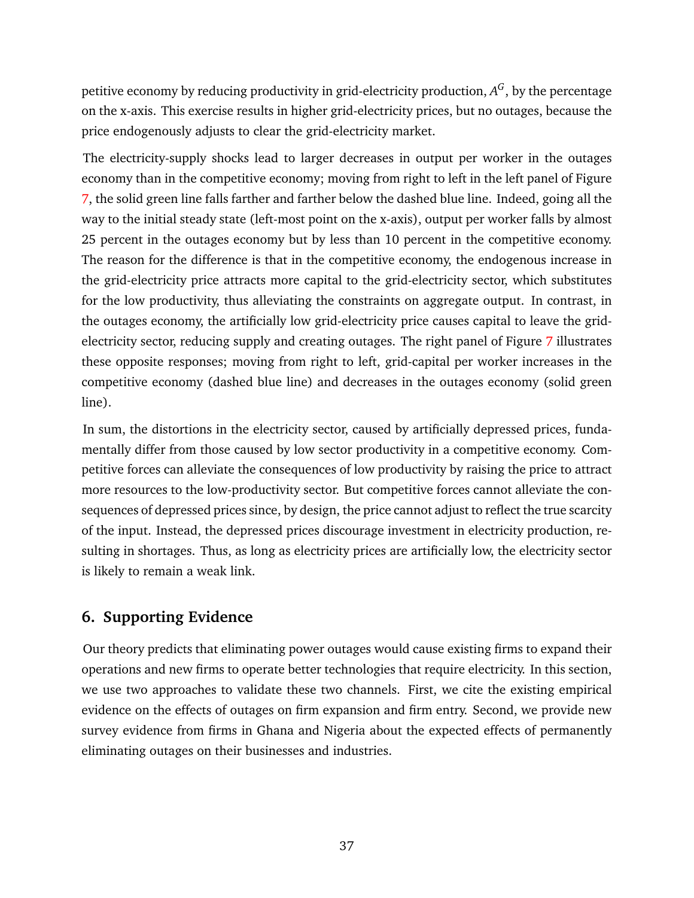petitive economy by reducing productivity in grid-electricity production,  $A^G$ , by the percentage on the x-axis. This exercise results in higher grid-electricity prices, but no outages, because the price endogenously adjusts to clear the grid-electricity market.

The electricity-supply shocks lead to larger decreases in output per worker in the outages economy than in the competitive economy; moving from right to left in the left panel of Figure [7,](#page-37-0) the solid green line falls farther and farther below the dashed blue line. Indeed, going all the way to the initial steady state (left-most point on the x-axis), output per worker falls by almost 25 percent in the outages economy but by less than 10 percent in the competitive economy. The reason for the difference is that in the competitive economy, the endogenous increase in the grid-electricity price attracts more capital to the grid-electricity sector, which substitutes for the low productivity, thus alleviating the constraints on aggregate output. In contrast, in the outages economy, the artificially low grid-electricity price causes capital to leave the grid-electricity sector, reducing supply and creating outages. The right panel of Figure [7](#page-37-0) illustrates these opposite responses; moving from right to left, grid-capital per worker increases in the competitive economy (dashed blue line) and decreases in the outages economy (solid green line).

In sum, the distortions in the electricity sector, caused by artificially depressed prices, fundamentally differ from those caused by low sector productivity in a competitive economy. Competitive forces can alleviate the consequences of low productivity by raising the price to attract more resources to the low-productivity sector. But competitive forces cannot alleviate the consequences of depressed prices since, by design, the price cannot adjust to reflect the true scarcity of the input. Instead, the depressed prices discourage investment in electricity production, resulting in shortages. Thus, as long as electricity prices are artificially low, the electricity sector is likely to remain a weak link.

# **6. Supporting Evidence**

Our theory predicts that eliminating power outages would cause existing firms to expand their operations and new firms to operate better technologies that require electricity. In this section, we use two approaches to validate these two channels. First, we cite the existing empirical evidence on the effects of outages on firm expansion and firm entry. Second, we provide new survey evidence from firms in Ghana and Nigeria about the expected effects of permanently eliminating outages on their businesses and industries.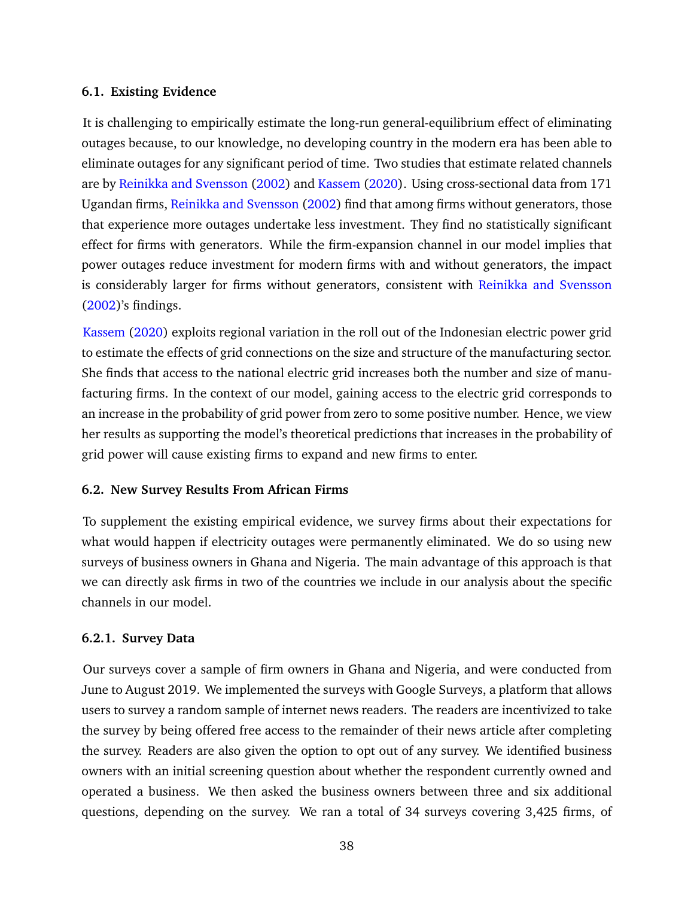## **6.1. Existing Evidence**

It is challenging to empirically estimate the long-run general-equilibrium effect of eliminating outages because, to our knowledge, no developing country in the modern era has been able to eliminate outages for any significant period of time. Two studies that estimate related channels are by [Reinikka and Svensson](#page-46-11) [\(2002\)](#page-46-11) and [Kassem](#page-45-14) [\(2020\)](#page-45-14). Using cross-sectional data from 171 Ugandan firms, [Reinikka and Svensson](#page-46-11) [\(2002\)](#page-46-11) find that among firms without generators, those that experience more outages undertake less investment. They find no statistically significant effect for firms with generators. While the firm-expansion channel in our model implies that power outages reduce investment for modern firms with and without generators, the impact is considerably larger for firms without generators, consistent with [Reinikka and Svensson](#page-46-11) [\(2002\)](#page-46-11)'s findings.

[Kassem](#page-45-14) [\(2020\)](#page-45-14) exploits regional variation in the roll out of the Indonesian electric power grid to estimate the effects of grid connections on the size and structure of the manufacturing sector. She finds that access to the national electric grid increases both the number and size of manufacturing firms. In the context of our model, gaining access to the electric grid corresponds to an increase in the probability of grid power from zero to some positive number. Hence, we view her results as supporting the model's theoretical predictions that increases in the probability of grid power will cause existing firms to expand and new firms to enter.

## **6.2. New Survey Results From African Firms**

To supplement the existing empirical evidence, we survey firms about their expectations for what would happen if electricity outages were permanently eliminated. We do so using new surveys of business owners in Ghana and Nigeria. The main advantage of this approach is that we can directly ask firms in two of the countries we include in our analysis about the specific channels in our model.

## **6.2.1. Survey Data**

Our surveys cover a sample of firm owners in Ghana and Nigeria, and were conducted from June to August 2019. We implemented the surveys with Google Surveys, a platform that allows users to survey a random sample of internet news readers. The readers are incentivized to take the survey by being offered free access to the remainder of their news article after completing the survey. Readers are also given the option to opt out of any survey. We identified business owners with an initial screening question about whether the respondent currently owned and operated a business. We then asked the business owners between three and six additional questions, depending on the survey. We ran a total of 34 surveys covering 3,425 firms, of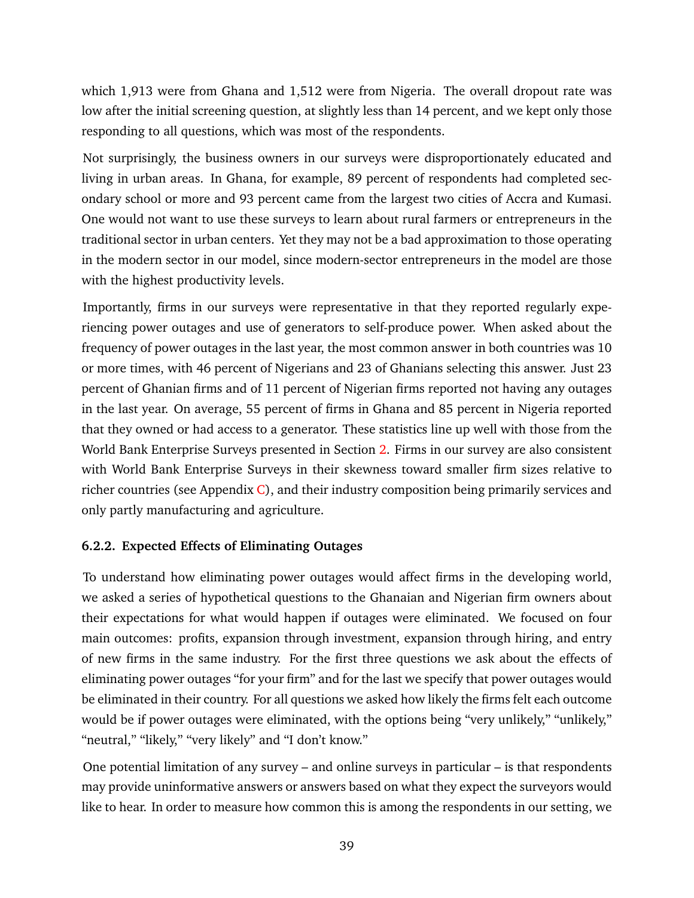which 1,913 were from Ghana and 1,512 were from Nigeria. The overall dropout rate was low after the initial screening question, at slightly less than 14 percent, and we kept only those responding to all questions, which was most of the respondents.

Not surprisingly, the business owners in our surveys were disproportionately educated and living in urban areas. In Ghana, for example, 89 percent of respondents had completed secondary school or more and 93 percent came from the largest two cities of Accra and Kumasi. One would not want to use these surveys to learn about rural farmers or entrepreneurs in the traditional sector in urban centers. Yet they may not be a bad approximation to those operating in the modern sector in our model, since modern-sector entrepreneurs in the model are those with the highest productivity levels.

Importantly, firms in our surveys were representative in that they reported regularly experiencing power outages and use of generators to self-produce power. When asked about the frequency of power outages in the last year, the most common answer in both countries was 10 or more times, with 46 percent of Nigerians and 23 of Ghanians selecting this answer. Just 23 percent of Ghanian firms and of 11 percent of Nigerian firms reported not having any outages in the last year. On average, 55 percent of firms in Ghana and 85 percent in Nigeria reported that they owned or had access to a generator. These statistics line up well with those from the World Bank Enterprise Surveys presented in Section [2.](#page-5-2) Firms in our survey are also consistent with World Bank Enterprise Surveys in their skewness toward smaller firm sizes relative to richer countries (see Appendix [C\)](#page-47-0), and their industry composition being primarily services and only partly manufacturing and agriculture.

## **6.2.2. Expected Effects of Eliminating Outages**

To understand how eliminating power outages would affect firms in the developing world, we asked a series of hypothetical questions to the Ghanaian and Nigerian firm owners about their expectations for what would happen if outages were eliminated. We focused on four main outcomes: profits, expansion through investment, expansion through hiring, and entry of new firms in the same industry. For the first three questions we ask about the effects of eliminating power outages "for your firm" and for the last we specify that power outages would be eliminated in their country. For all questions we asked how likely the firms felt each outcome would be if power outages were eliminated, with the options being "very unlikely," "unlikely," "neutral," "likely," "very likely" and "I don't know."

One potential limitation of any survey – and online surveys in particular – is that respondents may provide uninformative answers or answers based on what they expect the surveyors would like to hear. In order to measure how common this is among the respondents in our setting, we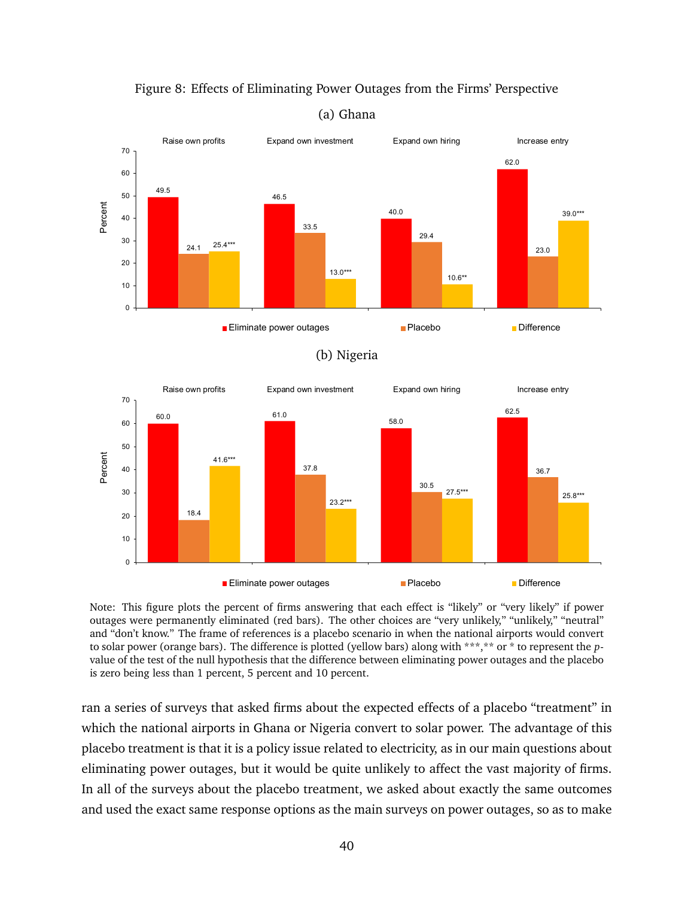<span id="page-41-0"></span>

Figure 8: Effects of Eliminating Power Outages from the Firms' Perspective

(a) Ghana

Note: This figure plots the percent of firms answering that each effect is "likely" or "very likely" if power outages were permanently eliminated (red bars). The other choices are "very unlikely," "unlikely," "neutral" and "don't know." The frame of references is a placebo scenario in when the national airports would convert to solar power (orange bars). The difference is plotted (yellow bars) along with \*\*\*,\*\* or \* to represent the *p*value of the test of the null hypothesis that the difference between eliminating power outages and the placebo is zero being less than 1 percent, 5 percent and 10 percent.

ran a series of surveys that asked firms about the expected effects of a placebo "treatment" in which the national airports in Ghana or Nigeria convert to solar power. The advantage of this placebo treatment is that it is a policy issue related to electricity, as in our main questions about eliminating power outages, but it would be quite unlikely to affect the vast majority of firms. In all of the surveys about the placebo treatment, we asked about exactly the same outcomes and used the exact same response options as the main surveys on power outages, so as to make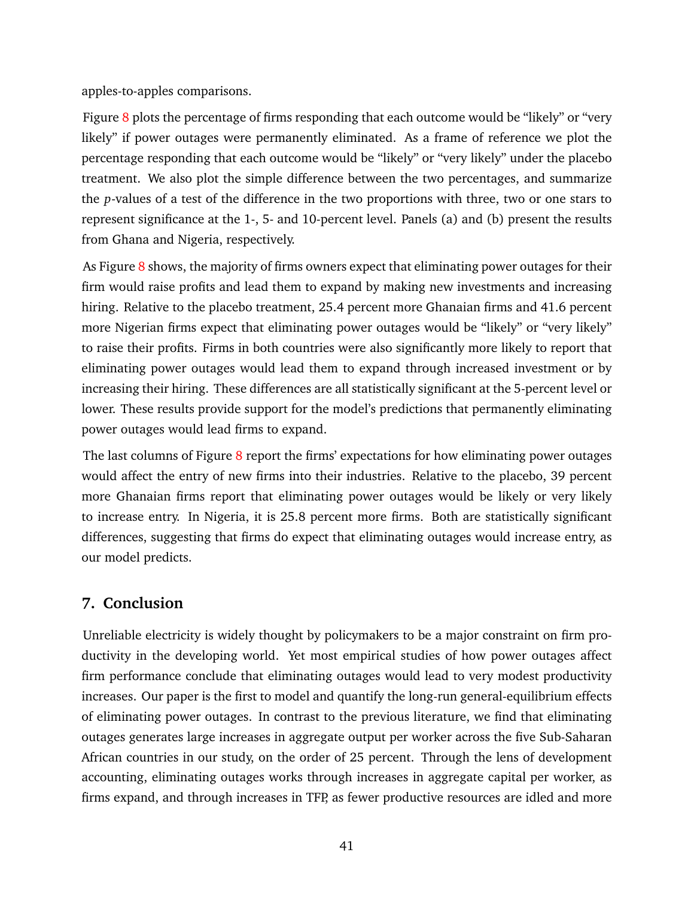apples-to-apples comparisons.

Figure [8](#page-41-0) plots the percentage of firms responding that each outcome would be "likely" or "very likely" if power outages were permanently eliminated. As a frame of reference we plot the percentage responding that each outcome would be "likely" or "very likely" under the placebo treatment. We also plot the simple difference between the two percentages, and summarize the *p*-values of a test of the difference in the two proportions with three, two or one stars to represent significance at the 1-, 5- and 10-percent level. Panels (a) and (b) present the results from Ghana and Nigeria, respectively.

As Figure [8](#page-41-0) shows, the majority of firms owners expect that eliminating power outages for their firm would raise profits and lead them to expand by making new investments and increasing hiring. Relative to the placebo treatment, 25.4 percent more Ghanaian firms and 41.6 percent more Nigerian firms expect that eliminating power outages would be "likely" or "very likely" to raise their profits. Firms in both countries were also significantly more likely to report that eliminating power outages would lead them to expand through increased investment or by increasing their hiring. These differences are all statistically significant at the 5-percent level or lower. These results provide support for the model's predictions that permanently eliminating power outages would lead firms to expand.

The last columns of Figure [8](#page-41-0) report the firms' expectations for how eliminating power outages would affect the entry of new firms into their industries. Relative to the placebo, 39 percent more Ghanaian firms report that eliminating power outages would be likely or very likely to increase entry. In Nigeria, it is 25.8 percent more firms. Both are statistically significant differences, suggesting that firms do expect that eliminating outages would increase entry, as our model predicts.

## **7. Conclusion**

Unreliable electricity is widely thought by policymakers to be a major constraint on firm productivity in the developing world. Yet most empirical studies of how power outages affect firm performance conclude that eliminating outages would lead to very modest productivity increases. Our paper is the first to model and quantify the long-run general-equilibrium effects of eliminating power outages. In contrast to the previous literature, we find that eliminating outages generates large increases in aggregate output per worker across the five Sub-Saharan African countries in our study, on the order of 25 percent. Through the lens of development accounting, eliminating outages works through increases in aggregate capital per worker, as firms expand, and through increases in TFP, as fewer productive resources are idled and more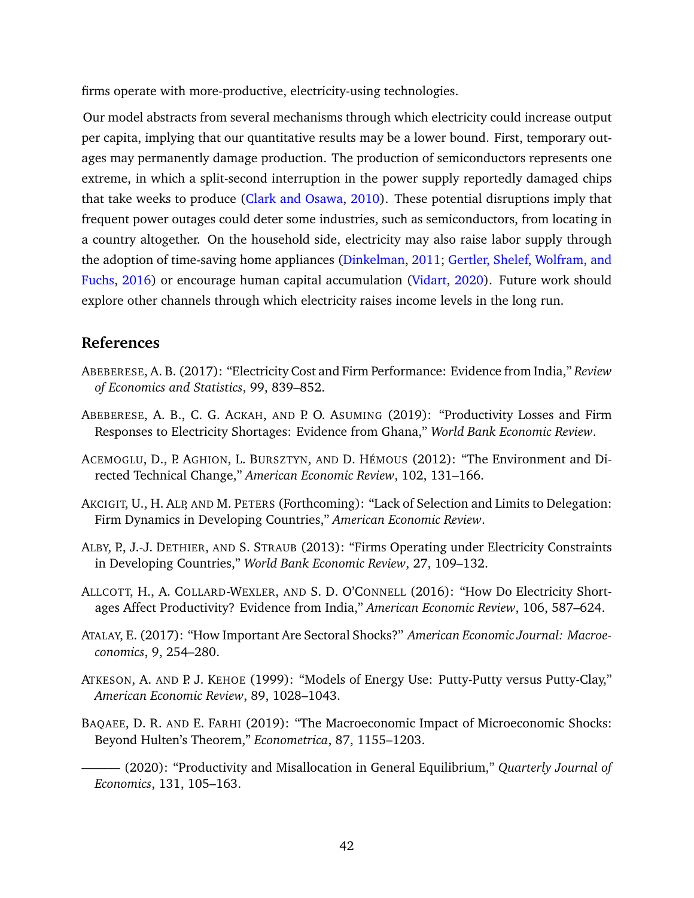firms operate with more-productive, electricity-using technologies.

Our model abstracts from several mechanisms through which electricity could increase output per capita, implying that our quantitative results may be a lower bound. First, temporary outages may permanently damage production. The production of semiconductors represents one extreme, in which a split-second interruption in the power supply reportedly damaged chips that take weeks to produce [\(Clark and Osawa,](#page-44-15) [2010\)](#page-44-15). These potential disruptions imply that frequent power outages could deter some industries, such as semiconductors, from locating in a country altogether. On the household side, electricity may also raise labor supply through the adoption of time-saving home appliances [\(Dinkelman,](#page-44-0) [2011;](#page-44-0) [Gertler, Shelef, Wolfram, and](#page-45-15) [Fuchs,](#page-45-15) [2016\)](#page-45-15) or encourage human capital accumulation [\(Vidart,](#page-46-12) [2020\)](#page-46-12). Future work should explore other channels through which electricity raises income levels in the long run.

## **References**

- <span id="page-43-9"></span>ABEBERESE, A. B. (2017): "Electricity Cost and Firm Performance: Evidence from India," *Review of Economics and Statistics*, 99, 839–852.
- <span id="page-43-2"></span>ABEBERESE, A. B., C. G. ACKAH, AND P. O. ASUMING (2019): "Productivity Losses and Firm Responses to Electricity Shortages: Evidence from Ghana," *World Bank Economic Review*.
- <span id="page-43-7"></span>ACEMOGLU, D., P. AGHION, L. BURSZTYN, AND D. HÉMOUS (2012): "The Environment and Directed Technical Change," *American Economic Review*, 102, 131–166.
- <span id="page-43-3"></span>AKCIGIT, U., H. ALP, AND M. PETERS (Forthcoming): "Lack of Selection and Limits to Delegation: Firm Dynamics in Developing Countries," *American Economic Review*.
- <span id="page-43-8"></span>ALBY, P., J.-J. DETHIER, AND S. STRAUB (2013): "Firms Operating under Electricity Constraints in Developing Countries," *World Bank Economic Review*, 27, 109–132.
- <span id="page-43-0"></span>ALLCOTT, H., A. COLLARD-WEXLER, AND S. D. O'CONNELL (2016): "How Do Electricity Shortages Affect Productivity? Evidence from India," *American Economic Review*, 106, 587–624.
- <span id="page-43-6"></span>ATALAY, E. (2017): "How Important Are Sectoral Shocks?" *American Economic Journal: Macroeconomics*, 9, 254–280.
- <span id="page-43-1"></span>ATKESON, A. AND P. J. KEHOE (1999): "Models of Energy Use: Putty-Putty versus Putty-Clay," *American Economic Review*, 89, 1028–1043.
- <span id="page-43-5"></span><span id="page-43-4"></span>BAQAEE, D. R. AND E. FARHI (2019): "The Macroeconomic Impact of Microeconomic Shocks: Beyond Hulten's Theorem," *Econometrica*, 87, 1155–1203.
	- ——— (2020): "Productivity and Misallocation in General Equilibrium," *Quarterly Journal of Economics*, 131, 105–163.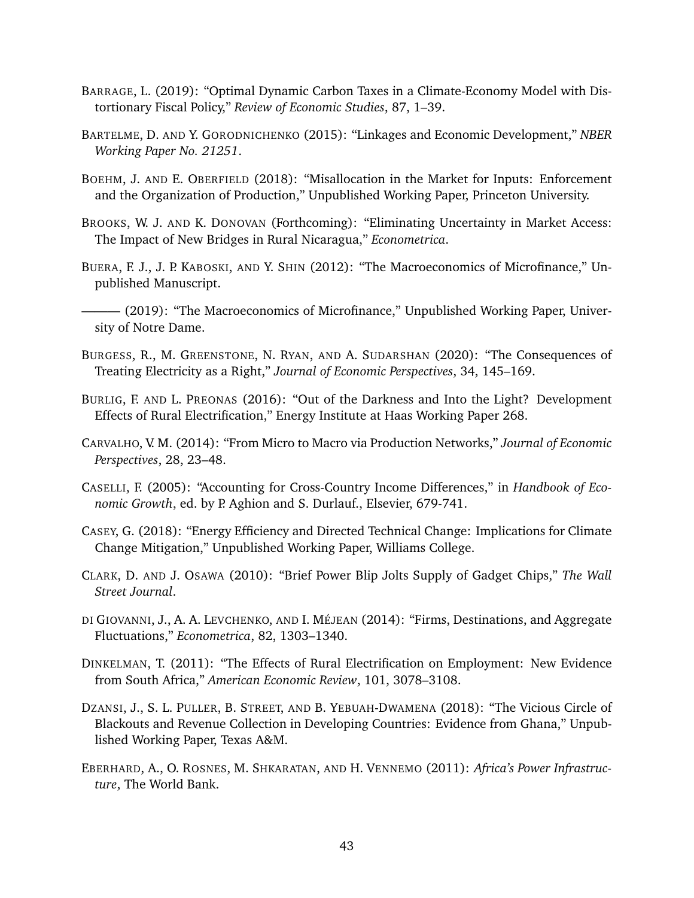- <span id="page-44-11"></span>BARRAGE, L. (2019): "Optimal Dynamic Carbon Taxes in a Climate-Economy Model with Distortionary Fiscal Policy," *Review of Economic Studies*, 87, 1–39.
- <span id="page-44-7"></span>BARTELME, D. AND Y. GORODNICHENKO (2015): "Linkages and Economic Development," *NBER Working Paper No. 21251*.
- <span id="page-44-8"></span>BOEHM, J. AND E. OBERFIELD (2018): "Misallocation in the Market for Inputs: Enforcement and the Organization of Production," Unpublished Working Paper, Princeton University.
- <span id="page-44-6"></span>BROOKS, W. J. AND K. DONOVAN (Forthcoming): "Eliminating Uncertainty in Market Access: The Impact of New Bridges in Rural Nicaragua," *Econometrica*.
- <span id="page-44-14"></span>BUERA, F. J., J. P. KABOSKI, AND Y. SHIN (2012): "The Macroeconomics of Microfinance," Unpublished Manuscript.
- <span id="page-44-5"></span> $-$  (2019): "The Macroeconomics of Microfinance," Unpublished Working Paper, University of Notre Dame.
- <span id="page-44-4"></span>BURGESS, R., M. GREENSTONE, N. RYAN, AND A. SUDARSHAN (2020): "The Consequences of Treating Electricity as a Right," *Journal of Economic Perspectives*, 34, 145–169.
- <span id="page-44-1"></span>BURLIG, F. AND L. PREONAS (2016): "Out of the Darkness and Into the Light? Development Effects of Rural Electrification," Energy Institute at Haas Working Paper 268.
- <span id="page-44-9"></span>CARVALHO, V. M. (2014): "From Micro to Macro via Production Networks," *Journal of Economic Perspectives*, 28, 23–48.
- <span id="page-44-2"></span>CASELLI, F. (2005): "Accounting for Cross-Country Income Differences," in *Handbook of Economic Growth*, ed. by P. Aghion and S. Durlauf., Elsevier, 679-741.
- <span id="page-44-3"></span>CASEY, G. (2018): "Energy Efficiency and Directed Technical Change: Implications for Climate Change Mitigation," Unpublished Working Paper, Williams College.
- <span id="page-44-15"></span>CLARK, D. AND J. OSAWA (2010): "Brief Power Blip Jolts Supply of Gadget Chips," *The Wall Street Journal*.
- <span id="page-44-10"></span>DI GIOVANNI, J., A. A. LEVCHENKO, AND I. MÉJEAN (2014): "Firms, Destinations, and Aggregate Fluctuations," *Econometrica*, 82, 1303–1340.
- <span id="page-44-0"></span>DINKELMAN, T. (2011): "The Effects of Rural Electrification on Employment: New Evidence from South Africa," *American Economic Review*, 101, 3078–3108.
- <span id="page-44-13"></span>DZANSI, J., S. L. PULLER, B. STREET, AND B. YEBUAH-DWAMENA (2018): "The Vicious Circle of Blackouts and Revenue Collection in Developing Countries: Evidence from Ghana," Unpublished Working Paper, Texas A&M.
- <span id="page-44-12"></span>EBERHARD, A., O. ROSNES, M. SHKARATAN, AND H. VENNEMO (2011): *Africa's Power Infrastructure*, The World Bank.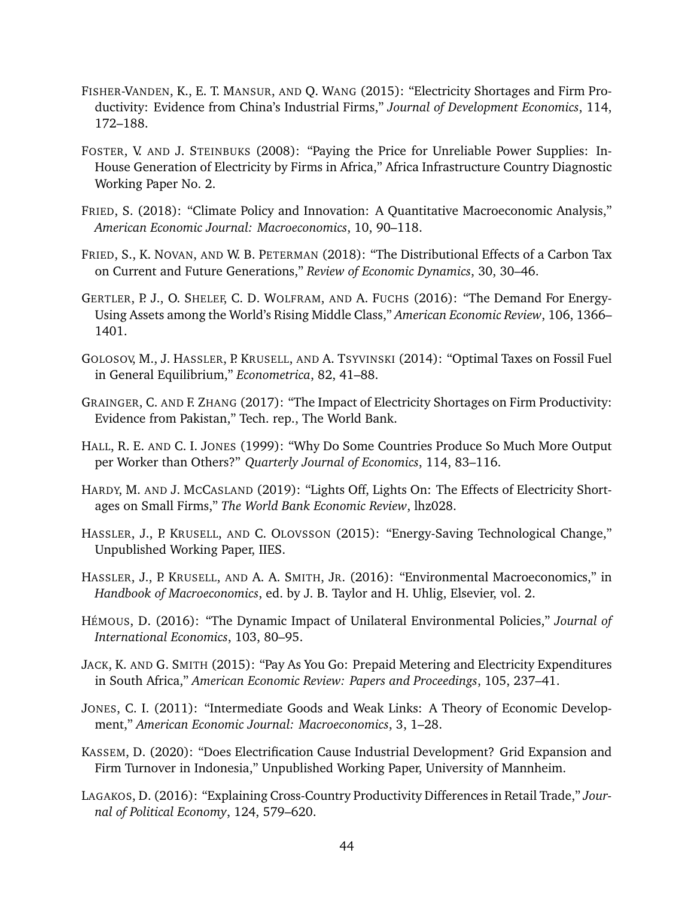- <span id="page-45-2"></span>FISHER-VANDEN, K., E. T. MANSUR, AND Q. WANG (2015): "Electricity Shortages and Firm Productivity: Evidence from China's Industrial Firms," *Journal of Development Economics*, 114, 172–188.
- <span id="page-45-11"></span>FOSTER, V. AND J. STEINBUKS (2008): "Paying the Price for Unreliable Power Supplies: In-House Generation of Electricity by Firms in Africa," Africa Infrastructure Country Diagnostic Working Paper No. 2.
- <span id="page-45-10"></span>FRIED, S. (2018): "Climate Policy and Innovation: A Quantitative Macroeconomic Analysis," *American Economic Journal: Macroeconomics*, 10, 90–118.
- <span id="page-45-8"></span>FRIED, S., K. NOVAN, AND W. B. PETERMAN (2018): "The Distributional Effects of a Carbon Tax on Current and Future Generations," *Review of Economic Dynamics*, 30, 30–46.
- <span id="page-45-15"></span>GERTLER, P. J., O. SHELEF, C. D. WOLFRAM, AND A. FUCHS (2016): "The Demand For Energy-Using Assets among the World's Rising Middle Class," *American Economic Review*, 106, 1366– 1401.
- <span id="page-45-7"></span>GOLOSOV, M., J. HASSLER, P. KRUSELL, AND A. TSYVINSKI (2014): "Optimal Taxes on Fossil Fuel in General Equilibrium," *Econometrica*, 82, 41–88.
- <span id="page-45-4"></span>GRAINGER, C. AND F. ZHANG (2017): "The Impact of Electricity Shortages on Firm Productivity: Evidence from Pakistan," Tech. rep., The World Bank.
- <span id="page-45-0"></span>HALL, R. E. AND C. I. JONES (1999): "Why Do Some Countries Produce So Much More Output per Worker than Others?" *Quarterly Journal of Economics*, 114, 83–116.
- <span id="page-45-3"></span>HARDY, M. AND J. MCCASLAND (2019): "Lights Off, Lights On: The Effects of Electricity Shortages on Small Firms," *The World Bank Economic Review*, lhz028.
- <span id="page-45-1"></span>HASSLER, J., P. KRUSELL, AND C. OLOVSSON (2015): "Energy-Saving Technological Change," Unpublished Working Paper, IIES.
- <span id="page-45-6"></span>HASSLER, J., P. KRUSELL, AND A. A. SMITH, JR. (2016): "Environmental Macroeconomics," in *Handbook of Macroeconomics*, ed. by J. B. Taylor and H. Uhlig, Elsevier, vol. 2.
- <span id="page-45-9"></span>HÉMOUS, D. (2016): "The Dynamic Impact of Unilateral Environmental Policies," *Journal of International Economics*, 103, 80–95.
- <span id="page-45-12"></span>JACK, K. AND G. SMITH (2015): "Pay As You Go: Prepaid Metering and Electricity Expenditures in South Africa," *American Economic Review: Papers and Proceedings*, 105, 237–41.
- <span id="page-45-5"></span>JONES, C. I. (2011): "Intermediate Goods and Weak Links: A Theory of Economic Development," *American Economic Journal: Macroeconomics*, 3, 1–28.
- <span id="page-45-14"></span>KASSEM, D. (2020): "Does Electrification Cause Industrial Development? Grid Expansion and Firm Turnover in Indonesia," Unpublished Working Paper, University of Mannheim.
- <span id="page-45-13"></span>LAGAKOS, D. (2016): "Explaining Cross-Country Productivity Differences in Retail Trade," *Journal of Political Economy*, 124, 579–620.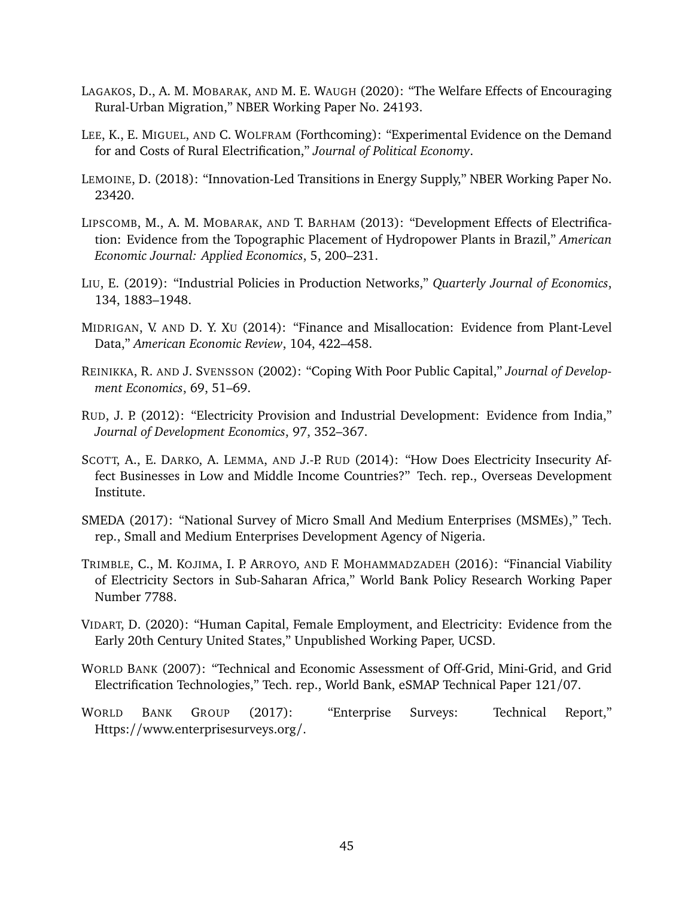- <span id="page-46-6"></span>LAGAKOS, D., A. M. MOBARAK, AND M. E. WAUGH (2020): "The Welfare Effects of Encouraging Rural-Urban Migration," NBER Working Paper No. 24193.
- <span id="page-46-1"></span>LEE, K., E. MIGUEL, AND C. WOLFRAM (Forthcoming): "Experimental Evidence on the Demand for and Costs of Rural Electrification," *Journal of Political Economy*.
- <span id="page-46-8"></span>LEMOINE, D. (2018): "Innovation-Led Transitions in Energy Supply," NBER Working Paper No. 23420.
- <span id="page-46-5"></span>LIPSCOMB, M., A. M. MOBARAK, AND T. BARHAM (2013): "Development Effects of Electrification: Evidence from the Topographic Placement of Hydropower Plants in Brazil," *American Economic Journal: Applied Economics*, 5, 200–231.
- <span id="page-46-7"></span>LIU, E. (2019): "Industrial Policies in Production Networks," *Quarterly Journal of Economics*, 134, 1883–1948.
- <span id="page-46-2"></span>MIDRIGAN, V. AND D. Y. XU (2014): "Finance and Misallocation: Evidence from Plant-Level Data," *American Economic Review*, 104, 422–458.
- <span id="page-46-11"></span>REINIKKA, R. AND J. SVENSSON (2002): "Coping With Poor Public Capital," *Journal of Development Economics*, 69, 51–69.
- <span id="page-46-4"></span>RUD, J. P. (2012): "Electricity Provision and Industrial Development: Evidence from India," *Journal of Development Economics*, 97, 352–367.
- <span id="page-46-3"></span>SCOTT, A., E. DARKO, A. LEMMA, AND J.-P. RUD (2014): "How Does Electricity Insecurity Affect Businesses in Low and Middle Income Countries?" Tech. rep., Overseas Development Institute.
- <span id="page-46-13"></span>SMEDA (2017): "National Survey of Micro Small And Medium Enterprises (MSMEs)," Tech. rep., Small and Medium Enterprises Development Agency of Nigeria.
- <span id="page-46-10"></span>TRIMBLE, C., M. KOJIMA, I. P. ARROYO, AND F. MOHAMMADZADEH (2016): "Financial Viability of Electricity Sectors in Sub-Saharan Africa," World Bank Policy Research Working Paper Number 7788.
- <span id="page-46-12"></span>VIDART, D. (2020): "Human Capital, Female Employment, and Electricity: Evidence from the Early 20th Century United States," Unpublished Working Paper, UCSD.
- <span id="page-46-9"></span>WORLD BANK (2007): "Technical and Economic Assessment of Off-Grid, Mini-Grid, and Grid Electrification Technologies," Tech. rep., World Bank, eSMAP Technical Paper 121/07.
- <span id="page-46-0"></span>WORLD BANK GROUP (2017): "Enterprise Surveys: Technical Report," Https://www.enterprisesurveys.org/.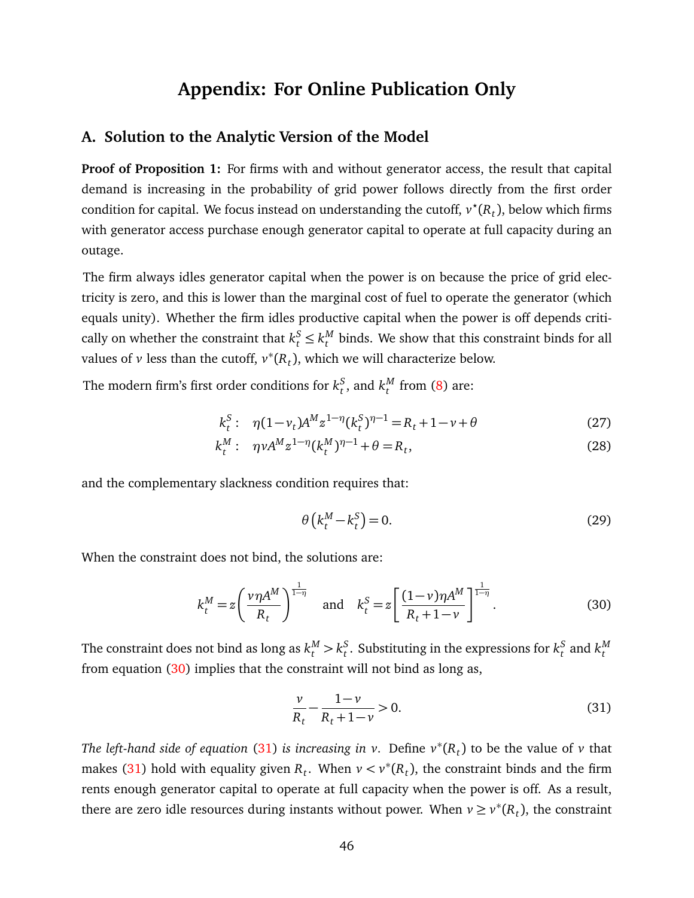# **Appendix: For Online Publication Only**

## <span id="page-47-0"></span>**A. Solution to the Analytic Version of the Model**

**Proof of Proposition 1:** For firms with and without generator access, the result that capital demand is increasing in the probability of grid power follows directly from the first order condition for capital. We focus instead on understanding the cutoff,  $v^*(R_t)$ , below which firms with generator access purchase enough generator capital to operate at full capacity during an outage.

The firm always idles generator capital when the power is on because the price of grid electricity is zero, and this is lower than the marginal cost of fuel to operate the generator (which equals unity). Whether the firm idles productive capital when the power is off depends critically on whether the constraint that  $k_t^S \leq k_t^M$  $t<sub>t</sub><sup>M</sup>$  binds. We show that this constraint binds for all values of  $\nu$  less than the cutoff,  $\nu^*(R_t)$ , which we will characterize below.

The modern firm's first order conditions for  $k_t^S$  $^S_t$ , and  $k^M_t$  $t$ <sup>*M*</sup> from [\(8\)](#page-13-1) are:

$$
k_t^S: \quad \eta(1-\nu_t)A^M z^{1-\eta}(k_t^S)^{\eta-1} = R_t + 1 - \nu + \theta \tag{27}
$$

$$
k_t^M: \ \ \eta \nu A^M z^{1-\eta} (k_t^M)^{\eta-1} + \theta = R_t, \tag{28}
$$

and the complementary slackness condition requires that:

<span id="page-47-1"></span>
$$
\theta\left(k_t^M - k_t^S\right) = 0.\tag{29}
$$

When the constraint does not bind, the solutions are:

$$
k_t^M = z \left(\frac{\nu \eta A^M}{R_t}\right)^{\frac{1}{1-\eta}} \quad \text{and} \quad k_t^S = z \left[\frac{(1-\nu)\eta A^M}{R_t+1-\nu}\right]^{\frac{1}{1-\eta}}.
$$
 (30)

The constraint does not bind as long as  $k_t^M > k_t^S$  $\frac{s}{t}$ . Substituting in the expressions for  $k_t^S$  $\frac{S}{t}$  and  $k_t^M$ *t* from equation [\(30\)](#page-47-1) implies that the constraint will not bind as long as,

<span id="page-47-2"></span>
$$
\frac{v}{R_t} - \frac{1 - v}{R_t + 1 - v} > 0.
$$
\n(31)

*The left-hand side of equation* [\(31\)](#page-47-2) *is increasing in v*. Define  $v^*(R_t)$  to be the value of *v* that makes [\(31\)](#page-47-2) hold with equality given  $R_t$ . When  $\nu < \nu^*(R_t)$ , the constraint binds and the firm rents enough generator capital to operate at full capacity when the power is off. As a result, there are zero idle resources during instants without power. When  $v \ge v^*(R_t)$ , the constraint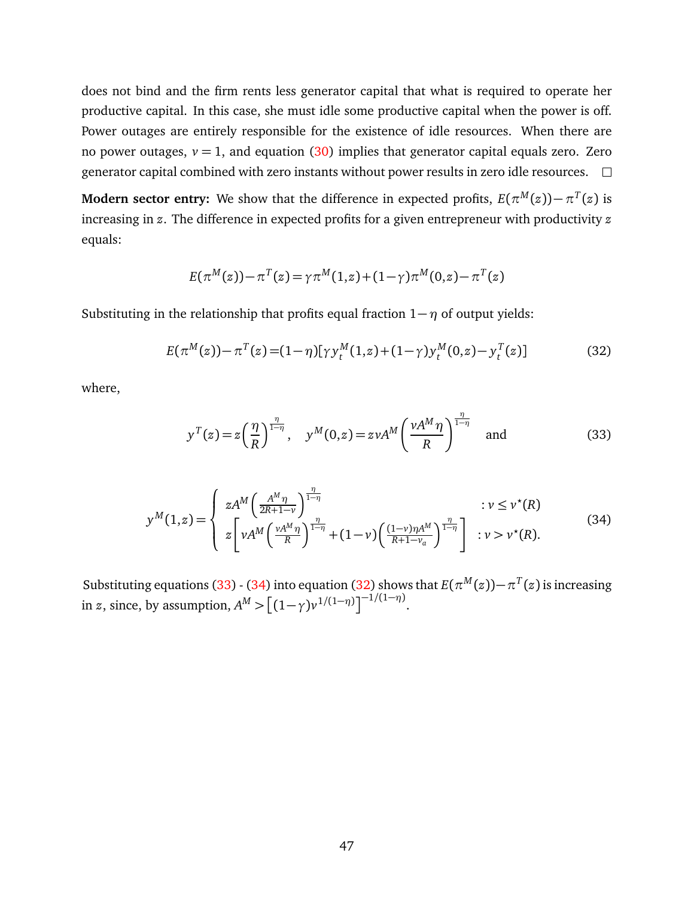does not bind and the firm rents less generator capital that what is required to operate her productive capital. In this case, she must idle some productive capital when the power is off. Power outages are entirely responsible for the existence of idle resources. When there are no power outages,  $v = 1$ , and equation [\(30\)](#page-47-1) implies that generator capital equals zero. Zero generator capital combined with zero instants without power results in zero idle resources.  $\Box$ 

**Modern sector entry:** We show that the difference in expected profits,  $E(\pi^M(z)) - \pi^T(z)$  is increasing in *z*. The difference in expected profits for a given entrepreneur with productivity *z* equals:

<span id="page-48-2"></span>
$$
E(\pi^M(z)) - \pi^T(z) = \gamma \pi^M(1, z) + (1 - \gamma)\pi^M(0, z) - \pi^T(z)
$$

Substituting in the relationship that profits equal fraction  $1-\eta$  of output yields:

$$
E(\pi^M(z)) - \pi^T(z) = (1 - \eta)[\gamma y_t^M(1, z) + (1 - \gamma)y_t^M(0, z) - y_t^T(z)]
$$
\n(32)

where,

<span id="page-48-1"></span><span id="page-48-0"></span>
$$
y^{T}(z) = z \left(\frac{\eta}{R}\right)^{\frac{\eta}{1-\eta}}, \quad y^{M}(0, z) = z \nu A^{M} \left(\frac{\nu A^{M} \eta}{R}\right)^{\frac{\eta}{1-\eta}} \quad \text{and} \tag{33}
$$

$$
y^{M}(1,z) = \begin{cases} zA^{M} \left( \frac{A^{M}\eta}{2R+1-\nu} \right)^{\frac{\eta}{1-\eta}} & : \nu \leq \nu^{\star}(R) \\ z \left[ \nu A^{M} \left( \frac{\nu A^{M}\eta}{R} \right)^{\frac{\eta}{1-\eta}} + (1-\nu) \left( \frac{(1-\nu)\eta A^{M}}{R+1-\nu_{a}} \right)^{\frac{\eta}{1-\eta}} \right] & : \nu > \nu^{\star}(R). \end{cases}
$$
(34)

Substituting equations [\(33\)](#page-48-0) - [\(34\)](#page-48-1) into equation [\(32\)](#page-48-2) shows that  $E(\pi^M(z)) - \pi^T(z)$  is increasing in *z*, since, by assumption,  $A^M > [(1 - \gamma)v^{1/(1 - \eta)}]^{-1/(1 - \eta)}$ .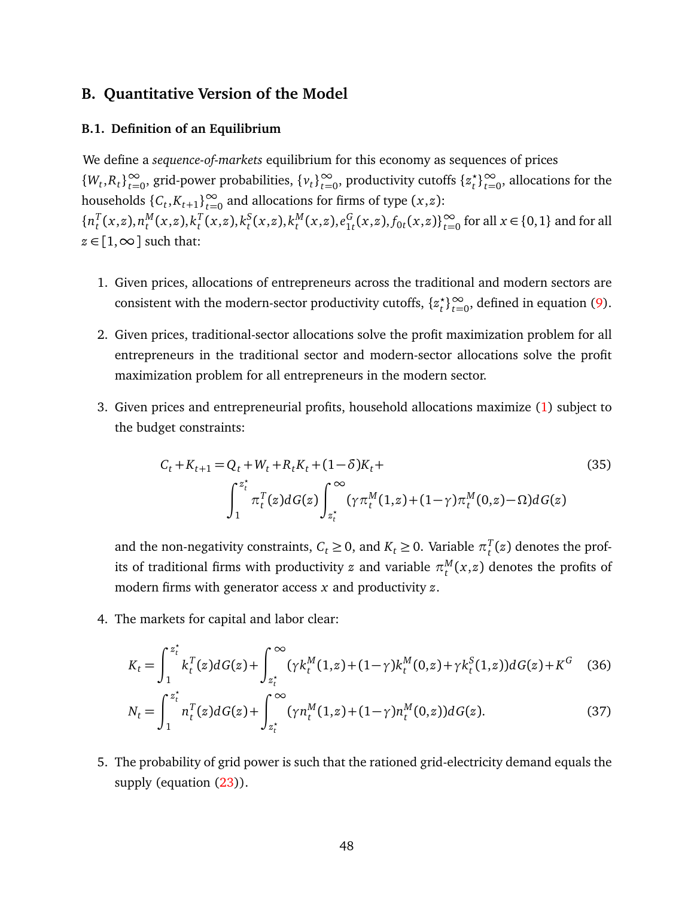## **B. Quantitative Version of the Model**

#### **B.1. Definition of an Equilibrium**

We define a *sequence-of-markets* equilibrium for this economy as sequences of prices {*W*<sub>*t*</sub>,*R*<sub>*t*</sub>}<sup>∞</sup>  $\infty$ , grid-power probabilities, {*v*<sub>*t*</sub>}<sup>∞</sup>  $\infty$ , productivity cutoffs {*z*<sup>*t*</sup><sub>*t*</sub>  $\left(\begin{array}{c} \star \\ t \end{array}\right)$ <sup>∞</sup><sub>*t*=0</sub>, allocations for the households  $\{C_t, K_{t+1}\}_{t=0}^{\infty}$  and allocations for firms of type  $(x, z)$ :  $\{n_t^T\}$  $T_t(x,z)$ ,  $n_t^M$  $_{t}^{M}(x,z),k_{t}^{T}$  $T_t^T(x,z)$ ,  $k_t^S$  $_{t}^{S}(x,z),k_{t}^{M}$  $_{t}^{M}(x,z), e_{1}^{G}$  ${}_{1t}^G$ (*x*,*z*),  $f_{0t}$ (*x*,*z*)} ${}_{t=0}^{\infty}$  for all *x* ∈ {0,1} and for all  $z \in [1, \infty]$  such that:

- 1. Given prices, allocations of entrepreneurs across the traditional and modern sectors are consistent with the modern-sector productivity cutoffs, {*z ?*  $\binom{*}{t}$ <sup>2</sup> $\underset{t=0}{\infty}$ , defined in equation [\(9\)](#page-17-0).
- 2. Given prices, traditional-sector allocations solve the profit maximization problem for all entrepreneurs in the traditional sector and modern-sector allocations solve the profit maximization problem for all entrepreneurs in the modern sector.
- 3. Given prices and entrepreneurial profits, household allocations maximize [\(1\)](#page-10-0) subject to the budget constraints:

$$
C_t + K_{t+1} = Q_t + W_t + R_t K_t + (1 - \delta) K_t + \int_1^{z_t^*} \pi_t^T(z) dG(z) \int_{z_t^*}^{\infty} (\gamma \pi_t^M(1, z) + (1 - \gamma) \pi_t^M(0, z) - \Omega) dG(z)
$$
\n(35)

and the non-negativity constraints,  $C_t \geq 0$ , and  $K_t \geq 0$ . Variable  $\pi_t^T$  $t<sub>t</sub><sup>t</sup>(z)$  denotes the profits of traditional firms with productivity  $z$  and variable  $\pi_t^M$  $t^{M}(x,z)$  denotes the profits of modern firms with generator access *x* and productivity *z*.

4. The markets for capital and labor clear:

$$
K_t = \int_1^{z_t^*} k_t^T(z) dG(z) + \int_{z_t^*}^{\infty} (\gamma k_t^M(1, z) + (1 - \gamma) k_t^M(0, z) + \gamma k_t^S(1, z)) dG(z) + K^G \quad (36)
$$

$$
N_t = \int_1^{z_t^*} n_t^T(z) dG(z) + \int_{z_t^*}^{\infty} (\gamma n_t^M(1, z) + (1 - \gamma) n_t^M(0, z)) dG(z).
$$
 (37)

5. The probability of grid power is such that the rationed grid-electricity demand equals the supply (equation  $(23)$ ).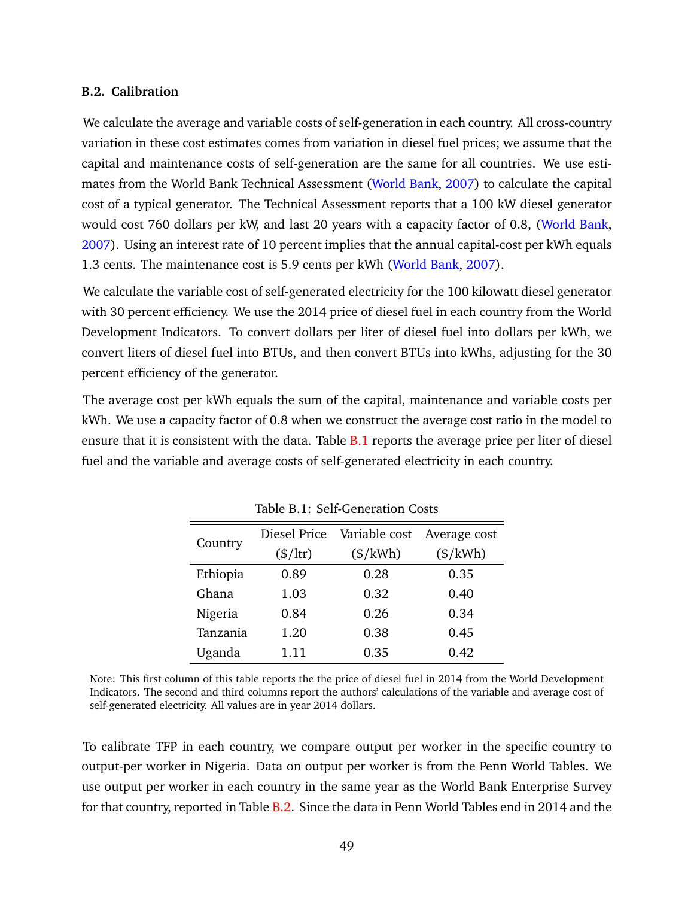#### <span id="page-50-0"></span>**B.2. Calibration**

We calculate the average and variable costs of self-generation in each country. All cross-country variation in these cost estimates comes from variation in diesel fuel prices; we assume that the capital and maintenance costs of self-generation are the same for all countries. We use estimates from the World Bank Technical Assessment [\(World Bank,](#page-46-9) [2007\)](#page-46-9) to calculate the capital cost of a typical generator. The Technical Assessment reports that a 100 kW diesel generator would cost 760 dollars per kW, and last 20 years with a capacity factor of 0.8, [\(World Bank,](#page-46-9) [2007\)](#page-46-9). Using an interest rate of 10 percent implies that the annual capital-cost per kWh equals 1.3 cents. The maintenance cost is 5.9 cents per kWh [\(World Bank,](#page-46-9) [2007\)](#page-46-9).

We calculate the variable cost of self-generated electricity for the 100 kilowatt diesel generator with 30 percent efficiency. We use the 2014 price of diesel fuel in each country from the World Development Indicators. To convert dollars per liter of diesel fuel into dollars per kWh, we convert liters of diesel fuel into BTUs, and then convert BTUs into kWhs, adjusting for the 30 percent efficiency of the generator.

<span id="page-50-1"></span>The average cost per kWh equals the sum of the capital, maintenance and variable costs per kWh. We use a capacity factor of 0.8 when we construct the average cost ratio in the model to ensure that it is consistent with the data. Table [B.1](#page-50-1) reports the average price per liter of diesel fuel and the variable and average costs of self-generated electricity in each country.

| iupic bili beli geliciulioli gobio |                             |                            |                        |  |  |
|------------------------------------|-----------------------------|----------------------------|------------------------|--|--|
| Country                            |                             | Diesel Price Variable cost | Average cost           |  |  |
|                                    | $(\frac{\$}{\mathrm{Irr}})$ | $(\frac{\sqrt{2}}{N})$     | $(\frac{\sqrt{2}}{N})$ |  |  |
| Ethiopia                           | 0.89                        | 0.28                       | 0.35                   |  |  |
| Ghana                              | 1.03                        | 0.32                       | 0.40                   |  |  |
| Nigeria                            | 0.84                        | 0.26                       | 0.34                   |  |  |
| Tanzania                           | 1.20                        | 0.38                       | 0.45                   |  |  |
| Uganda                             | 1.11                        | 0.35                       | 0.42                   |  |  |

Table B.1: Self-Generation Costs

Note: This first column of this table reports the the price of diesel fuel in 2014 from the World Development Indicators. The second and third columns report the authors' calculations of the variable and average cost of self-generated electricity. All values are in year 2014 dollars.

To calibrate TFP in each country, we compare output per worker in the specific country to output-per worker in Nigeria. Data on output per worker is from the Penn World Tables. We use output per worker in each country in the same year as the World Bank Enterprise Survey for that country, reported in Table [B.2.](#page-51-0) Since the data in Penn World Tables end in 2014 and the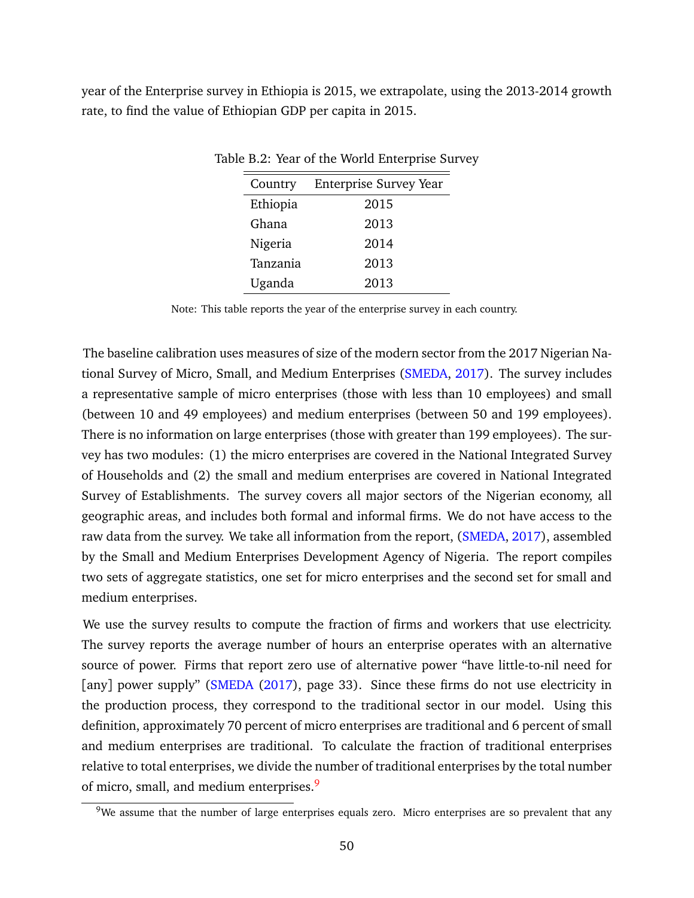<span id="page-51-0"></span>year of the Enterprise survey in Ethiopia is 2015, we extrapolate, using the 2013-2014 growth rate, to find the value of Ethiopian GDP per capita in 2015.

| Country  | <b>Enterprise Survey Year</b> |
|----------|-------------------------------|
| Ethiopia | 2015                          |
| Ghana    | 2013                          |
| Nigeria  | 2014                          |
| Tanzania | 2013                          |
| Uganda   | 2013                          |

Table B.2: Year of the World Enterprise Survey

Note: This table reports the year of the enterprise survey in each country.

The baseline calibration uses measures of size of the modern sector from the 2017 Nigerian National Survey of Micro, Small, and Medium Enterprises [\(SMEDA,](#page-46-13) [2017\)](#page-46-13). The survey includes a representative sample of micro enterprises (those with less than 10 employees) and small (between 10 and 49 employees) and medium enterprises (between 50 and 199 employees). There is no information on large enterprises (those with greater than 199 employees). The survey has two modules: (1) the micro enterprises are covered in the National Integrated Survey of Households and (2) the small and medium enterprises are covered in National Integrated Survey of Establishments. The survey covers all major sectors of the Nigerian economy, all geographic areas, and includes both formal and informal firms. We do not have access to the raw data from the survey. We take all information from the report, [\(SMEDA,](#page-46-13) [2017\)](#page-46-13), assembled by the Small and Medium Enterprises Development Agency of Nigeria. The report compiles two sets of aggregate statistics, one set for micro enterprises and the second set for small and medium enterprises.

We use the survey results to compute the fraction of firms and workers that use electricity. The survey reports the average number of hours an enterprise operates with an alternative source of power. Firms that report zero use of alternative power "have little-to-nil need for [any] power supply" [\(SMEDA](#page-46-13) [\(2017\)](#page-46-13), page 33). Since these firms do not use electricity in the production process, they correspond to the traditional sector in our model. Using this definition, approximately 70 percent of micro enterprises are traditional and 6 percent of small and medium enterprises are traditional. To calculate the fraction of traditional enterprises relative to total enterprises, we divide the number of traditional enterprises by the total number of micro, small, and medium enterprises.<sup>[9](#page-51-1)</sup>

<span id="page-51-1"></span> $9$ We assume that the number of large enterprises equals zero. Micro enterprises are so prevalent that any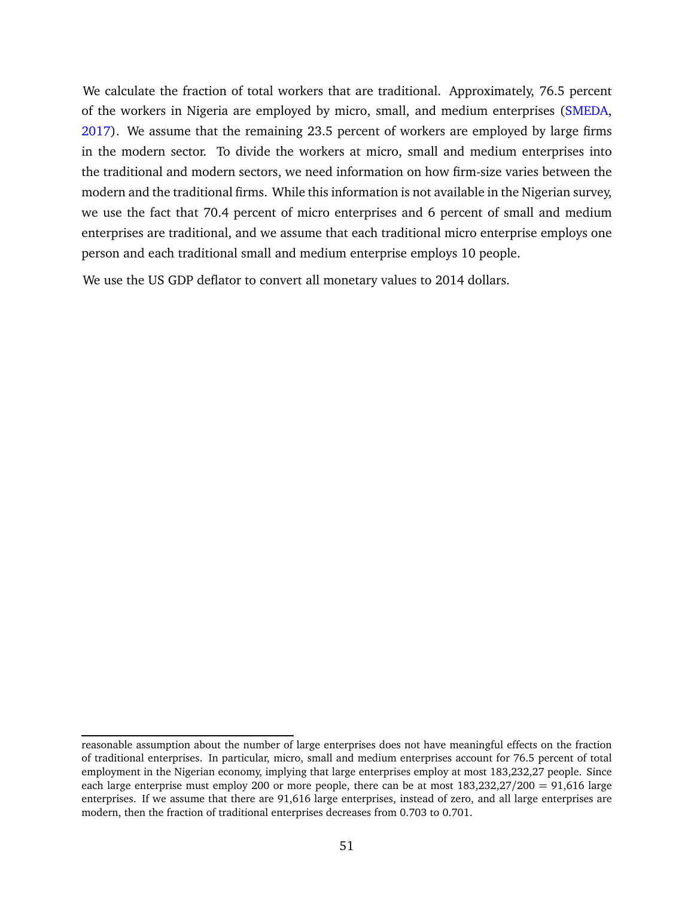We calculate the fraction of total workers that are traditional. Approximately, 76.5 percent of the workers in Nigeria are employed by micro, small, and medium enterprises [\(SMEDA,](#page-46-13) [2017\)](#page-46-13). We assume that the remaining 23.5 percent of workers are employed by large firms in the modern sector. To divide the workers at micro, small and medium enterprises into the traditional and modern sectors, we need information on how firm-size varies between the modern and the traditional firms. While this information is not available in the Nigerian survey, we use the fact that 70.4 percent of micro enterprises and 6 percent of small and medium enterprises are traditional, and we assume that each traditional micro enterprise employs one person and each traditional small and medium enterprise employs 10 people.

We use the US GDP deflator to convert all monetary values to 2014 dollars.

reasonable assumption about the number of large enterprises does not have meaningful effects on the fraction of traditional enterprises. In particular, micro, small and medium enterprises account for 76.5 percent of total employment in the Nigerian economy, implying that large enterprises employ at most 183,232,27 people. Since each large enterprise must employ 200 or more people, there can be at most 183,232,27/200 = 91,616 large enterprises. If we assume that there are 91,616 large enterprises, instead of zero, and all large enterprises are modern, then the fraction of traditional enterprises decreases from 0.703 to 0.701.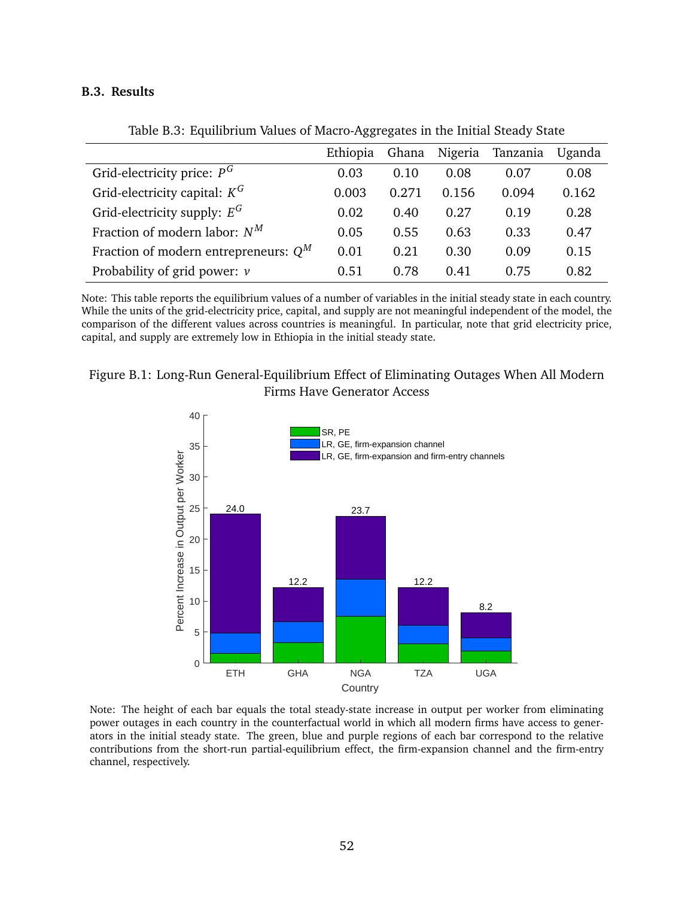#### **B.3. Results**

<span id="page-53-0"></span>

|                                         | Ethiopia | Ghana | Nigeria | Tanzania | Uganda |
|-----------------------------------------|----------|-------|---------|----------|--------|
| Grid-electricity price: $P^G$           | 0.03     | 0.10  | 0.08    | 0.07     | 0.08   |
| Grid-electricity capital: $K^G$         | 0.003    | 0.271 | 0.156   | 0.094    | 0.162  |
| Grid-electricity supply: $E^G$          | 0.02     | 0.40  | 0.27    | 0.19     | 0.28   |
| Fraction of modern labor: $N^M$         | 0.05     | 0.55  | 0.63    | 0.33     | 0.47   |
| Fraction of modern entrepreneurs: $Q^M$ | 0.01     | 0.21  | 0.30    | 0.09     | 0.15   |
| Probability of grid power: $\nu$        | 0.51     | 0.78  | 0.41    | 0.75     | 0.82   |

Table B.3: Equilibrium Values of Macro-Aggregates in the Initial Steady State

Note: This table reports the equilibrium values of a number of variables in the initial steady state in each country. While the units of the grid-electricity price, capital, and supply are not meaningful independent of the model, the comparison of the different values across countries is meaningful. In particular, note that grid electricity price, capital, and supply are extremely low in Ethiopia in the initial steady state.

## <span id="page-53-1"></span>Figure B.1: Long-Run General-Equilibrium Effect of Eliminating Outages When All Modern Firms Have Generator Access



Note: The height of each bar equals the total steady-state increase in output per worker from eliminating power outages in each country in the counterfactual world in which all modern firms have access to generators in the initial steady state. The green, blue and purple regions of each bar correspond to the relative contributions from the short-run partial-equilibrium effect, the firm-expansion channel and the firm-entry channel, respectively.